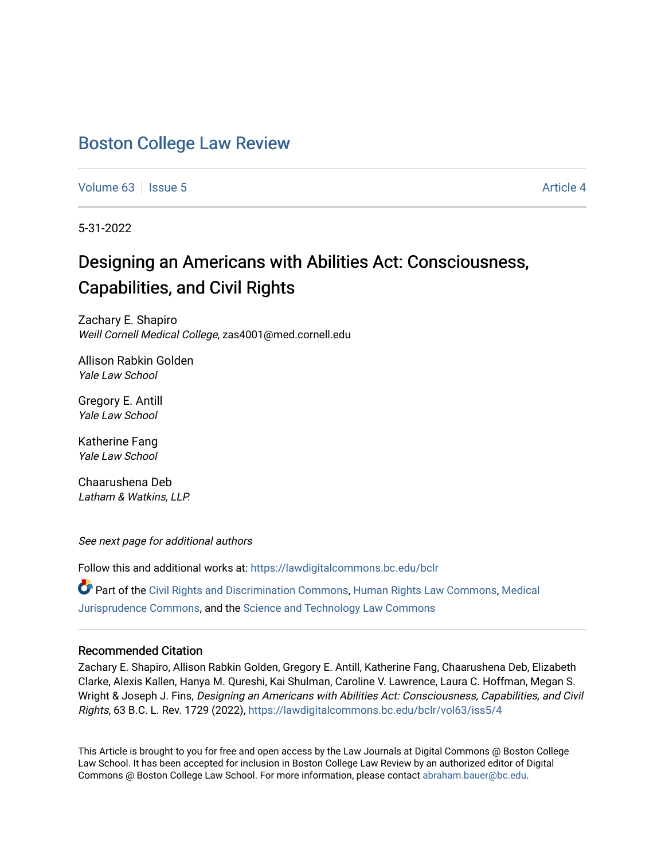# [Boston College Law Review](https://lawdigitalcommons.bc.edu/bclr)

[Volume 63](https://lawdigitalcommons.bc.edu/bclr/vol63) | [Issue 5](https://lawdigitalcommons.bc.edu/bclr/vol63/iss5) Article 4

5-31-2022

# Designing an Americans with Abilities Act: Consciousness, Capabilities, and Civil Rights

Zachary E. Shapiro Weill Cornell Medical College, zas4001@med.cornell.edu

Allison Rabkin Golden Yale Law School

Gregory E. Antill Yale Law School

Katherine Fang Yale Law School

Chaarushena Deb Latham & Watkins, LLP.

See next page for additional authors

Follow this and additional works at: [https://lawdigitalcommons.bc.edu/bclr](https://lawdigitalcommons.bc.edu/bclr?utm_source=lawdigitalcommons.bc.edu%2Fbclr%2Fvol63%2Fiss5%2F4&utm_medium=PDF&utm_campaign=PDFCoverPages) 

Part of the [Civil Rights and Discrimination Commons,](https://network.bepress.com/hgg/discipline/585?utm_source=lawdigitalcommons.bc.edu%2Fbclr%2Fvol63%2Fiss5%2F4&utm_medium=PDF&utm_campaign=PDFCoverPages) [Human Rights Law Commons,](https://network.bepress.com/hgg/discipline/847?utm_source=lawdigitalcommons.bc.edu%2Fbclr%2Fvol63%2Fiss5%2F4&utm_medium=PDF&utm_campaign=PDFCoverPages) [Medical](https://network.bepress.com/hgg/discipline/860?utm_source=lawdigitalcommons.bc.edu%2Fbclr%2Fvol63%2Fiss5%2F4&utm_medium=PDF&utm_campaign=PDFCoverPages) [Jurisprudence Commons](https://network.bepress.com/hgg/discipline/860?utm_source=lawdigitalcommons.bc.edu%2Fbclr%2Fvol63%2Fiss5%2F4&utm_medium=PDF&utm_campaign=PDFCoverPages), and the [Science and Technology Law Commons](https://network.bepress.com/hgg/discipline/875?utm_source=lawdigitalcommons.bc.edu%2Fbclr%2Fvol63%2Fiss5%2F4&utm_medium=PDF&utm_campaign=PDFCoverPages)

# Recommended Citation

Zachary E. Shapiro, Allison Rabkin Golden, Gregory E. Antill, Katherine Fang, Chaarushena Deb, Elizabeth Clarke, Alexis Kallen, Hanya M. Qureshi, Kai Shulman, Caroline V. Lawrence, Laura C. Hoffman, Megan S. Wright & Joseph J. Fins, Designing an Americans with Abilities Act: Consciousness, Capabilities, and Civil Rights, 63 B.C. L. Rev. 1729 (2022), [https://lawdigitalcommons.bc.edu/bclr/vol63/iss5/4](https://lawdigitalcommons.bc.edu/bclr/vol63/iss5/4?utm_source=lawdigitalcommons.bc.edu%2Fbclr%2Fvol63%2Fiss5%2F4&utm_medium=PDF&utm_campaign=PDFCoverPages)

This Article is brought to you for free and open access by the Law Journals at Digital Commons @ Boston College Law School. It has been accepted for inclusion in Boston College Law Review by an authorized editor of Digital Commons @ Boston College Law School. For more information, please contact [abraham.bauer@bc.edu.](mailto:abraham.bauer@bc.edu)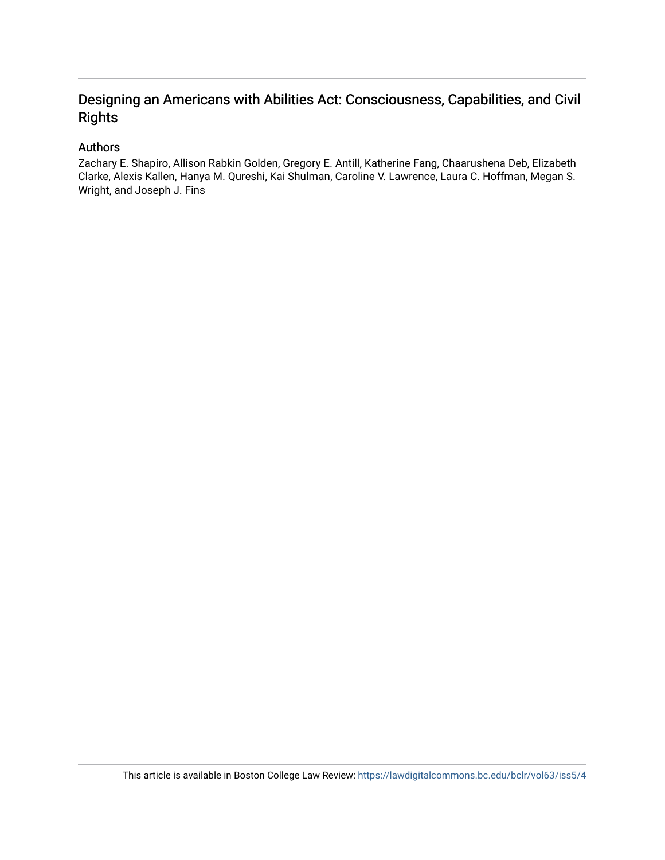# Designing an Americans with Abilities Act: Consciousness, Capabilities, and Civil **Rights**

# Authors

Zachary E. Shapiro, Allison Rabkin Golden, Gregory E. Antill, Katherine Fang, Chaarushena Deb, Elizabeth Clarke, Alexis Kallen, Hanya M. Qureshi, Kai Shulman, Caroline V. Lawrence, Laura C. Hoffman, Megan S. Wright, and Joseph J. Fins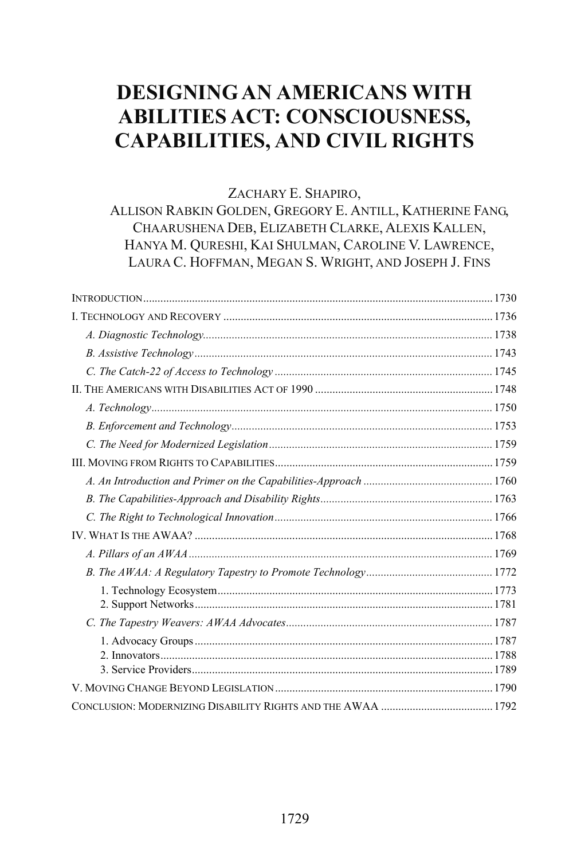# **DESIGNING AN AMERICANS WITH ABILITIES ACT: CONSCIOUSNESS, CAPABILITIES, AND CIVIL RIGHTS**

# ZACHARY E. SHAPIRO,

ALLISON RABKIN GOLDEN, GREGORY E. ANTILL, KATHERINE FANG, CHAARUSHENA DEB, ELIZABETH CLARKE, ALEXIS KALLEN, HANYA M. QURESHI, KAI SHULMAN, CAROLINE V. LAWRENCE, LAURA C. HOFFMAN, MEGAN S. WRIGHT, AND JOSEPH J. FINS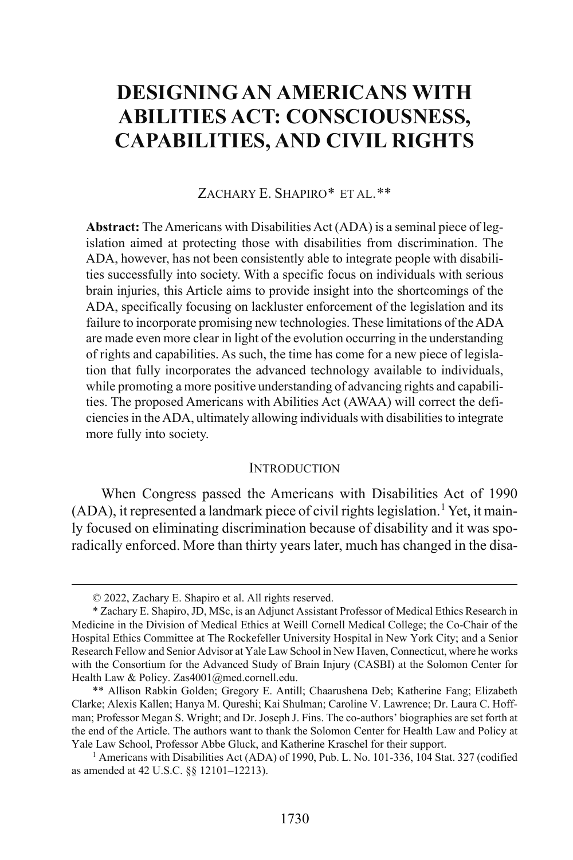# **DESIGNING AN AMERICANS WITH ABILITIES ACT: CONSCIOUSNESS, CAPABILITIES, AND CIVIL RIGHTS**

#### ZACHARY E. SHAPIRO[\\*](#page-3-0) ET AL.[\\*\\*](#page-3-1)

**Abstract:** The Americans with Disabilities Act (ADA) is a seminal piece of legislation aimed at protecting those with disabilities from discrimination. The ADA, however, has not been consistently able to integrate people with disabilities successfully into society. With a specific focus on individuals with serious brain injuries, this Article aims to provide insight into the shortcomings of the ADA, specifically focusing on lackluster enforcement of the legislation and its failure to incorporate promising new technologies. These limitations of the ADA are made even more clear in light of the evolution occurring in the understanding of rights and capabilities. As such, the time has come for a new piece of legislation that fully incorporates the advanced technology available to individuals, while promoting a more positive understanding of advancing rights and capabilities. The proposed Americans with Abilities Act (AWAA) will correct the deficienciesin the ADA, ultimately allowing individuals with disabilities to integrate more fully into society.

#### **INTRODUCTION**

When Congress passed the Americans with Disabilities Act of 1990 (ADA), it represented a landmark piece of civil rights legislation. [1](#page-3-2) Yet, it mainly focused on eliminating discrimination because of disability and it was sporadically enforced. More than thirty years later, much has changed in the disa-

 <sup>© 2022,</sup> Zachary E. Shapiro et al. All rights reserved.

<span id="page-3-0"></span><sup>\*</sup> Zachary E. Shapiro, JD, MSc, is an Adjunct Assistant Professor of Medical Ethics Research in Medicine in the Division of Medical Ethics at Weill Cornell Medical College; the Co-Chair of the Hospital Ethics Committee at The Rockefeller University Hospital in New York City; and a Senior Research Fellow and Senior Advisor at Yale Law School in New Haven, Connecticut, where he works with the Consortium for the Advanced Study of Brain Injury (CASBI) at the Solomon Center for Health Law & Policy. Zas4001@med.cornell.edu.

<span id="page-3-1"></span><sup>\*\*</sup> Allison Rabkin Golden; Gregory E. Antill; Chaarushena Deb; Katherine Fang; Elizabeth Clarke; Alexis Kallen; Hanya M. Qureshi; Kai Shulman; Caroline V. Lawrence; Dr. Laura C. Hoffman; Professor Megan S. Wright; and Dr. Joseph J. Fins. The co-authors' biographies are set forth at the end of the Article. The authors want to thank the Solomon Center for Health Law and Policy at Yale Law School, Professor Abbe Gluck, and Katherine Kraschel for their support.

<span id="page-3-2"></span><sup>&</sup>lt;sup>1</sup> Americans with Disabilities Act (ADA) of 1990, Pub. L. No. 101-336, 104 Stat. 327 (codified as amended at 42 U.S.C. §§ 12101–12213).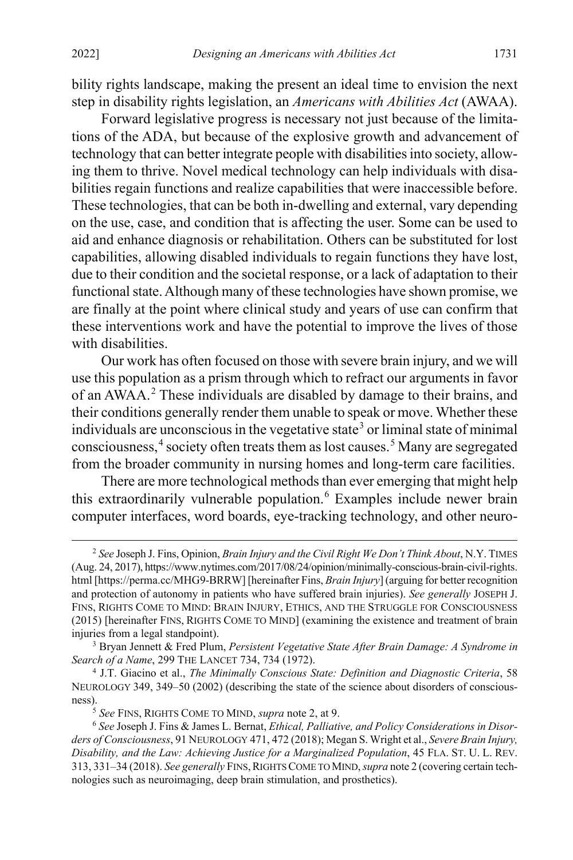bility rights landscape, making the present an ideal time to envision the next step in disability rights legislation, an *Americans with Abilities Act* (AWAA).

Forward legislative progress is necessary not just because of the limitations of the ADA, but because of the explosive growth and advancement of technology that can better integrate people with disabilities into society, allowing them to thrive. Novel medical technology can help individuals with disabilities regain functions and realize capabilities that were inaccessible before. These technologies, that can be both in-dwelling and external, vary depending on the use, case, and condition that is affecting the user. Some can be used to aid and enhance diagnosis or rehabilitation. Others can be substituted for lost capabilities, allowing disabled individuals to regain functions they have lost, due to their condition and the societal response, or a lack of adaptation to their functional state. Although many of these technologies have shown promise, we are finally at the point where clinical study and years of use can confirm that these interventions work and have the potential to improve the lives of those with disabilities.

<span id="page-4-0"></span>Our work has often focused on those with severe brain injury, and we will use this population as a prism through which to refract our arguments in favor of an AWAA.[2](#page-4-1) These individuals are disabled by damage to their brains, and their conditions generally render them unable to speak or move. Whether these individuals are unconscious in the vegetative state<sup>[3](#page-4-2)</sup> or liminal state of minimal consciousness, [4](#page-4-3) society often treats them as lost causes. [5](#page-4-4) Many are segregated from the broader community in nursing homes and long-term care facilities.

<span id="page-4-8"></span><span id="page-4-7"></span><span id="page-4-6"></span>There are more technological methods than ever emerging that might help this extraordinarily vulnerable population.<sup>[6](#page-4-5)</sup> Examples include newer brain computer interfaces, word boards, eye-tracking technology, and other neuro-

<span id="page-4-1"></span> <sup>2</sup> *See* Joseph J. Fins, Opinion, *Brain Injury and the Civil Right We Don't Think About*, N.Y. TIMES (Aug. 24, 2017), https://www.nytimes.com/2017/08/24/opinion/minimally-conscious-brain-civil-rights. html [https://perma.cc/MHG9-BRRW] [hereinafter Fins, *Brain Injury*] (arguing for better recognition and protection of autonomy in patients who have suffered brain injuries). *See generally* JOSEPH J. FINS, RIGHTS COME TO MIND: BRAIN INJURY, ETHICS, AND THE STRUGGLE FOR CONSCIOUSNESS (2015) [hereinafter FINS, RIGHTS COME TO MIND] (examining the existence and treatment of brain injuries from a legal standpoint).

<span id="page-4-2"></span><sup>3</sup> Bryan Jennett & Fred Plum, *Persistent Vegetative State After Brain Damage: A Syndrome in Search of a Name*, 299 THE LANCET 734, 734 (1972).

<span id="page-4-3"></span><sup>4</sup> J.T. Giacino et al., *The Minimally Conscious State: Definition and Diagnostic Criteria*, 58 NEUROLOGY 349, 349–50 (2002) (describing the state of the science about disorders of consciousness).5 *See* FINS, RIGHTS COME TO MIND, *supra* not[e 2,](#page-4-0) at 9.

<span id="page-4-5"></span><span id="page-4-4"></span><sup>6</sup> *See* Joseph J. Fins & James L. Bernat, *Ethical, Palliative, and Policy Considerations in Disorders of Consciousness*, 91 NEUROLOGY 471, 472 (2018); Megan S. Wright et al., *Severe Brain Injury, Disability, and the Law: Achieving Justice for a Marginalized Population*, 45 FLA. ST. U. L. REV. 313, 331–34 (2018). *See generally* FINS,RIGHTS COME TO MIND, *supra* not[e 2](#page-4-0) (covering certain technologies such as neuroimaging, deep brain stimulation, and prosthetics).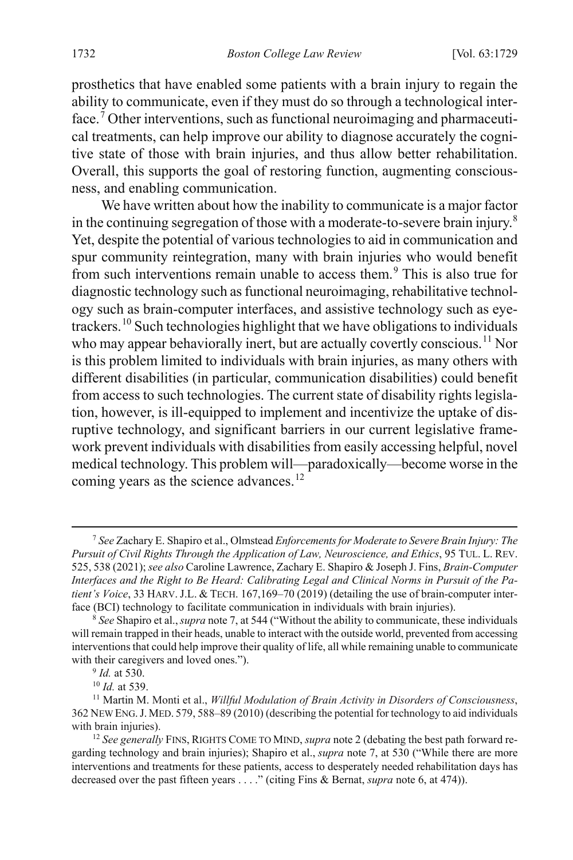<span id="page-5-0"></span>prosthetics that have enabled some patients with a brain injury to regain the ability to communicate, even if they must do so through a technological inter-face.<sup>[7](#page-5-1)</sup> Other interventions, such as functional neuroimaging and pharmaceutical treatments, can help improve our ability to diagnose accurately the cognitive state of those with brain injuries, and thus allow better rehabilitation. Overall, this supports the goal of restoring function, augmenting consciousness, and enabling communication.

<span id="page-5-7"></span>We have written about how the inability to communicate is a major factor in the continuing segregation of those with a moderate-to-severe brain injury.<sup>[8](#page-5-2)</sup> Yet, despite the potential of various technologies to aid in communication and spur community reintegration, many with brain injuries who would benefit from such interventions remain unable to access them.[9](#page-5-3) This is also true for diagnostic technology such as functional neuroimaging, rehabilitative technology such as brain-computer interfaces, and assistive technology such as eyetrackers.[10](#page-5-4) Such technologies highlight that we have obligations to individuals who may appear behaviorally inert, but are actually covertly conscious.<sup>[11](#page-5-5)</sup> Nor is this problem limited to individuals with brain injuries, as many others with different disabilities (in particular, communication disabilities) could benefit from access to such technologies. The current state of disability rights legislation, however, is ill-equipped to implement and incentivize the uptake of disruptive technology, and significant barriers in our current legislative framework prevent individuals with disabilities from easily accessing helpful, novel medical technology. This problem will—paradoxically—become worse in the coming years as the science advances.<sup>[12](#page-5-6)</sup>

<span id="page-5-1"></span> <sup>7</sup> *See* Zachary E. Shapiro et al., Olmstead *Enforcements for Moderate to Severe Brain Injury: The Pursuit of Civil Rights Through the Application of Law, Neuroscience, and Ethics*, 95 TUL. L. REV. 525, 538 (2021); *see also* Caroline Lawrence, Zachary E. Shapiro & Joseph J. Fins, *Brain-Computer Interfaces and the Right to Be Heard: Calibrating Legal and Clinical Norms in Pursuit of the Patient's Voice*, 33 HARV. J.L. & TECH. 167,169–70 (2019) (detailing the use of brain-computer interface (BCI) technology to facilitate communication in individuals with brain injuries).

<span id="page-5-2"></span><sup>8</sup> *See* Shapiro et al.,*supra* not[e 7,](#page-5-0) at 544 ("Without the ability to communicate, these individuals will remain trapped in their heads, unable to interact with the outside world, prevented from accessing interventions that could help improve their quality of life, all while remaining unable to communicate with their caregivers and loved ones.").

<sup>9</sup> *Id.* at 530.

<sup>10</sup> *Id.* at 539.

<span id="page-5-5"></span><span id="page-5-4"></span><span id="page-5-3"></span><sup>11</sup> Martin M. Monti et al., *Willful Modulation of Brain Activity in Disorders of Consciousness*, 362 NEW ENG.J. MED. 579, 588–89 (2010) (describing the potential for technology to aid individuals with brain injuries).

<span id="page-5-6"></span><sup>12</sup> *See generally* FINS, RIGHTS COME TO MIND, *supra* not[e 2](#page-4-0) (debating the best path forward regarding technology and brain injuries); Shapiro et al., *supra* not[e 7,](#page-5-0) at 530 ("While there are more interventions and treatments for these patients, access to desperately needed rehabilitation days has decreased over the past fifteen years . . . ." (citing Fins & Bernat, *supra* not[e 6,](#page-4-6) at 474)).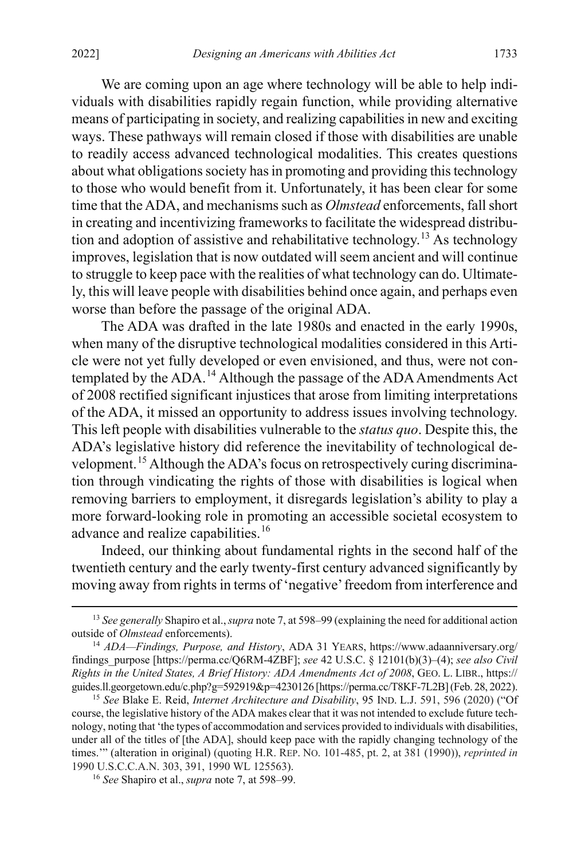We are coming upon an age where technology will be able to help individuals with disabilities rapidly regain function, while providing alternative means of participating in society, and realizing capabilities in new and exciting ways. These pathways will remain closed if those with disabilities are unable to readily access advanced technological modalities. This creates questions about what obligations society has in promoting and providing this technology to those who would benefit from it. Unfortunately, it has been clear for some time that the ADA, and mechanisms such as *Olmstead* enforcements, fall short in creating and incentivizing frameworks to facilitate the widespread distribu-tion and adoption of assistive and rehabilitative technology.<sup>[13](#page-6-0)</sup> As technology improves, legislation that is now outdated will seem ancient and will continue to struggle to keep pace with the realities of what technology can do. Ultimately, this will leave people with disabilities behind once again, and perhaps even worse than before the passage of the original ADA.

The ADA was drafted in the late 1980s and enacted in the early 1990s, when many of the disruptive technological modalities considered in this Article were not yet fully developed or even envisioned, and thus, were not con-templated by the ADA.<sup>[14](#page-6-1)</sup> Although the passage of the ADA Amendments Act of 2008 rectified significant injustices that arose from limiting interpretations of the ADA, it missed an opportunity to address issues involving technology. This left people with disabilities vulnerable to the *status quo*. Despite this, the ADA's legislative history did reference the inevitability of technological development.[15](#page-6-2) Although the ADA's focus on retrospectively curing discrimination through vindicating the rights of those with disabilities is logical when removing barriers to employment, it disregards legislation's ability to play a more forward-looking role in promoting an accessible societal ecosystem to advance and realize capabilities.<sup>[16](#page-6-3)</sup>

Indeed, our thinking about fundamental rights in the second half of the twentieth century and the early twenty-first century advanced significantly by moving away from rights in terms of 'negative' freedom from interference and

<span id="page-6-0"></span> <sup>13</sup> *See generally* Shapiro et al.,*supra* not[e 7,](#page-5-0) at 598–99 (explaining the need for additional action outside of *Olmstead* enforcements). 14 *ADA—Findings, Purpose, and History*, ADA <sup>31</sup> YEARS, https://www.adaanniversary.org/

<span id="page-6-1"></span>findings\_purpose [https://perma.cc/Q6RM-4ZBF]; *see* 42 U.S.C. § 12101(b)(3)–(4); *see also Civil Rights in the United States, A Brief History: ADA Amendments Act of 2008*, GEO. L. LIBR., https:// guides.ll.georgetown.edu/c.php?g=592919&p=4230126 [https://perma.cc/T8KF-7L2B] (Feb. 28, 2022). 15 *See* Blake E. Reid, *Internet Architecture and Disability*, 95 IND. L.J. 591, 596 (2020) ("Of

<span id="page-6-2"></span>course, the legislative history of the ADA makes clear that it was not intended to exclude future technology, noting that 'the types of accommodation and services provided to individuals with disabilities, under all of the titles of [the ADA], should keep pace with the rapidly changing technology of the times.'" (alteration in original) (quoting H.R. REP. NO. 101-485, pt. 2, at 381 (1990)), *reprinted in*  1990 U.S.C.C.A.N. 303, 391, 1990 WL 125563).

<span id="page-6-3"></span><sup>16</sup> *See* Shapiro et al., *supra* not[e 7,](#page-5-0) at 598–99.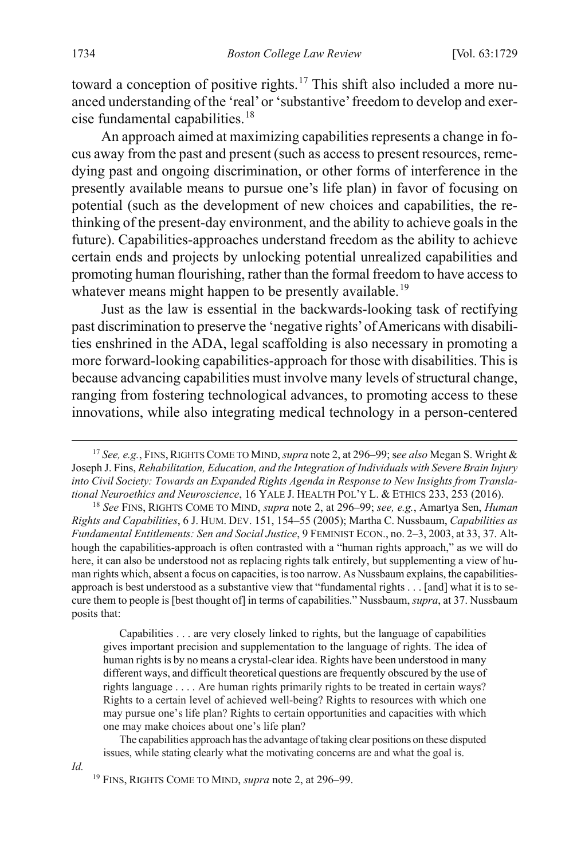<span id="page-7-3"></span>toward a conception of positive rights.<sup>[17](#page-7-0)</sup> This shift also included a more nuanced understanding of the 'real' or 'substantive' freedom to develop and exercise fundamental capabilities.[18](#page-7-1)

An approach aimed at maximizing capabilities represents a change in focus away from the past and present (such as access to present resources, remedying past and ongoing discrimination, or other forms of interference in the presently available means to pursue one's life plan) in favor of focusing on potential (such as the development of new choices and capabilities, the rethinking of the present-day environment, and the ability to achieve goals in the future). Capabilities-approaches understand freedom as the ability to achieve certain ends and projects by unlocking potential unrealized capabilities and promoting human flourishing, rather than the formal freedom to have access to whatever means might happen to be presently available.<sup>[19](#page-7-2)</sup>

Just as the law is essential in the backwards-looking task of rectifying past discrimination to preserve the 'negative rights' of Americans with disabilities enshrined in the ADA, legal scaffolding is also necessary in promoting a more forward-looking capabilities-approach for those with disabilities. This is because advancing capabilities must involve many levels of structural change, ranging from fostering technological advances, to promoting access to these innovations, while also integrating medical technology in a person-centered

Capabilities . . . are very closely linked to rights, but the language of capabilities gives important precision and supplementation to the language of rights. The idea of human rights is by no means a crystal-clear idea. Rights have been understood in many different ways, and difficult theoretical questions are frequently obscured by the use of rights language . . . . Are human rights primarily rights to be treated in certain ways? Rights to a certain level of achieved well-being? Rights to resources with which one may pursue one's life plan? Rights to certain opportunities and capacities with which one may make choices about one's life plan?

The capabilities approach has the advantage of taking clear positions on these disputed issues, while stating clearly what the motivating concerns are and what the goal is.

<span id="page-7-2"></span>*Id.*

<span id="page-7-0"></span> <sup>17</sup> *See, e.g.*, FINS,RIGHTS COME TO MIND, *supra* not[e 2,](#page-4-0) at 296–99;s*ee also* Megan S. Wright & Joseph J. Fins, *Rehabilitation, Education, and the Integration of Individuals with Severe Brain Injury into Civil Society: Towards an Expanded Rights Agenda in Response to New Insights from Translational Neuroethics and Neuroscience*, 16 YALE J. HEALTH POL'Y L. & ETHICS 233, 253 (2016).

<span id="page-7-1"></span><sup>18</sup> *See* FINS, RIGHTS COME TO MIND, *supra* note [2,](#page-4-0) at 296–99; *see, e.g.*, Amartya Sen, *Human Rights and Capabilities*, 6 J. HUM. DEV. 151, 154–55 (2005); Martha C. Nussbaum, *Capabilities as Fundamental Entitlements: Sen and Social Justice*, 9 FEMINIST ECON., no. 2–3, 2003, at 33, 37. Although the capabilities-approach is often contrasted with a "human rights approach," as we will do here, it can also be understood not as replacing rights talk entirely, but supplementing a view of human rights which, absent a focus on capacities, is too narrow. As Nussbaum explains, the capabilitiesapproach is best understood as a substantive view that "fundamental rights . . . [and] what it is to secure them to people is [best thought of] in terms of capabilities." Nussbaum, *supra*, at 37. Nussbaum posits that:

<sup>19</sup> FINS, RIGHTS COME TO MIND, *supra* note [2,](#page-4-0) at 296–99.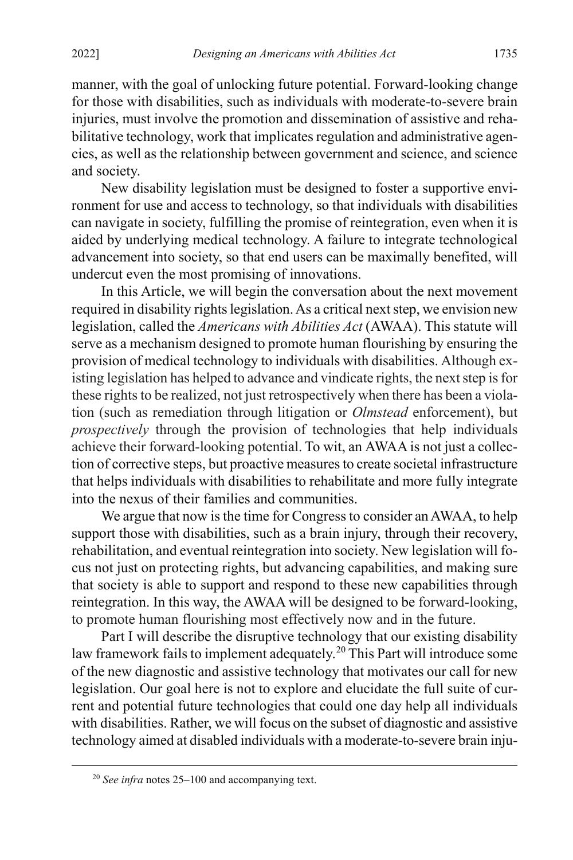manner, with the goal of unlocking future potential. Forward-looking change for those with disabilities, such as individuals with moderate-to-severe brain injuries, must involve the promotion and dissemination of assistive and rehabilitative technology, work that implicates regulation and administrative agencies, as well as the relationship between government and science, and science and society.

New disability legislation must be designed to foster a supportive environment for use and access to technology, so that individuals with disabilities can navigate in society, fulfilling the promise of reintegration, even when it is aided by underlying medical technology. A failure to integrate technological advancement into society, so that end users can be maximally benefited, will undercut even the most promising of innovations.

In this Article, we will begin the conversation about the next movement required in disability rights legislation. As a critical next step, we envision new legislation, called the *Americans with Abilities Act* (AWAA). This statute will serve as a mechanism designed to promote human flourishing by ensuring the provision of medical technology to individuals with disabilities. Although existing legislation has helped to advance and vindicate rights, the next step is for these rights to be realized, not just retrospectively when there has been a violation (such as remediation through litigation or *Olmstead* enforcement), but *prospectively* through the provision of technologies that help individuals achieve their forward-looking potential. To wit, an AWAA is not just a collection of corrective steps, but proactive measures to create societal infrastructure that helps individuals with disabilities to rehabilitate and more fully integrate into the nexus of their families and communities.

We argue that now is the time for Congress to consider an AWAA, to help support those with disabilities, such as a brain injury, through their recovery, rehabilitation, and eventual reintegration into society. New legislation will focus not just on protecting rights, but advancing capabilities, and making sure that society is able to support and respond to these new capabilities through reintegration. In this way, the AWAA will be designed to be forward-looking, to promote human flourishing most effectively now and in the future.

Part I will describe the disruptive technology that our existing disability law framework fails to implement adequately. [20](#page-8-0) This Part will introduce some of the new diagnostic and assistive technology that motivates our call for new legislation. Our goal here is not to explore and elucidate the full suite of current and potential future technologies that could one day help all individuals with disabilities. Rather, we will focus on the subset of diagnostic and assistive technology aimed at disabled individuals with a moderate-to-severe brain inju-

<span id="page-8-0"></span> <sup>20</sup> *See infra* note[s 25–](#page-10-0)[100](#page-20-0) and accompanying text.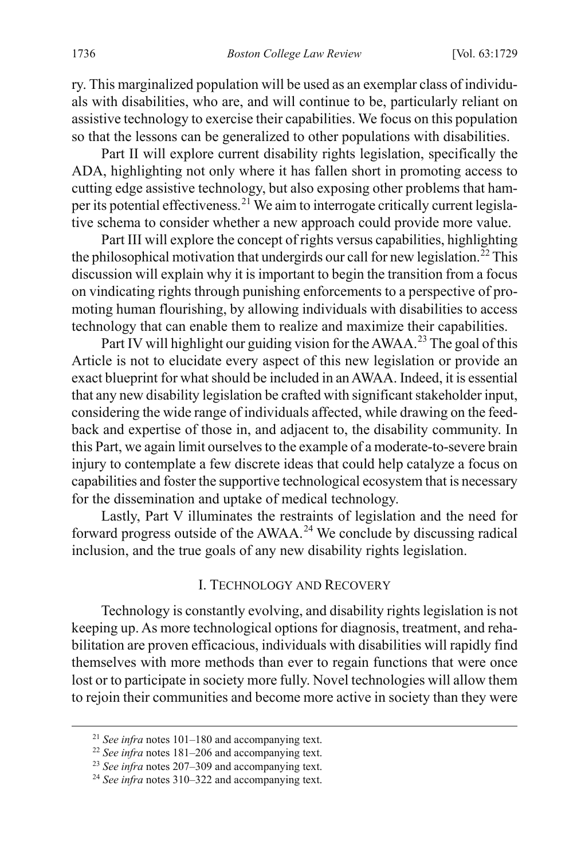ry. This marginalized population will be used as an exemplar class of individuals with disabilities, who are, and will continue to be, particularly reliant on assistive technology to exercise their capabilities. We focus on this population so that the lessons can be generalized to other populations with disabilities.

Part II will explore current disability rights legislation, specifically the ADA, highlighting not only where it has fallen short in promoting access to cutting edge assistive technology, but also exposing other problems that hamper its potential effectiveness.[21](#page-9-0) We aim to interrogate critically current legislative schema to consider whether a new approach could provide more value.

Part III will explore the concept of rights versus capabilities, highlighting the philosophical motivation that undergirds our call for new legislation.<sup>[22](#page-9-1)</sup> This discussion will explain why it is important to begin the transition from a focus on vindicating rights through punishing enforcements to a perspective of promoting human flourishing, by allowing individuals with disabilities to access technology that can enable them to realize and maximize their capabilities.

Part IV will highlight our guiding vision for the AWAA.<sup>[23](#page-9-2)</sup> The goal of this Article is not to elucidate every aspect of this new legislation or provide an exact blueprint for what should be included in an AWAA. Indeed, it is essential that any new disability legislation be crafted with significant stakeholder input, considering the wide range of individuals affected, while drawing on the feedback and expertise of those in, and adjacent to, the disability community. In this Part, we again limit ourselves to the example of a moderate-to-severe brain injury to contemplate a few discrete ideas that could help catalyze a focus on capabilities and foster the supportive technological ecosystem that is necessary for the dissemination and uptake of medical technology.

Lastly, Part V illuminates the restraints of legislation and the need for forward progress outside of the AWAA.<sup>[24](#page-9-3)</sup> We conclude by discussing radical inclusion, and the true goals of any new disability rights legislation.

#### I. TECHNOLOGY AND RECOVERY

Technology is constantly evolving, and disability rights legislation is not keeping up. As more technological options for diagnosis, treatment, and rehabilitation are proven efficacious, individuals with disabilities will rapidly find themselves with more methods than ever to regain functions that were once lost or to participate in society more fully. Novel technologies will allow them to rejoin their communities and become more active in society than they were

<span id="page-9-0"></span> <sup>21</sup> *See infra* note[s 101](#page-21-0)[–180](#page-31-0) and accompanying text.

<span id="page-9-1"></span><sup>22</sup> *See infra* note[s 181](#page-33-0)[–206](#page-40-0) and accompanying text.

<span id="page-9-2"></span><sup>23</sup> *See infra* note[s 207](#page-41-0)[–309](#page-63-0) and accompanying text.

<span id="page-9-3"></span><sup>24</sup> *See infra* note[s 310](#page-63-1)[–322](#page-65-0) and accompanying text.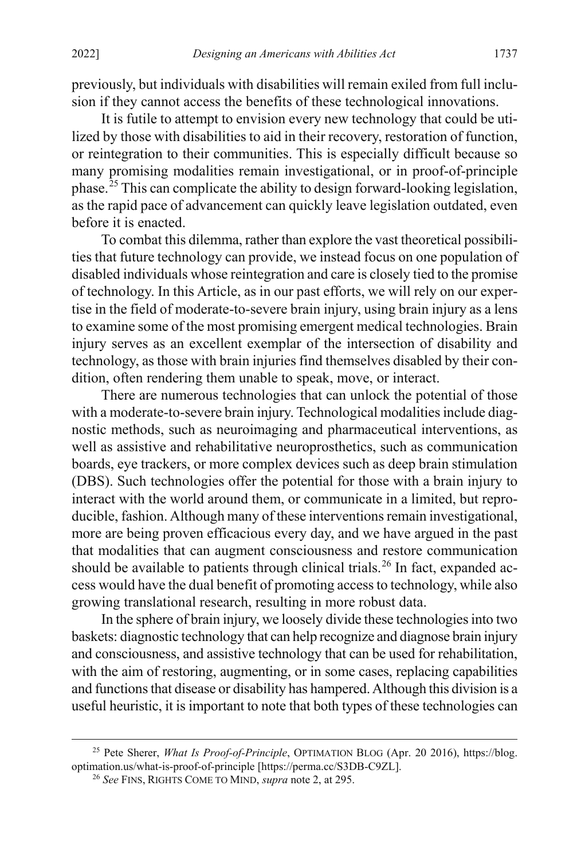previously, but individuals with disabilities will remain exiled from full inclusion if they cannot access the benefits of these technological innovations.

It is futile to attempt to envision every new technology that could be utilized by those with disabilities to aid in their recovery, restoration of function, or reintegration to their communities. This is especially difficult because so many promising modalities remain investigational, or in proof-of-principle phase.<sup>[25](#page-10-1)</sup> This can complicate the ability to design forward-looking legislation, as the rapid pace of advancement can quickly leave legislation outdated, even before it is enacted.

<span id="page-10-0"></span>To combat this dilemma, rather than explore the vast theoretical possibilities that future technology can provide, we instead focus on one population of disabled individuals whose reintegration and care is closely tied to the promise of technology. In this Article, as in our past efforts, we will rely on our expertise in the field of moderate-to-severe brain injury, using brain injury as a lens to examine some of the most promising emergent medical technologies. Brain injury serves as an excellent exemplar of the intersection of disability and technology, as those with brain injuries find themselves disabled by their condition, often rendering them unable to speak, move, or interact.

There are numerous technologies that can unlock the potential of those with a moderate-to-severe brain injury. Technological modalities include diagnostic methods, such as neuroimaging and pharmaceutical interventions, as well as assistive and rehabilitative neuroprosthetics, such as communication boards, eye trackers, or more complex devices such as deep brain stimulation (DBS). Such technologies offer the potential for those with a brain injury to interact with the world around them, or communicate in a limited, but reproducible, fashion. Although many of these interventions remain investigational, more are being proven efficacious every day, and we have argued in the past that modalities that can augment consciousness and restore communication should be available to patients through clinical trials.<sup>[26](#page-10-2)</sup> In fact, expanded access would have the dual benefit of promoting access to technology, while also growing translational research, resulting in more robust data.

In the sphere of brain injury, we loosely divide these technologies into two baskets: diagnostic technology that can help recognize and diagnose brain injury and consciousness, and assistive technology that can be used for rehabilitation, with the aim of restoring, augmenting, or in some cases, replacing capabilities and functions that disease or disability has hampered. Although this division is a useful heuristic, it is important to note that both types of these technologies can

<span id="page-10-2"></span><span id="page-10-1"></span> <sup>25</sup> Pete Sherer, *What Is Proof-of-Principle*, OPTIMATION BLOG (Apr. 20 2016), https://blog. optimation.us/what-is-proof-of-principle [https://perma.cc/S3DB-C9ZL].

<sup>26</sup> *See* FINS, RIGHTS COME TO MIND, *supra* note [2,](#page-4-0) at 295.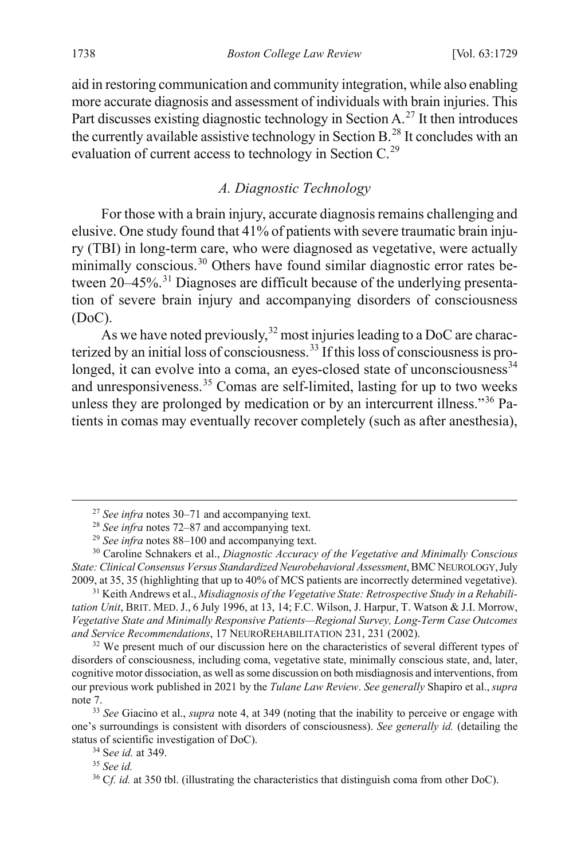aid in restoring communication and community integration, while also enabling more accurate diagnosis and assessment of individuals with brain injuries. This Part discusses existing diagnostic technology in Section A.<sup>[27](#page-11-1)</sup> It then introduces the currently available assistive technology in Section B.<sup>[28](#page-11-2)</sup> It concludes with an evaluation of current access to technology in Section C.<sup>[29](#page-11-3)</sup>

# <span id="page-11-0"></span>*A. Diagnostic Technology*

For those with a brain injury, accurate diagnosis remains challenging and elusive. One study found that 41% of patients with severe traumatic brain injury (TBI) in long-term care, who were diagnosed as vegetative, were actually minimally conscious.<sup>[30](#page-11-4)</sup> Others have found similar diagnostic error rates be-tween 20–45%.<sup>[31](#page-11-5)</sup> Diagnoses are difficult because of the underlying presentation of severe brain injury and accompanying disorders of consciousness (DoC).

As we have noted previously,  $32$  most injuries leading to a DoC are characterized by an initial loss of consciousness.[33](#page-11-7) If this loss of consciousness is pro-longed, it can evolve into a coma, an eyes-closed state of unconsciousness<sup>[34](#page-11-8)</sup> and unresponsiveness.[35](#page-11-9) Comas are self-limited, lasting for up to two weeks unless they are prolonged by medication or by an intercurrent illness."<sup>[36](#page-11-10)</sup> Patients in comas may eventually recover completely (such as after anesthesia),

 <sup>27</sup> *See infra* note[s 30–](#page-11-0)[71](#page-16-0) and accompanying text.

<sup>28</sup> *See infra* note[s 72–](#page-16-1)[87](#page-18-0) and accompanying text.

<sup>29</sup> *See infra* note[s 88–](#page-18-1)[100](#page-20-0) and accompanying text.

<span id="page-11-4"></span><span id="page-11-3"></span><span id="page-11-2"></span><span id="page-11-1"></span><sup>30</sup> Caroline Schnakers et al., *Diagnostic Accuracy of the Vegetative and Minimally Conscious State: Clinical Consensus Versus Standardized Neurobehavioral Assessment*, BMC NEUROLOGY,July 2009, at 35, 35 (highlighting that up to 40% of MCS patients are incorrectly determined vegetative).

<span id="page-11-5"></span><sup>31</sup> Keith Andrews et al., *Misdiagnosis of the Vegetative State: Retrospective Study in a Rehabilitation Unit*, BRIT. MED.J., 6 July 1996, at 13, 14; F.C. Wilson, J. Harpur, T. Watson & J.I. Morrow, *Vegetative State and Minimally Responsive Patients—Regional Survey, Long-Term Case Outcomes and Service Recommendations*, 17 NEUROREHABILITATION 231, 231 (2002).

<span id="page-11-6"></span> $32$  We present much of our discussion here on the characteristics of several different types of disorders of consciousness, including coma, vegetative state, minimally conscious state, and, later, cognitive motor dissociation, as well as some discussion on both misdiagnosis and interventions, from our previous work published in 2021 by the *Tulane Law Review*. *See generally* Shapiro et al., *supra* note [7.](#page-5-0)

<span id="page-11-9"></span><span id="page-11-8"></span><span id="page-11-7"></span><sup>33</sup> *See* Giacino et al., *supra* note [4,](#page-4-7) at 349 (noting that the inability to perceive or engage with one's surroundings is consistent with disorders of consciousness). *See generally id.* (detailing the status of scientific investigation of DoC).

<sup>34</sup> S*ee id.* at 349.

<sup>35</sup> *See id.*

<span id="page-11-10"></span><sup>&</sup>lt;sup>36</sup> Cf. id. at 350 tbl. (illustrating the characteristics that distinguish coma from other DoC).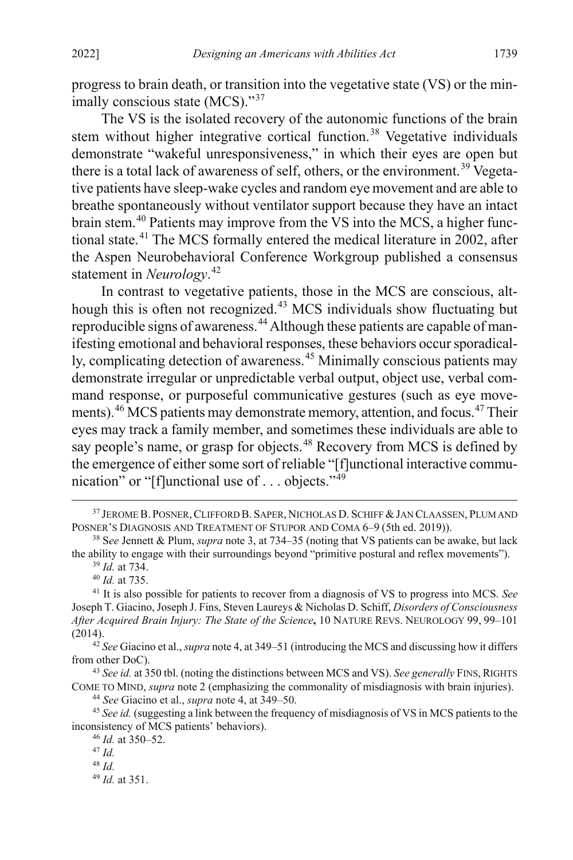<span id="page-12-14"></span>progress to brain death, or transition into the vegetative state (VS) or the min-imally conscious state (MCS)."<sup>[37](#page-12-0)</sup>

The VS is the isolated recovery of the autonomic functions of the brain stem without higher integrative cortical function.<sup>[38](#page-12-1)</sup> Vegetative individuals demonstrate "wakeful unresponsiveness," in which their eyes are open but there is a total lack of awareness of self, others, or the environment.<sup>[39](#page-12-2)</sup> Vegetative patients have sleep-wake cycles and random eye movement and are able to breathe spontaneously without ventilator support because they have an intact brain stem.[40](#page-12-3) Patients may improve from the VS into the MCS, a higher functional state.[41](#page-12-4) The MCS formally entered the medical literature in 2002, after the Aspen Neurobehavioral Conference Workgroup published a consensus statement in *Neurology*. [42](#page-12-5)

<span id="page-12-13"></span>In contrast to vegetative patients, those in the MCS are conscious, alt-hough this is often not recognized.<sup>[43](#page-12-6)</sup> MCS individuals show fluctuating but reproducible signs of awareness.[44](#page-12-7) Although these patients are capable of manifesting emotional and behavioral responses, these behaviors occur sporadical-ly, complicating detection of awareness.<sup>[45](#page-12-8)</sup> Minimally conscious patients may demonstrate irregular or unpredictable verbal output, object use, verbal command response, or purposeful communicative gestures (such as eye move-ments).<sup>[46](#page-12-9)</sup> MCS patients may demonstrate memory, attention, and focus.<sup>[47](#page-12-10)</sup> Their eyes may track a family member, and sometimes these individuals are able to say people's name, or grasp for objects.<sup>[48](#page-12-11)</sup> Recovery from MCS is defined by the emergence of either some sort of reliable "[f]unctional interactive commu-nication" or "[f]unctional use of . . . objects."<sup>[49](#page-12-12)</sup>

<span id="page-12-5"></span><sup>42</sup> *See* Giacino et al., *supra* not[e 4,](#page-4-7) at 349–51 (introducing the MCS and discussing how it differs from other DoC).

<span id="page-12-6"></span><sup>43</sup> *See id.* at 350 tbl. (noting the distinctions between MCS and VS). *See generally* FINS, RIGHTS COME TO MIND, *supra* not[e 2](#page-4-0) (emphasizing the commonality of misdiagnosis with brain injuries).

<sup>44</sup> *See* Giacino et al., *supra* not[e 4,](#page-4-7) at 349–50.

<span id="page-12-11"></span><span id="page-12-10"></span><span id="page-12-9"></span><span id="page-12-8"></span><span id="page-12-7"></span><sup>45</sup> *See id.* (suggesting a link between the frequency of misdiagnosis of VS in MCS patients to the inconsistency of MCS patients' behaviors).

<sup>48</sup> *Id.*

<span id="page-12-12"></span><sup>49</sup> *Id.* at 351.

<span id="page-12-0"></span><sup>&</sup>lt;sup>37</sup> JEROME B. POSNER, CLIFFORD B. SAPER, NICHOLAS D. SCHIFF & JAN CLAASSEN, PLUM AND POSNER'S DIAGNOSIS AND TREATMENT OF STUPOR AND COMA 6–9 (5th ed. 2019)).

<span id="page-12-1"></span><sup>38</sup> S*ee* Jennett & Plum, *supra* not[e 3,](#page-4-8) at 734–35 (noting that VS patients can be awake, but lack the ability to engage with their surroundings beyond "primitive postural and reflex movements").

<sup>39</sup> *Id.* at 734.

<sup>40</sup> *Id.* at 735.

<span id="page-12-4"></span><span id="page-12-3"></span><span id="page-12-2"></span><sup>41</sup> It is also possible for patients to recover from a diagnosis of VS to progress into MCS. *See* Joseph T. Giacino, Joseph J. Fins, Steven Laureys & Nicholas D. Schiff, *Disorders of Consciousness After Acquired Brain Injury: The State of the Science***,** 10 NATURE REVS. NEUROLOGY 99, 99–101 (2014).

<sup>46</sup> *Id.* at 350–52.

<sup>47</sup> *Id.*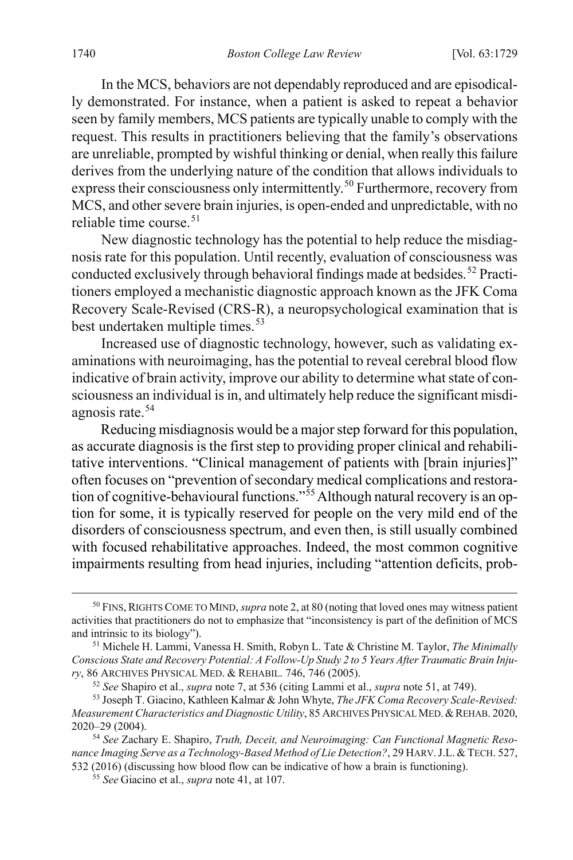In the MCS, behaviors are not dependably reproduced and are episodically demonstrated. For instance, when a patient is asked to repeat a behavior seen by family members, MCS patients are typically unable to comply with the request. This results in practitioners believing that the family's observations are unreliable, prompted by wishful thinking or denial, when really this failure derives from the underlying nature of the condition that allows individuals to express their consciousness only intermittently.<sup>[50](#page-13-1)</sup> Furthermore, recovery from MCS, and other severe brain injuries, is open-ended and unpredictable, with no reliable time course. [51](#page-13-2)

<span id="page-13-0"></span>New diagnostic technology has the potential to help reduce the misdiagnosis rate for this population. Until recently, evaluation of consciousness was conducted exclusively through behavioral findings made at bedsides. [52](#page-13-3) Practitioners employed a mechanistic diagnostic approach known as the JFK Coma Recovery Scale-Revised (CRS-R), a neuropsychological examination that is best undertaken multiple times.<sup>[53](#page-13-4)</sup>

Increased use of diagnostic technology, however, such as validating examinations with neuroimaging, has the potential to reveal cerebral blood flow indicative of brain activity, improve our ability to determine what state of consciousness an individual is in, and ultimately help reduce the significant misdi-agnosis rate.<sup>[54](#page-13-5)</sup>

<span id="page-13-7"></span>Reducing misdiagnosis would be a major step forward for this population, as accurate diagnosis is the first step to providing proper clinical and rehabilitative interventions. "Clinical management of patients with [brain injuries]" often focuses on "prevention of secondary medical complications and restora-tion of cognitive-behavioural functions."<sup>[55](#page-13-6)</sup> Although natural recovery is an option for some, it is typically reserved for people on the very mild end of the disorders of consciousness spectrum, and even then, is still usually combined with focused rehabilitative approaches. Indeed, the most common cognitive impairments resulting from head injuries, including "attention deficits, prob-

<span id="page-13-1"></span> <sup>50</sup> FINS,RIGHTS COME TO MIND, *supra* not[e 2,](#page-4-0) at 80 (noting that loved ones may witness patient activities that practitioners do not to emphasize that "inconsistency is part of the definition of MCS and intrinsic to its biology").

<span id="page-13-2"></span><sup>51</sup> Michele H. Lammi, Vanessa H. Smith, Robyn L. Tate & Christine M. Taylor, *The Minimally Conscious State and Recovery Potential: A Follow-Up Study 2 to 5 Years After Traumatic Brain Injury*, 86 ARCHIVES PHYSICAL MED. & REHABIL. 746, 746 (2005).

<sup>52</sup> *See* Shapiro et al., *supra* note [7,](#page-5-0) at 536 (citing Lammi et al., *supra* not[e 51,](#page-13-0) at 749).

<span id="page-13-4"></span><span id="page-13-3"></span><sup>53</sup> Joseph T. Giacino, Kathleen Kalmar & John Whyte, *The JFK Coma Recovery Scale-Revised: Measurement Characteristics and Diagnostic Utility*, 85 ARCHIVES PHYSICAL MED.&REHAB. 2020, 2020–29 (2004).

<span id="page-13-6"></span><span id="page-13-5"></span><sup>54</sup> *See* Zachary E. Shapiro, *Truth, Deceit, and Neuroimaging: Can Functional Magnetic Resonance Imaging Serve as a Technology-Based Method of Lie Detection?*, 29 HARV.J.L. & TECH. 527, 532 (2016) (discussing how blood flow can be indicative of how a brain is functioning).

<sup>55</sup> *See* Giacino et al., *supra* not[e 41,](#page-12-13) at 107.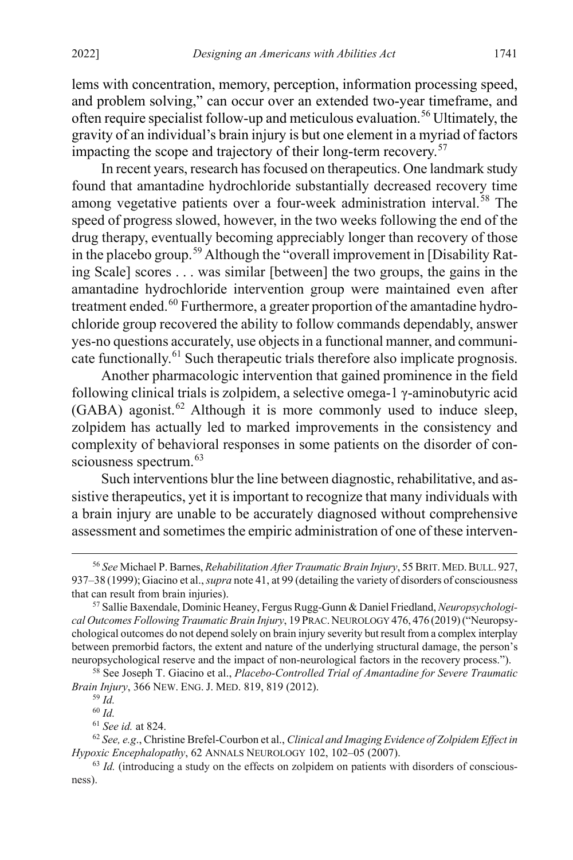<span id="page-14-8"></span>lems with concentration, memory, perception, information processing speed, and problem solving," can occur over an extended two-year timeframe, and often require specialist follow-up and meticulous evaluation. [56](#page-14-0) Ultimately, the gravity of an individual's brain injury is but one element in a myriad of factors impacting the scope and trajectory of their long-term recovery.<sup>[57](#page-14-1)</sup>

In recent years, research has focused on therapeutics. One landmark study found that amantadine hydrochloride substantially decreased recovery time among vegetative patients over a four-week administration interval. [58](#page-14-2) The speed of progress slowed, however, in the two weeks following the end of the drug therapy, eventually becoming appreciably longer than recovery of those in the placebo group.<sup>[59](#page-14-3)</sup> Although the "overall improvement in [Disability Rating Scale] scores . . . was similar [between] the two groups, the gains in the amantadine hydrochloride intervention group were maintained even after treatment ended.<sup>[60](#page-14-4)</sup> Furthermore, a greater proportion of the amantadine hydrochloride group recovered the ability to follow commands dependably, answer yes-no questions accurately, use objects in a functional manner, and communi-cate functionally.<sup>[61](#page-14-5)</sup> Such therapeutic trials therefore also implicate prognosis.

Another pharmacologic intervention that gained prominence in the field following clinical trials is zolpidem, a selective omega-1 γ-aminobutyric acid  $(GABA)$  agonist.<sup>[62](#page-14-6)</sup> Although it is more commonly used to induce sleep, zolpidem has actually led to marked improvements in the consistency and complexity of behavioral responses in some patients on the disorder of con-sciousness spectrum.<sup>[63](#page-14-7)</sup>

Such interventions blur the line between diagnostic, rehabilitative, and assistive therapeutics, yet it is important to recognize that many individuals with a brain injury are unable to be accurately diagnosed without comprehensive assessment and sometimes the empiric administration of one of these interven-

<span id="page-14-0"></span> <sup>56</sup> *See* Michael P. Barnes, *Rehabilitation After Traumatic Brain Injury*, 55 BRIT.MED.BULL. 927, 937–38 (1999); Giacino et al., *supra* note [41,](#page-12-13) at 99 (detailing the variety of disorders of consciousness that can result from brain injuries).

<span id="page-14-1"></span><sup>57</sup> Sallie Baxendale, Dominic Heaney, Fergus Rugg-Gunn & Daniel Friedland, *Neuropsychological Outcomes Following Traumatic Brain Injury*, 19 PRAC.NEUROLOGY 476, 476 (2019)("Neuropsychological outcomes do not depend solely on brain injury severity but result from a complex interplay between premorbid factors, the extent and nature of the underlying structural damage, the person's neuropsychological reserve and the impact of non-neurological factors in the recovery process.").

<span id="page-14-3"></span><span id="page-14-2"></span><sup>58</sup> See Joseph T. Giacino et al., *Placebo-Controlled Trial of Amantadine for Severe Traumatic Brain Injury*, 366 NEW. ENG. J. MED. 819, 819 (2012).

<sup>59</sup> *Id.* <sup>60</sup> *Id.*

<sup>61</sup> *See id.* at 824.

<span id="page-14-6"></span><span id="page-14-5"></span><span id="page-14-4"></span><sup>62</sup> *See, e.g*., Christine Brefel-Courbon et al., *Clinical and Imaging Evidence of Zolpidem Effect in Hypoxic Encephalopathy*, 62 ANNALS NEUROLOGY 102, 102–05 (2007).

<span id="page-14-7"></span><sup>&</sup>lt;sup>63</sup> *Id.* (introducing a study on the effects on zolpidem on patients with disorders of consciousness).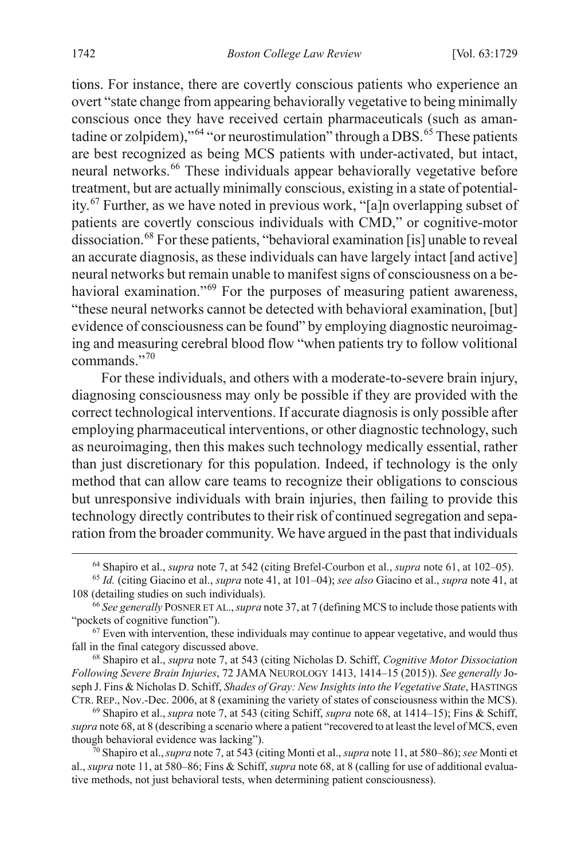tions. For instance, there are covertly conscious patients who experience an overt "state change from appearing behaviorally vegetative to being minimally conscious once they have received certain pharmaceuticals (such as amantadine or zolpidem),  $^{64}$  $^{64}$  $^{64}$  "or neurostimulation" through a DBS.<sup>[65](#page-15-2)</sup> These patients are best recognized as being MCS patients with under-activated, but intact, neural networks. [66](#page-15-3) These individuals appear behaviorally vegetative before treatment, but are actually minimally conscious, existing in a state of potentiality. [67](#page-15-4) Further, as we have noted in previous work, "[a]n overlapping subset of patients are covertly conscious individuals with CMD," or cognitive-motor dissociation. [68](#page-15-5) For these patients, "behavioral examination [is] unable to reveal an accurate diagnosis, as these individuals can have largely intact [and active] neural networks but remain unable to manifest signs of consciousness on a be-havioral examination."<sup>[69](#page-15-6)</sup> For the purposes of measuring patient awareness, "these neural networks cannot be detected with behavioral examination, [but] evidence of consciousness can be found" by employing diagnostic neuroimaging and measuring cerebral blood flow "when patients try to follow volitional commands."[70](#page-15-7)

<span id="page-15-0"></span>For these individuals, and others with a moderate-to-severe brain injury, diagnosing consciousness may only be possible if they are provided with the correct technological interventions. If accurate diagnosis is only possible after employing pharmaceutical interventions, or other diagnostic technology, such as neuroimaging, then this makes such technology medically essential, rather than just discretionary for this population. Indeed, if technology is the only method that can allow care teams to recognize their obligations to conscious but unresponsive individuals with brain injuries, then failing to provide this technology directly contributes to their risk of continued segregation and separation from the broader community. We have argued in the past that individuals

 <sup>64</sup> Shapiro et al., *supra* not[e 7,](#page-5-0) at 542 (citing Brefel-Courbon et al., *supra* note 61, at 102–05).

<span id="page-15-2"></span><span id="page-15-1"></span><sup>65</sup> *Id.* (citing Giacino et al., *supra* note [41,](#page-12-13) at 101–04); *see also* Giacino et al., *supra* not[e 41,](#page-12-13) at 108 (detailing studies on such individuals).

<span id="page-15-3"></span><sup>66</sup> *See generally* POSNER ET AL.,*supra* not[e 37,](#page-12-14) at 7 (defining MCS to include those patients with "pockets of cognitive function").

<span id="page-15-4"></span> $67$  Even with intervention, these individuals may continue to appear vegetative, and would thus fall in the final category discussed above.

<span id="page-15-5"></span><sup>68</sup> Shapiro et al., *supra* note [7,](#page-5-0) at 543 (citing Nicholas D. Schiff, *Cognitive Motor Dissociation Following Severe Brain Injuries*, 72 JAMA NEUROLOGY 1413, 1414–15 (2015)). *See generally* Joseph J. Fins & Nicholas D. Schiff, *Shades of Gray: New Insights into the Vegetative State*, HASTINGS CTR. REP., Nov.-Dec. 2006, at 8 (examining the variety of states of consciousness within the MCS).

<span id="page-15-6"></span><sup>69</sup> Shapiro et al., *supra* note [7,](#page-5-0) at 543 (citing Schiff, *supra* note [68,](#page-15-0) at 1414–15); Fins & Schiff, *supra* not[e 68,](#page-15-0) at 8 (describing a scenario where a patient "recovered to at least the level of MCS, even though behavioral evidence was lacking").

<span id="page-15-7"></span><sup>70</sup> Shapiro et al.,*supra* note [7,](#page-5-0) at 543 (citing Monti et al., *supra* not[e 11,](#page-5-7) at 580–86); *see* Monti et al., *supra* not[e 11,](#page-5-7) at 580–86; Fins & Schiff, *supra* not[e 68,](#page-15-0) at 8 (calling for use of additional evaluative methods, not just behavioral tests, when determining patient consciousness).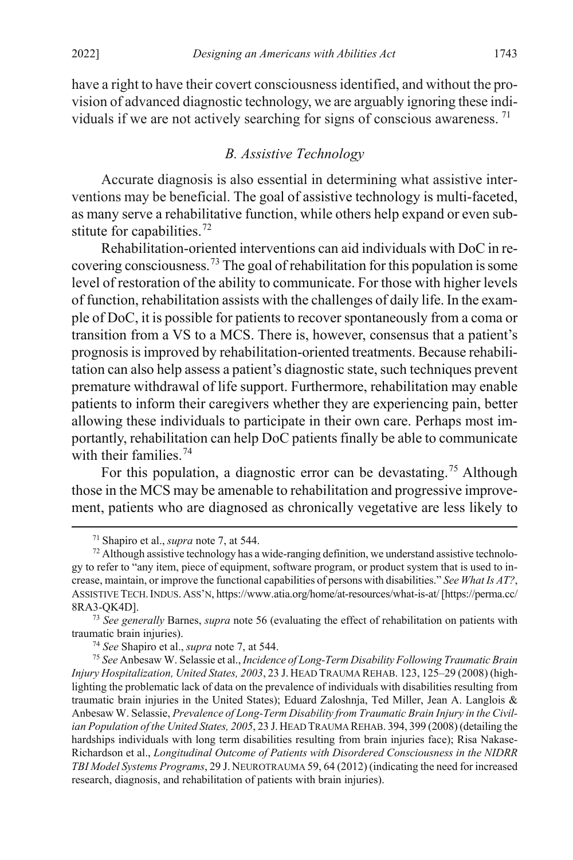have a right to have their covert consciousness identified, and without the provision of advanced diagnostic technology, we are arguably ignoring these individuals if we are not actively searching for signs of conscious awareness. [71](#page-16-2)

# <span id="page-16-1"></span><span id="page-16-0"></span>*B. Assistive Technology*

Accurate diagnosis is also essential in determining what assistive interventions may be beneficial. The goal of assistive technology is multi-faceted, as many serve a rehabilitative function, while others help expand or even sub-stitute for capabilities.<sup>[72](#page-16-3)</sup>

Rehabilitation-oriented interventions can aid individuals with DoC in recovering consciousness.[73](#page-16-4) The goal of rehabilitation for this population is some level of restoration of the ability to communicate. For those with higher levels of function, rehabilitation assists with the challenges of daily life. In the example of DoC, it is possible for patients to recover spontaneously from a coma or transition from a VS to a MCS. There is, however, consensus that a patient's prognosis is improved by rehabilitation-oriented treatments. Because rehabilitation can also help assess a patient's diagnostic state, such techniques prevent premature withdrawal of life support. Furthermore, rehabilitation may enable patients to inform their caregivers whether they are experiencing pain, better allowing these individuals to participate in their own care. Perhaps most importantly, rehabilitation can help DoC patients finally be able to communicate with their families.<sup>[74](#page-16-5)</sup>

For this population, a diagnostic error can be devastating.<sup>[75](#page-16-6)</sup> Although those in the MCS may be amenable to rehabilitation and progressive improvement, patients who are diagnosed as chronically vegetative are less likely to

<span id="page-16-7"></span> <sup>71</sup> Shapiro et al., *supra* note [7,](#page-5-0) at 544.

<span id="page-16-3"></span><span id="page-16-2"></span><sup>&</sup>lt;sup>72</sup> Although assistive technology has a wide-ranging definition, we understand assistive technology to refer to "any item, piece of equipment, software program, or product system that is used to increase, maintain, or improve the functional capabilities of persons with disabilities." *See What Is AT?*, ASSISTIVE TECH.INDUS.ASS'N, https://www.atia.org/home/at-resources/what-is-at/[https://perma.cc/ 8RA3-QK4D].

<span id="page-16-4"></span><sup>73</sup> *See generally* Barnes, *supra* note [56](#page-14-8) (evaluating the effect of rehabilitation on patients with traumatic brain injuries).

<sup>74</sup> *See* Shapiro et al., *supra* not[e 7,](#page-5-0) at 544.

<span id="page-16-6"></span><span id="page-16-5"></span><sup>75</sup> *See* Anbesaw W. Selassie et al., *Incidence of Long-Term Disability Following Traumatic Brain Injury Hospitalization, United States, 2003*, 23 J. HEAD TRAUMA REHAB. 123, 125–29 (2008) (highlighting the problematic lack of data on the prevalence of individuals with disabilities resulting from traumatic brain injuries in the United States); Eduard Zaloshnja, Ted Miller, Jean A. Langlois & Anbesaw W. Selassie, *Prevalence of Long-Term Disability from Traumatic Brain Injury in the Civilian Population of the United States, 2005*, 23 J.HEAD TRAUMA REHAB. 394, 399 (2008) (detailing the hardships individuals with long term disabilities resulting from brain injuries face); Risa Nakase-Richardson et al., *Longitudinal Outcome of Patients with Disordered Consciousness in the NIDRR TBI Model Systems Programs*, 29 J. NEUROTRAUMA 59, 64 (2012) (indicating the need for increased research, diagnosis, and rehabilitation of patients with brain injuries).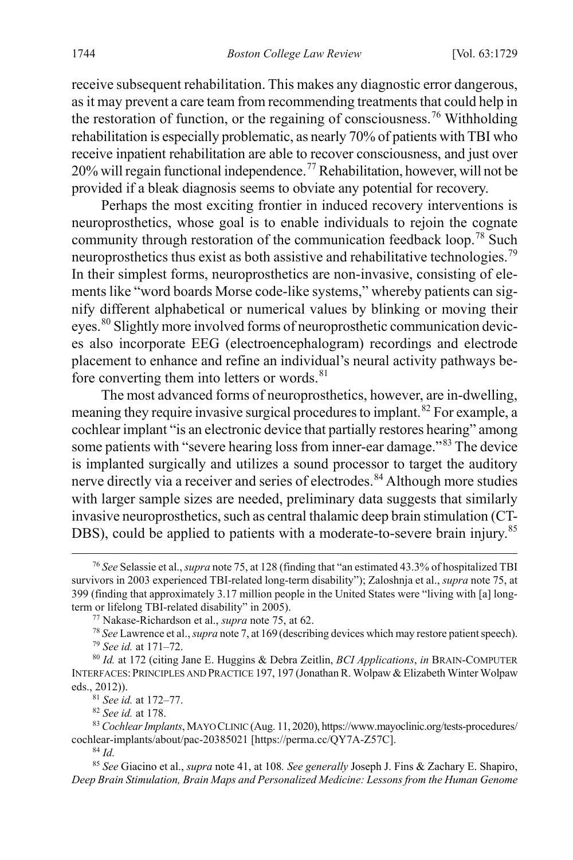receive subsequent rehabilitation. This makes any diagnostic error dangerous, as it may prevent a care team from recommending treatments that could help in the restoration of function, or the regaining of consciousness.<sup>[76](#page-17-0)</sup> Withholding rehabilitation is especially problematic, as nearly 70% of patients with TBI who receive inpatient rehabilitation are able to recover consciousness, and just over 20% will regain functional independence.[77](#page-17-1) Rehabilitation, however, will not be provided if a bleak diagnosis seems to obviate any potential for recovery.

Perhaps the most exciting frontier in induced recovery interventions is neuroprosthetics, whose goal is to enable individuals to rejoin the cognate community through restoration of the communication feedback loop.<sup>[78](#page-17-2)</sup> Such neuroprosthetics thus exist as both assistive and rehabilitative technologies.<sup>[79](#page-17-3)</sup> In their simplest forms, neuroprosthetics are non-invasive, consisting of elements like "word boards Morse code-like systems," whereby patients can signify different alphabetical or numerical values by blinking or moving their eyes.<sup>[80](#page-17-4)</sup> Slightly more involved forms of neuroprosthetic communication devices also incorporate EEG (electroencephalogram) recordings and electrode placement to enhance and refine an individual's neural activity pathways before converting them into letters or words. $81$ 

The most advanced forms of neuroprosthetics, however, are in-dwelling, meaning they require invasive surgical procedures to implant.<sup>[82](#page-17-6)</sup> For example, a cochlear implant "is an electronic device that partially restores hearing" among some patients with "severe hearing loss from inner-ear damage."[83](#page-17-7) The device is implanted surgically and utilizes a sound processor to target the auditory nerve directly via a receiver and series of electrodes.<sup>[84](#page-17-8)</sup> Although more studies with larger sample sizes are needed, preliminary data suggests that similarly invasive neuroprosthetics, such as central thalamic deep brain stimulation (CT-DBS), could be applied to patients with a moderate-to-severe brain injury.<sup>[85](#page-17-9)</sup>

<sup>81</sup> *See id.* at 172–77.

<sup>82</sup> *See id.* at 178.

<sup>84</sup> *Id.*

<span id="page-17-0"></span> <sup>76</sup> *See* Selassie et al., *supra* not[e 75,](#page-16-7) at 128 (finding that "an estimated 43.3% of hospitalized TBI survivors in 2003 experienced TBI-related long-term disability"); Zaloshnja et al., *supra* not[e 75,](#page-16-7) at 399 (finding that approximately 3.17 million people in the United States were "living with [a] longterm or lifelong TBI-related disability" in 2005).

<sup>77</sup> Nakase-Richardson et al., *supra* not[e 75,](#page-16-7) at 62.

<sup>78</sup> *See* Lawrence et al., *supra* not[e 7,](#page-5-0) at 169 (describing devices which may restore patient speech). <sup>79</sup> *See id.* at 171–72.

<span id="page-17-4"></span><span id="page-17-3"></span><span id="page-17-2"></span><span id="page-17-1"></span><sup>80</sup> *Id.* at 172 (citing Jane E. Huggins & Debra Zeitlin, *BCI Applications*, *in* BRAIN-COMPUTER INTERFACES:PRINCIPLES AND PRACTICE 197, 197 (Jonathan R. Wolpaw & Elizabeth Winter Wolpaw eds., 2012)).

<span id="page-17-7"></span><span id="page-17-6"></span><span id="page-17-5"></span><sup>83</sup> *Cochlear Implants*, MAYO CLINIC (Aug. 11, 2020), https://www.mayoclinic.org/tests-procedures/ cochlear-implants/about/pac-20385021 [https://perma.cc/QY7A-Z57C].

<span id="page-17-9"></span><span id="page-17-8"></span><sup>85</sup> *See* Giacino et al., *supra* note [41,](#page-12-13) at 108*. See generally* Joseph J. Fins & Zachary E. Shapiro, *Deep Brain Stimulation, Brain Maps and Personalized Medicine: Lessons from the Human Genome*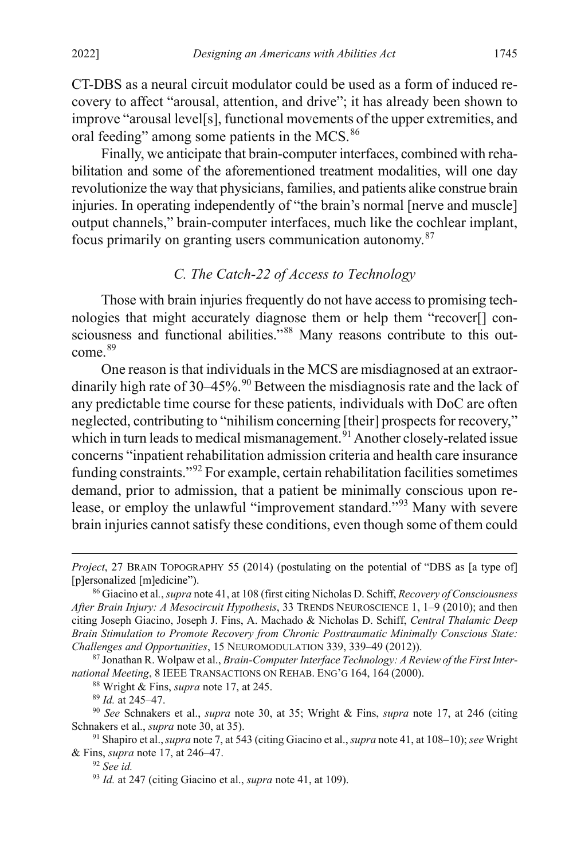CT-DBS as a neural circuit modulator could be used as a form of induced recovery to affect "arousal, attention, and drive"; it has already been shown to improve "arousal level[s], functional movements of the upper extremities, and oral feeding" among some patients in the MCS.<sup>[86](#page-18-2)</sup>

Finally, we anticipate that brain-computer interfaces, combined with rehabilitation and some of the aforementioned treatment modalities, will one day revolutionize the way that physicians, families, and patients alike construe brain injuries. In operating independently of "the brain's normal [nerve and muscle] output channels," brain-computer interfaces, much like the cochlear implant, focus primarily on granting users communication autonomy.[87](#page-18-3)

# <span id="page-18-1"></span><span id="page-18-0"></span>*C. The Catch-22 of Access to Technology*

Those with brain injuries frequently do not have access to promising technologies that might accurately diagnose them or help them "recover[] con-sciousness and functional abilities."<sup>[88](#page-18-4)</sup> Many reasons contribute to this outcome. [89](#page-18-5)

One reason is that individuals in the MCS are misdiagnosed at an extraor-dinarily high rate of 30–45%.<sup>[90](#page-18-6)</sup> Between the misdiagnosis rate and the lack of any predictable time course for these patients, individuals with DoC are often neglected, contributing to "nihilism concerning [their] prospects for recovery," which in turn leads to medical mismanagement.<sup>[91](#page-18-7)</sup> Another closely-related issue concerns "inpatient rehabilitation admission criteria and health care insurance funding constraints."[92](#page-18-8) For example, certain rehabilitation facilities sometimes demand, prior to admission, that a patient be minimally conscious upon release, or employ the unlawful "improvement standard."[93](#page-18-9) Many with severe brain injuries cannot satisfy these conditions, even though some of them could

<sup>88</sup> Wright & Fins, *supra* not[e 17,](#page-7-3) at 245.

<sup>89</sup> *Id.* at 245–47.

 $\overline{a}$ 

<sup>92</sup> *See id.*

*Project*, 27 BRAIN TOPOGRAPHY 55 (2014) (postulating on the potential of "DBS as [a type of] [p]ersonalized [m]edicine").

<span id="page-18-2"></span><sup>86</sup> Giacino et al*.*,*supra* not[e 41,](#page-12-13) at 108 (first citing Nicholas D. Schiff, *Recovery ofConsciousness After Brain Injury: A Mesocircuit Hypothesis*, 33 TRENDS NEUROSCIENCE 1, 1–9 (2010); and then citing Joseph Giacino, Joseph J. Fins, A. Machado & Nicholas D. Schiff, *Central Thalamic Deep Brain Stimulation to Promote Recovery from Chronic Posttraumatic Minimally Conscious State: Challenges and Opportunities*, 15 NEUROMODULATION 339, 339–49 (2012)).

<span id="page-18-4"></span><span id="page-18-3"></span><sup>87</sup> Jonathan R. Wolpaw et al., *Brain-Computer Interface Technology: A Review of the First International Meeting*, 8 IEEE TRANSACTIONS ON REHAB. ENG'G 164, 164 (2000).

<span id="page-18-6"></span><span id="page-18-5"></span><sup>90</sup> *See* Schnakers et al., *supra* note [30,](#page-11-0) at 35; Wright & Fins, *supra* note [17,](#page-7-3) at 246 (citing Schnakers et al., *supra* not[e 30,](#page-11-0) at 35).

<span id="page-18-9"></span><span id="page-18-8"></span><span id="page-18-7"></span><sup>91</sup> Shapiro et al.,*supra* not[e 7,](#page-5-0) at 543 (citing Giacino et al., *supra* not[e 41,](#page-12-13) at 108–10); *see* Wright & Fins, *supra* note [17,](#page-7-3) at 246–47.

<sup>93</sup> *Id.* at 247 (citing Giacino et al., *supra* not[e 41,](#page-12-13) at 109).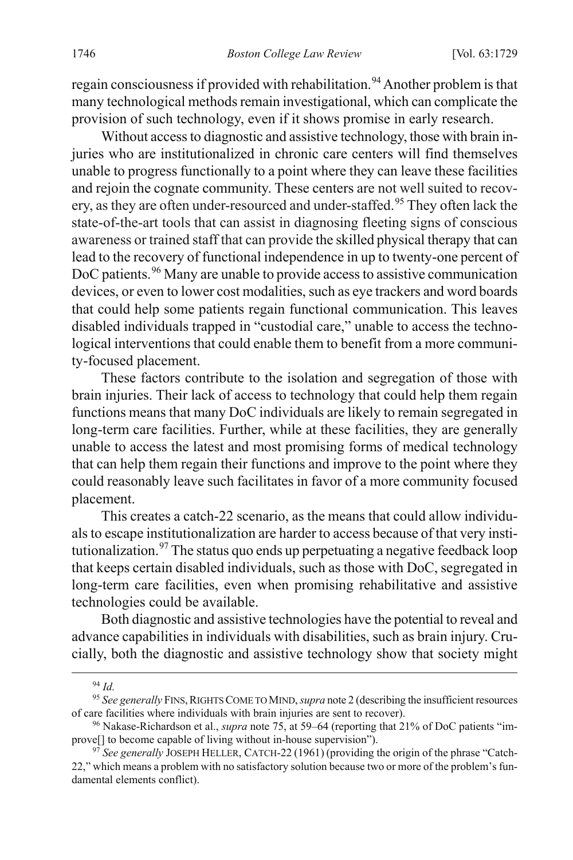regain consciousness if provided with rehabilitation.<sup>[94](#page-19-0)</sup> Another problem is that many technological methods remain investigational, which can complicate the provision of such technology, even if it shows promise in early research.

Without access to diagnostic and assistive technology, those with brain injuries who are institutionalized in chronic care centers will find themselves unable to progress functionally to a point where they can leave these facilities and rejoin the cognate community. These centers are not well suited to recov-ery, as they are often under-resourced and under-staffed.<sup>[95](#page-19-1)</sup> They often lack the state-of-the-art tools that can assist in diagnosing fleeting signs of conscious awareness or trained staff that can provide the skilled physical therapy that can lead to the recovery of functional independence in up to twenty-one percent of DoC patients.<sup>[96](#page-19-2)</sup> Many are unable to provide access to assistive communication devices, or even to lower cost modalities, such as eye trackers and word boards that could help some patients regain functional communication. This leaves disabled individuals trapped in "custodial care," unable to access the technological interventions that could enable them to benefit from a more community-focused placement.

These factors contribute to the isolation and segregation of those with brain injuries. Their lack of access to technology that could help them regain functions means that many DoC individuals are likely to remain segregated in long-term care facilities. Further, while at these facilities, they are generally unable to access the latest and most promising forms of medical technology that can help them regain their functions and improve to the point where they could reasonably leave such facilitates in favor of a more community focused placement.

This creates a catch-22 scenario, as the means that could allow individuals to escape institutionalization are harder to access because of that very insti-tutionalization.<sup>[97](#page-19-3)</sup> The status quo ends up perpetuating a negative feedback loop that keeps certain disabled individuals, such as those with DoC, segregated in long-term care facilities, even when promising rehabilitative and assistive technologies could be available.

Both diagnostic and assistive technologies have the potential to reveal and advance capabilities in individuals with disabilities, such as brain injury. Crucially, both the diagnostic and assistive technology show that society might

 <sup>94</sup> *Id.*

<span id="page-19-1"></span><span id="page-19-0"></span><sup>&</sup>lt;sup>95</sup> See generally FINS, RIGHTS COME TO MIND, *supra* not[e 2](#page-4-0) (describing the insufficient resources of care facilities where individuals with brain injuries are sent to recover).

<span id="page-19-2"></span><sup>96</sup> Nakase-Richardson et al., *supra* not[e 75,](#page-16-7) at 59–64 (reporting that 21% of DoC patients "improve[] to become capable of living without in-house supervision").

<span id="page-19-3"></span><sup>97</sup> *See generally* JOSEPH HELLER, CATCH-22 (1961) (providing the origin of the phrase "Catch-22," which means a problem with no satisfactory solution because two or more of the problem's fundamental elements conflict).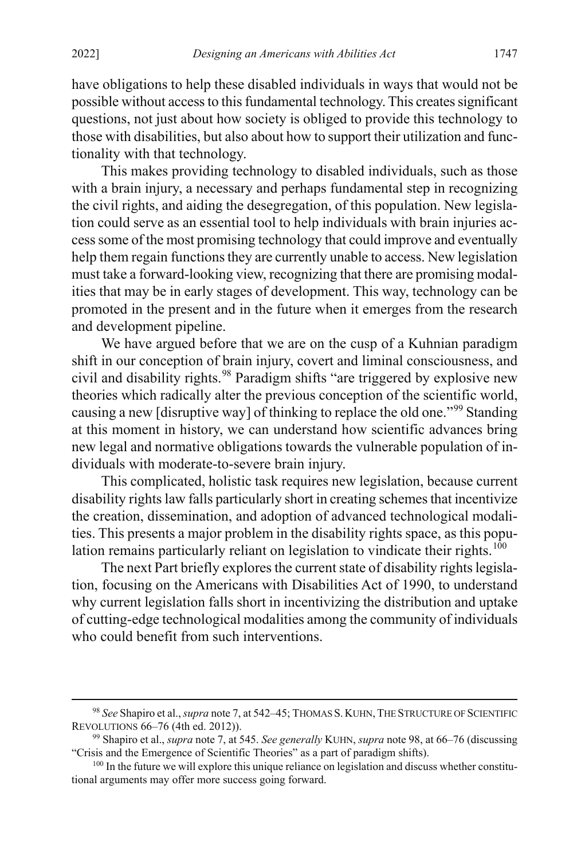have obligations to help these disabled individuals in ways that would not be possible without access to this fundamental technology. This creates significant questions, not just about how society is obliged to provide this technology to those with disabilities, but also about how to support their utilization and functionality with that technology.

This makes providing technology to disabled individuals, such as those with a brain injury, a necessary and perhaps fundamental step in recognizing the civil rights, and aiding the desegregation, of this population. New legislation could serve as an essential tool to help individuals with brain injuries access some of the most promising technology that could improve and eventually help them regain functions they are currently unable to access. New legislation must take a forward-looking view, recognizing that there are promising modalities that may be in early stages of development. This way, technology can be promoted in the present and in the future when it emerges from the research and development pipeline.

<span id="page-20-1"></span>We have argued before that we are on the cusp of a Kuhnian paradigm shift in our conception of brain injury, covert and liminal consciousness, and civil and disability rights.<sup>[98](#page-20-2)</sup> Paradigm shifts "are triggered by explosive new theories which radically alter the previous conception of the scientific world, causing a new [disruptive way] of thinking to replace the old one."[99](#page-20-3) Standing at this moment in history, we can understand how scientific advances bring new legal and normative obligations towards the vulnerable population of individuals with moderate-to-severe brain injury.

This complicated, holistic task requires new legislation, because current disability rights law falls particularly short in creating schemes that incentivize the creation, dissemination, and adoption of advanced technological modalities. This presents a major problem in the disability rights space, as this popu-lation remains particularly reliant on legislation to vindicate their rights.<sup>[100](#page-20-4)</sup>

<span id="page-20-0"></span>The next Part briefly explores the current state of disability rights legislation, focusing on the Americans with Disabilities Act of 1990, to understand why current legislation falls short in incentivizing the distribution and uptake of cutting-edge technological modalities among the community of individuals who could benefit from such interventions.

<span id="page-20-2"></span> <sup>98</sup> *See* Shapiro et al.,*supra* not[e 7,](#page-5-0) at 542–45; THOMAS S.KUHN,THE STRUCTURE OF SCIENTIFIC REVOLUTIONS 66–76 (4th ed. 2012)).

<span id="page-20-3"></span><sup>99</sup> Shapiro et al., *supra* not[e 7,](#page-5-0) at 545. *See generally* KUHN, *supra* not[e 98,](#page-20-1) at 66–76 (discussing "Crisis and the Emergence of Scientific Theories" as a part of paradigm shifts).

<span id="page-20-4"></span><sup>&</sup>lt;sup>100</sup> In the future we will explore this unique reliance on legislation and discuss whether constitutional arguments may offer more success going forward.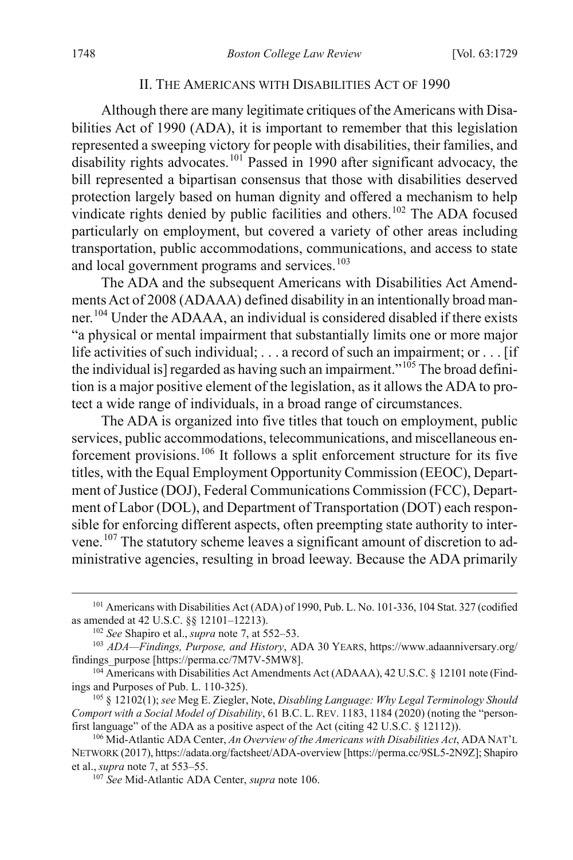#### <span id="page-21-0"></span>II. THE AMERICANS WITH DISABILITIES ACT OF 1990

Although there are many legitimate critiques of the Americans with Disabilities Act of 1990 (ADA), it is important to remember that this legislation represented a sweeping victory for people with disabilities, their families, and disability rights advocates.<sup>[101](#page-21-2)</sup> Passed in 1990 after significant advocacy, the bill represented a bipartisan consensus that those with disabilities deserved protection largely based on human dignity and offered a mechanism to help vindicate rights denied by public facilities and others.<sup>[102](#page-21-3)</sup> The ADA focused particularly on employment, but covered a variety of other areas including transportation, public accommodations, communications, and access to state and local government programs and services.<sup>[103](#page-21-4)</sup>

<span id="page-21-9"></span>The ADA and the subsequent Americans with Disabilities Act Amendments Act of 2008 (ADAAA) defined disability in an intentionally broad manner.[104](#page-21-5) Under the ADAAA, an individual is considered disabled if there exists "a physical or mental impairment that substantially limits one or more major life activities of such individual; . . . a record of such an impairment; or . . . [if the individual is] regarded as having such an impairment." $105$  The broad definition is a major positive element of the legislation, as it allows the ADA to protect a wide range of individuals, in a broad range of circumstances.

<span id="page-21-1"></span>The ADA is organized into five titles that touch on employment, public services, public accommodations, telecommunications, and miscellaneous enforcement provisions.[106](#page-21-7) It follows a split enforcement structure for its five titles, with the Equal Employment Opportunity Commission (EEOC), Department of Justice (DOJ), Federal Communications Commission (FCC), Department of Labor (DOL), and Department of Transportation (DOT) each responsible for enforcing different aspects, often preempting state authority to intervene.[107](#page-21-8) The statutory scheme leaves a significant amount of discretion to administrative agencies, resulting in broad leeway. Because the ADA primarily

<span id="page-21-2"></span><sup>&</sup>lt;sup>101</sup> Americans with Disabilities Act (ADA) of 1990, Pub. L. No. 101-336, 104 Stat. 327 (codified as amended at 42 U.S.C. §§ 12101–12213).

<sup>102</sup> *See* Shapiro et al., *supra* not[e 7,](#page-5-0) at 552–53.

<span id="page-21-4"></span><span id="page-21-3"></span><sup>103</sup> *ADA—Findings, Purpose, and History*, ADA 30 YEARS, https://www.adaanniversary.org/ findings\_purpose [https://perma.cc/7M7V-5MW8].

<span id="page-21-5"></span><sup>&</sup>lt;sup>104</sup> Americans with Disabilities Act Amendments Act (ADAAA), 42 U.S.C. § 12101 note (Findings and Purposes of Pub. L. 110-325).

<span id="page-21-6"></span><sup>105</sup> § 12102(1); *see* Meg E. Ziegler, Note, *Disabling Language: Why Legal Terminology Should Comport with a Social Model of Disability*, 61 B.C. L. REV. 1183, 1184 (2020) (noting the "personfirst language" of the ADA as a positive aspect of the Act (citing 42 U.S.C. § 12112)).

<span id="page-21-8"></span><span id="page-21-7"></span><sup>106</sup> Mid-Atlantic ADA Center, *An Overview of the Americans with Disabilities Act*, ADA NAT'L NETWORK (2017), https://adata.org/factsheet/ADA-overview [https://perma.cc/9SL5-2N9Z]; Shapiro et al., *supra* not[e 7,](#page-5-0) at 553–55.

<sup>107</sup> *See* Mid-Atlantic ADA Center, *supra* not[e 106.](#page-21-1)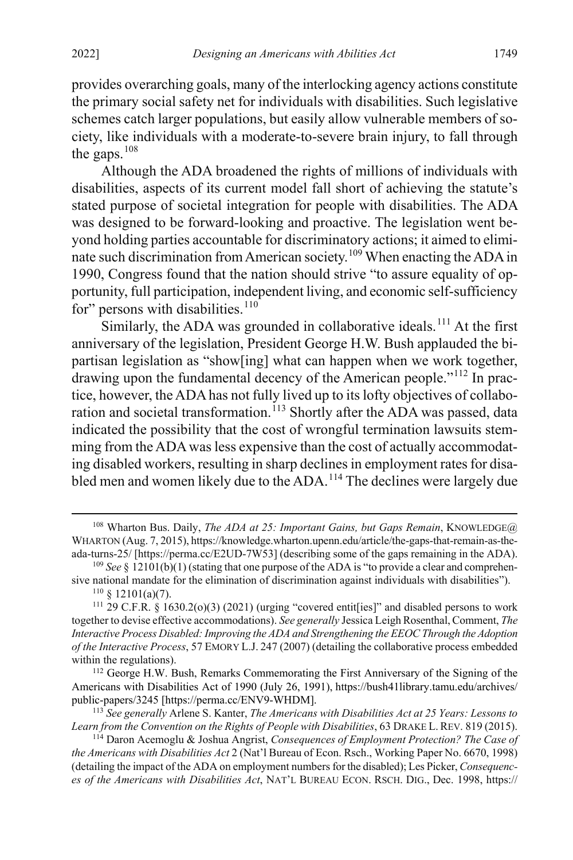provides overarching goals, many of the interlocking agency actions constitute the primary social safety net for individuals with disabilities. Such legislative schemes catch larger populations, but easily allow vulnerable members of society, like individuals with a moderate-to-severe brain injury, to fall through the gaps. $108$ 

Although the ADA broadened the rights of millions of individuals with disabilities, aspects of its current model fall short of achieving the statute's stated purpose of societal integration for people with disabilities. The ADA was designed to be forward-looking and proactive. The legislation went beyond holding parties accountable for discriminatory actions; it aimed to elimi-nate such discrimination from American society.<sup>[109](#page-22-1)</sup> When enacting the ADA in 1990, Congress found that the nation should strive "to assure equality of opportunity, full participation, independent living, and economic self-sufficiency for" persons with disabilities. $110$ 

<span id="page-22-8"></span>Similarly, the ADA was grounded in collaborative ideals.<sup>[111](#page-22-3)</sup> At the first anniversary of the legislation, President George H.W. Bush applauded the bipartisan legislation as "show[ing] what can happen when we work together, drawing upon the fundamental decency of the American people."[112](#page-22-4) In practice, however, the ADA has not fully lived up to its lofty objectives of collabo-ration and societal transformation.<sup>[113](#page-22-5)</sup> Shortly after the ADA was passed, data indicated the possibility that the cost of wrongful termination lawsuits stemming from the ADA was less expensive than the cost of actually accommodating disabled workers, resulting in sharp declines in employment rates for disa-bled men and women likely due to the ADA.<sup>[114](#page-22-6)</sup> The declines were largely due

<span id="page-22-7"></span>

<span id="page-22-0"></span> <sup>108</sup> Wharton Bus. Daily, *The ADA at 25: Important Gains, but Gaps Remain*, KNOWLEDGE@ WHARTON (Aug. 7, 2015), https://knowledge.wharton.upenn.edu/article/the-gaps-that-remain-as-theada-turns-25/ [https://perma.cc/E2UD-7W53] (describing some of the gaps remaining in the ADA).

<span id="page-22-1"></span><sup>109</sup> *See* § 12101(b)(1) (stating that one purpose of the ADA is "to provide a clear and comprehensive national mandate for the elimination of discrimination against individuals with disabilities").<br><sup>110</sup> § 12101(a)(7).

<span id="page-22-3"></span><span id="page-22-2"></span> $111$  29 C.F.R. § 1630.2(o)(3) (2021) (urging "covered entit[ies]" and disabled persons to work together to devise effective accommodations). *See generally* Jessica Leigh Rosenthal, Comment, *The Interactive Process Disabled: Improving the ADA and Strengthening the EEOC Through the Adoption of the Interactive Process*, 57 EMORY L.J. 247 (2007) (detailing the collaborative process embedded within the regulations).<br><sup>112</sup> George H.W. Bush, Remarks Commemorating the First Anniversary of the Signing of the

<span id="page-22-4"></span>Americans with Disabilities Act of 1990 (July 26, 1991), https://bush41library.tamu.edu/archives/ public-papers/3245 [https://perma.cc/ENV9-WHDM]. 113 *See generally* Arlene S. Kanter, *The Americans with Disabilities Act at 25 Years: Lessons to* 

<span id="page-22-5"></span>*Learn from the Convention on the Rights of People with Disabilities*, 63 DRAKE L. REV. 819 (2015).

<span id="page-22-6"></span><sup>114</sup> Daron Acemoglu & Joshua Angrist, *Consequences of Employment Protection? The Case of the Americans with Disabilities Act* 2 (Nat'l Bureau of Econ. Rsch., Working Paper No. 6670, 1998) (detailing the impact of the ADA on employment numbers for the disabled); Les Picker, *Consequences of the Americans with Disabilities Act*, NAT'L BUREAU ECON. RSCH. DIG., Dec. 1998, https://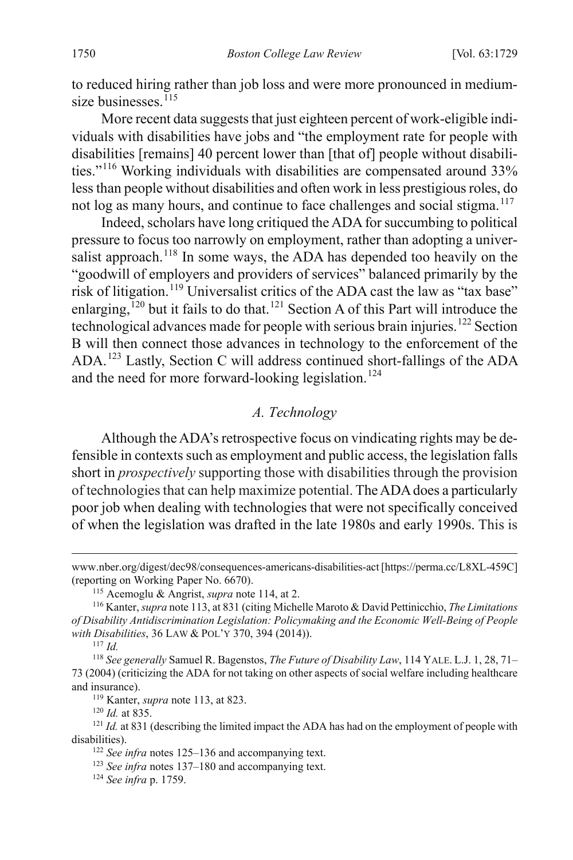to reduced hiring rather than job loss and were more pronounced in medium-size businesses.<sup>[115](#page-23-0)</sup>

More recent data suggests that just eighteen percent of work-eligible individuals with disabilities have jobs and "the employment rate for people with disabilities [remains] 40 percent lower than [that of] people without disabilities."[116](#page-23-1) Working individuals with disabilities are compensated around 33% less than people without disabilities and often work in less prestigiousroles, do not log as many hours, and continue to face challenges and social stigma.<sup>[117](#page-23-2)</sup>

<span id="page-23-10"></span>Indeed, scholars have long critiqued the ADA for succumbing to political pressure to focus too narrowly on employment, rather than adopting a universalist approach.<sup>118</sup> In some ways, the ADA has depended too heavily on the "goodwill of employers and providers of services" balanced primarily by the risk of litigation.<sup>[119](#page-23-4)</sup> Universalist critics of the ADA cast the law as "tax base" enlarging,<sup> $120$ </sup> but it fails to do that.<sup>[121](#page-23-6)</sup> Section A of this Part will introduce the technological advances made for people with serious brain injuries.[122](#page-23-7) Section B will then connect those advances in technology to the enforcement of the ADA.[123](#page-23-8) Lastly, Section C will address continued short-fallings of the ADA and the need for more forward-looking legislation.<sup>[124](#page-23-9)</sup>

# *A. Technology*

Although the ADA's retrospective focus on vindicating rights may be defensible in contexts such as employment and public access, the legislation falls short in *prospectively* supporting those with disabilities through the provision of technologies that can help maximize potential. The ADA does a particularly poor job when dealing with technologies that were not specifically conceived of when the legislation was drafted in the late 1980s and early 1990s. This is

 $\overline{a}$ 

119 Kanter, *supra* note [113,](#page-22-8) at 823.

<sup>120</sup> *Id.* at 835.

www.nber.org/digest/dec98/consequences-americans-disabilities-act [https://perma.cc/L8XL-459C] (reporting on Working Paper No. 6670).

<span id="page-23-1"></span><span id="page-23-0"></span><sup>&</sup>lt;sup>115</sup> Acemoglu & Angrist, *supra* not[e 114,](#page-22-7) at 2.<br><sup>116</sup> Kanter, *supra* note 113, at 831 (citing Michelle Maroto & David Pettinicchio, *The Limitations of Disability Antidiscrimination Legislation: Policymaking and the Economic Well-Being of People with Disabilities*, 36 LAW & POL'Y 370, 394 (2014)). 117 *Id.*

<span id="page-23-3"></span><span id="page-23-2"></span><sup>118</sup> *See generally* Samuel R. Bagenstos, *The Future of Disability Law*, 114 YALE. L.J. 1, 28, 71– 73 (2004) (criticizing the ADA for not taking on other aspects of social welfare including healthcare and insurance).

<span id="page-23-9"></span><span id="page-23-8"></span><span id="page-23-7"></span><span id="page-23-6"></span><span id="page-23-5"></span><span id="page-23-4"></span><sup>&</sup>lt;sup>121</sup> *Id.* at 831 (describing the limited impact the ADA has had on the employment of people with disabilities).

<sup>122</sup> *See infra* notes [125–](#page-24-0)[136 a](#page-26-0)nd accompanying text.

<sup>123</sup> *See infra* notes [137–](#page-26-1)180 [a](#page-31-0)nd accompanying text. 124 *See infra* p. 1759.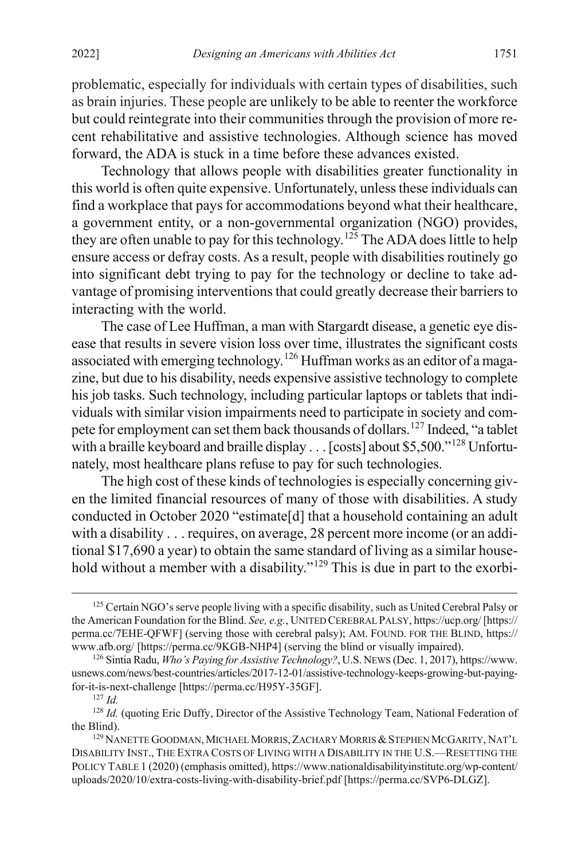problematic, especially for individuals with certain types of disabilities, such as brain injuries. These people are unlikely to be able to reenter the workforce but could reintegrate into their communities through the provision of more recent rehabilitative and assistive technologies. Although science has moved forward, the ADA is stuck in a time before these advances existed.

<span id="page-24-0"></span>Technology that allows people with disabilities greater functionality in this world is often quite expensive. Unfortunately, unless these individuals can find a workplace that pays for accommodations beyond what their healthcare, a government entity, or a non-governmental organization (NGO) provides, they are often unable to pay for this technology.[125](#page-24-1) The ADA does little to help ensure access or defray costs. As a result, people with disabilities routinely go into significant debt trying to pay for the technology or decline to take advantage of promising interventions that could greatly decrease their barriers to interacting with the world.

The case of Lee Huffman, a man with Stargardt disease, a genetic eye disease that results in severe vision loss over time, illustrates the significant costs associated with emerging technology.<sup>[126](#page-24-2)</sup> Huffman works as an editor of a magazine, but due to his disability, needs expensive assistive technology to complete his job tasks. Such technology, including particular laptops or tablets that individuals with similar vision impairments need to participate in society and com-pete for employment can set them back thousands of dollars.<sup>[127](#page-24-3)</sup> Indeed, "a tablet with a braille keyboard and braille display . . . [costs] about \$5,500."<sup>[128](#page-24-4)</sup> Unfortunately, most healthcare plans refuse to pay for such technologies.

The high cost of these kinds of technologies is especially concerning given the limited financial resources of many of those with disabilities. A study conducted in October 2020 "estimate[d] that a household containing an adult with a disability . . . requires, on average, 28 percent more income (or an additional \$17,690 a year) to obtain the same standard of living as a similar house-hold without a member with a disability."<sup>[129](#page-24-5)</sup> This is due in part to the exorbi-

<span id="page-24-1"></span><sup>&</sup>lt;sup>125</sup> Certain NGO's serve people living with a specific disability, such as United Cerebral Palsy or the American Foundation for the Blind. *See, e.g.*, UNITED CEREBRAL PALSY, https://ucp.org/ [https:// perma.cc/7EHE-QFWF] (serving those with cerebral palsy); AM. FOUND. FOR THE BLIND, https:// www.afb.org/ [https://perma.cc/9KGB-NHP4] (serving the blind or visually impaired).

<span id="page-24-2"></span><sup>126</sup> Sintia Radu, *Who's Paying for Assistive Technology?*, U.S. NEWS (Dec. 1, 2017), https://www. usnews.com/news/best-countries/articles/2017-12-01/assistive-technology-keeps-growing-but-payingfor-it-is-next-challenge [https://perma.cc/H95Y-35GF].

<sup>127</sup> *Id.*

<span id="page-24-4"></span><span id="page-24-3"></span><sup>&</sup>lt;sup>128</sup> *Id.* (quoting Eric Duffy, Director of the Assistive Technology Team, National Federation of the Blind).

<span id="page-24-5"></span><sup>&</sup>lt;sup>129</sup> NANETTE GOODMAN, MICHAEL MORRIS, ZACHARY MORRIS & STEPHEN MCGARITY, NAT'L DISABILITY INST., THE EXTRA COSTS OF LIVING WITH A DISABILITY IN THE U.S.—RESETTING THE POLICY TABLE 1 (2020) (emphasis omitted), https://www.nationaldisabilityinstitute.org/wp-content/ uploads/2020/10/extra-costs-living-with-disability-brief.pdf [https://perma.cc/SVP6-DLGZ].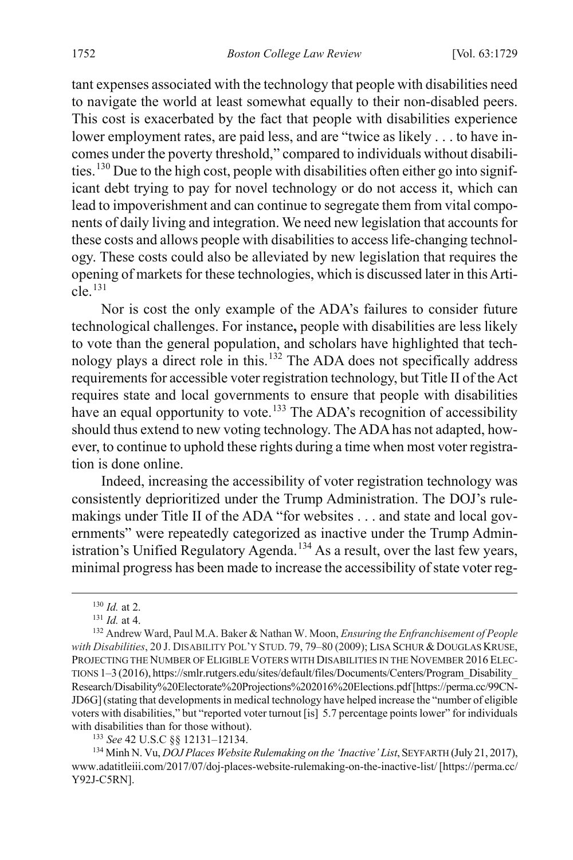tant expenses associated with the technology that people with disabilities need to navigate the world at least somewhat equally to their non-disabled peers. This cost is exacerbated by the fact that people with disabilities experience lower employment rates, are paid less, and are "twice as likely . . . to have incomes under the poverty threshold," compared to individuals without disabilities.[130](#page-25-0) Due to the high cost, people with disabilities often either go into significant debt trying to pay for novel technology or do not access it, which can lead to impoverishment and can continue to segregate them from vital components of daily living and integration. We need new legislation that accounts for these costs and allows people with disabilities to access life-changing technology. These costs could also be alleviated by new legislation that requires the opening of markets for these technologies, which is discussed later in this Article. [131](#page-25-1)

Nor is cost the only example of the ADA's failures to consider future technological challenges. For instance**,** people with disabilities are less likely to vote than the general population, and scholars have highlighted that technology plays a direct role in this.[132](#page-25-2) The ADA does not specifically address requirements for accessible voter registration technology, but Title II of the Act requires state and local governments to ensure that people with disabilities have an equal opportunity to vote.<sup>[133](#page-25-3)</sup> The ADA's recognition of accessibility should thus extend to new voting technology. The ADA has not adapted, however, to continue to uphold these rights during a time when most voter registration is done online.

Indeed, increasing the accessibility of voter registration technology was consistently deprioritized under the Trump Administration. The DOJ's rulemakings under Title II of the ADA "for websites . . . and state and local governments" were repeatedly categorized as inactive under the Trump Admin-istration's Unified Regulatory Agenda.<sup>[134](#page-25-4)</sup> As a result, over the last few years, minimal progress has been made to increase the accessibility of state voter reg-

<sup>133</sup> *See* 42 U.S.C §§ 12131–12134.

<span id="page-25-4"></span><span id="page-25-3"></span><sup>134</sup> Minh N. Vu, *DOJ Places Website Rulemaking on the 'Inactive' List*, SEYFARTH (July 21, 2017), www.adatitleiii.com/2017/07/doj-places-website-rulemaking-on-the-inactive-list/ [https://perma.cc/ Y92J-C5RN].

 <sup>130</sup> *Id.* at 2.

<sup>131</sup> *Id.* at 4.

<span id="page-25-2"></span><span id="page-25-1"></span><span id="page-25-0"></span><sup>132</sup> Andrew Ward, Paul M.A. Baker & Nathan W. Moon, *Ensuring the Enfranchisement of People*  with Disabilities, 20 J. DISABILITY POL'Y STUD. 79, 79–80 (2009); LISA SCHUR & DOUGLAS KRUSE, PROJECTING THE NUMBER OF ELIGIBLE VOTERS WITH DISABILITIES IN THE NOVEMBER 2016 ELEC-TIONS 1–3 (2016), https://smlr.rutgers.edu/sites/default/files/Documents/Centers/Program\_Disability\_ Research/Disability%20Electorate%20Projections%202016%20Elections.pdf[https://perma.cc/99CN-JD6G](stating that developmentsin medical technology have helped increase the "number of eligible voters with disabilities," but "reported voter turnout [is] 5.7 percentage points lower" for individuals with disabilities than for those without).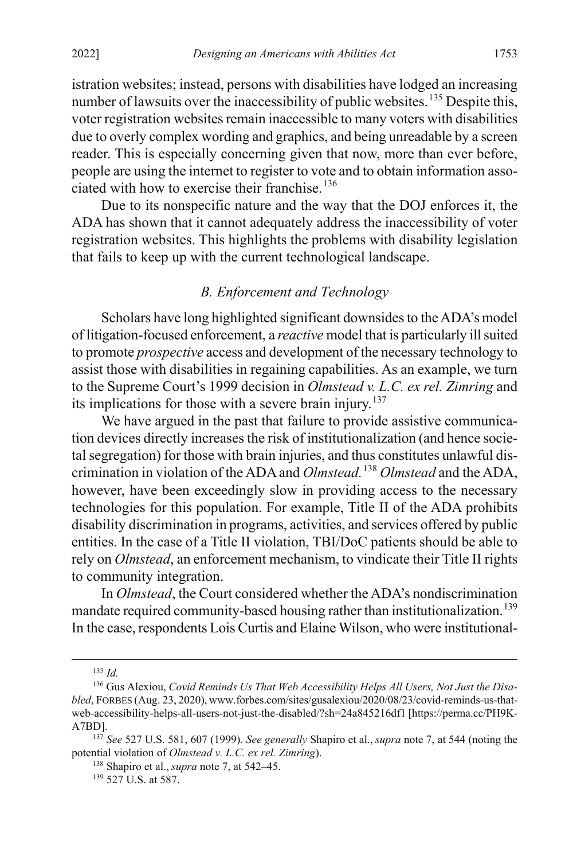istration websites; instead, persons with disabilities have lodged an increasing number of lawsuits over the inaccessibility of public websites.<sup>[135](#page-26-2)</sup> Despite this, voter registration websites remain inaccessible to many voters with disabilities due to overly complex wording and graphics, and being unreadable by a screen reader. This is especially concerning given that now, more than ever before, people are using the internet to register to vote and to obtain information asso-ciated with how to exercise their franchise.<sup>[136](#page-26-3)</sup>

Due to its nonspecific nature and the way that the DOJ enforces it, the ADA has shown that it cannot adequately address the inaccessibility of voter registration websites. This highlights the problems with disability legislation that fails to keep up with the current technological landscape.

# <span id="page-26-1"></span><span id="page-26-0"></span>*B. Enforcement and Technology*

Scholars have long highlighted significant downsides to the ADA's model of litigation-focused enforcement, a *reactive* model that is particularly ill suited to promote *prospective* access and development of the necessary technology to assist those with disabilities in regaining capabilities. As an example, we turn to the Supreme Court's 1999 decision in *Olmstead v. L.C. ex rel. Zimring* and its implications for those with a severe brain injury.<sup>[137](#page-26-4)</sup>

We have argued in the past that failure to provide assistive communication devices directly increases the risk of institutionalization (and hence societal segregation) for those with brain injuries, and thus constitutes unlawful discrimination in violation of the ADA and *Olmstead.*[138](#page-26-5) *Olmstead* and the ADA, however, have been exceedingly slow in providing access to the necessary technologies for this population. For example, Title II of the ADA prohibits disability discrimination in programs, activities, and services offered by public entities. In the case of a Title II violation, TBI/DoC patients should be able to rely on *Olmstead*, an enforcement mechanism, to vindicate their Title II rights to community integration.

In *Olmstead*, the Court considered whether the ADA's nondiscrimination mandate required community-based housing rather than institutionalization.<sup>[139](#page-26-6)</sup> In the case, respondents Lois Curtis and Elaine Wilson, who were institutional-

 <sup>135</sup> *Id.*

<span id="page-26-3"></span><span id="page-26-2"></span><sup>136</sup> Gus Alexiou, *Covid Reminds Us That Web Accessibility Helps All Users, Not Just the Disabled*, FORBES (Aug. 23, 2020), www.forbes.com/sites/gusalexiou/2020/08/23/covid-reminds-us-thatweb-accessibility-helps-all-users-not-just-the-disabled/?sh=24a845216df1 [https://perma.cc/PH9K-A7BD].

<span id="page-26-6"></span><span id="page-26-5"></span><span id="page-26-4"></span><sup>137</sup> *See* 527 U.S. 581, 607 (1999). *See generally* Shapiro et al., *supra* not[e 7,](#page-5-0) at 544 (noting the potential violation of *Olmstead v. L.C. ex rel. Zimring*).

<sup>138</sup> Shapiro et al., *supra* not[e 7,](#page-5-0) at 542–45.

<sup>139</sup> 527 U.S. at 587.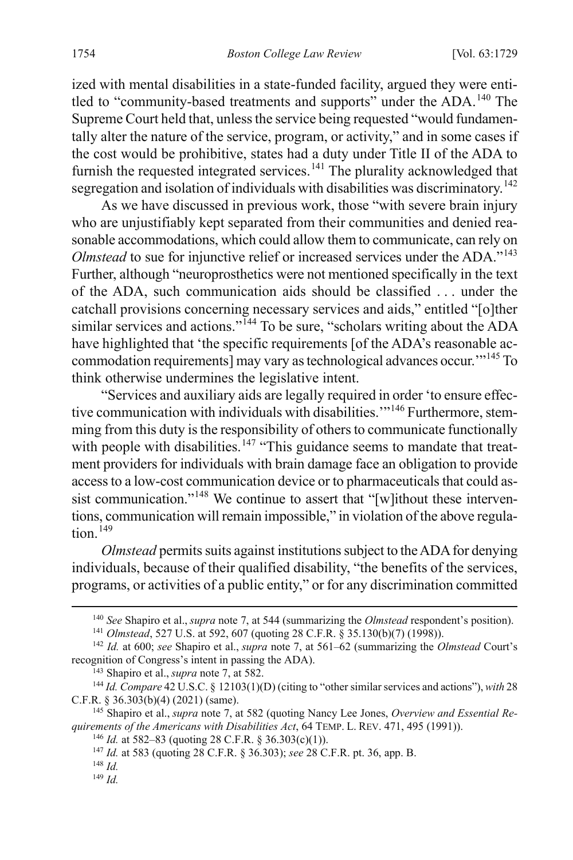ized with mental disabilities in a state-funded facility, argued they were enti-tled to "community-based treatments and supports" under the ADA.<sup>[140](#page-27-0)</sup> The Supreme Court held that, unless the service being requested "would fundamentally alter the nature of the service, program, or activity," and in some cases if the cost would be prohibitive, states had a duty under Title II of the ADA to furnish the requested integrated services.<sup>[141](#page-27-1)</sup> The plurality acknowledged that segregation and isolation of individuals with disabilities was discriminatory.<sup>[142](#page-27-2)</sup>

As we have discussed in previous work, those "with severe brain injury who are unjustifiably kept separated from their communities and denied reasonable accommodations, which could allow them to communicate, can rely on *Olmstead* to sue for injunctive relief or increased services under the ADA."<sup>[143](#page-27-3)</sup> Further, although "neuroprosthetics were not mentioned specifically in the text of the ADA, such communication aids should be classified . . . under the catchall provisions concerning necessary services and aids," entitled "[o]ther similar services and actions."<sup>[144](#page-27-4)</sup> To be sure, "scholars writing about the ADA have highlighted that 'the specific requirements [of the ADA's reasonable accommodation requirements] may vary as technological advances occur.'"[145](#page-27-5) To think otherwise undermines the legislative intent.

"Services and auxiliary aids are legally required in order 'to ensure effec-tive communication with individuals with disabilities.'"<sup>[146](#page-27-6)</sup> Furthermore, stemming from this duty is the responsibility of others to communicate functionally with people with disabilities.<sup>[147](#page-27-7)</sup> "This guidance seems to mandate that treatment providers for individuals with brain damage face an obligation to provide access to a low-cost communication device or to pharmaceuticals that could as-sist communication."<sup>[148](#page-27-8)</sup> We continue to assert that "[w]ithout these interventions, communication will remain impossible," in violation of the above regula $tion.$ <sup>[149](#page-27-9)</sup>

*Olmstead* permits suits against institutions subject to the ADA for denying individuals, because of their qualified disability, "the benefits of the services, programs, or activities of a public entity," or for any discrimination committed

<sup>143</sup> Shapiro et al., *supra* not[e 7,](#page-5-0) at 582.

 <sup>140</sup> *See* Shapiro et al., *supra* not[e 7,](#page-5-0) at 544 (summarizing the *Olmstead* respondent's position).

<sup>141</sup> *Olmstead*, 527 U.S. at 592, 607 (quoting 28 C.F.R. § 35.130(b)(7) (1998)).

<span id="page-27-2"></span><span id="page-27-1"></span><span id="page-27-0"></span><sup>142</sup> *Id.* at 600; *see* Shapiro et al., *supra* note [7,](#page-5-0) at 561–62 (summarizing the *Olmstead* Court's recognition of Congress's intent in passing the ADA).

<span id="page-27-4"></span><span id="page-27-3"></span><sup>144</sup> *Id. Compare* 42 U.S.C. § 12103(1)(D) (citing to "other similar services and actions"), *with* 28 C.F.R. § 36.303(b)(4) (2021) (same).

<span id="page-27-8"></span><span id="page-27-7"></span><span id="page-27-6"></span><span id="page-27-5"></span><sup>145</sup> Shapiro et al., *supra* not[e 7,](#page-5-0) at 582 (quoting Nancy Lee Jones, *Overview and Essential Requirements of the Americans with Disabilities Act*, 64 TEMP. L. REV. 471, 495 (1991)).

<sup>146</sup> *Id.* at 582–83 (quoting 28 C.F.R. § 36.303(c)(1)).

<sup>147</sup> *Id.* at 583 (quoting 28 C.F.R. § 36.303); *see* 28 C.F.R. pt. 36, app. B.

<sup>148</sup> *Id.*

<span id="page-27-9"></span><sup>149</sup> *Id.*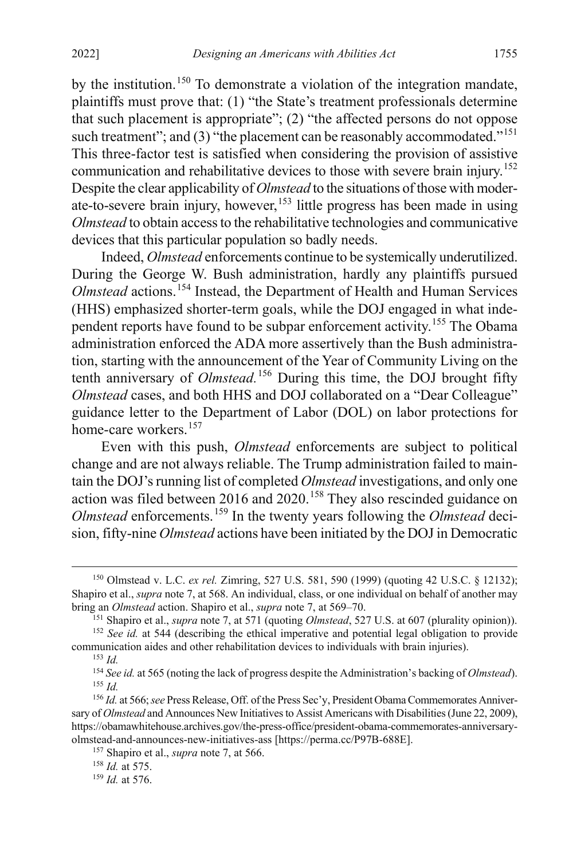by the institution.<sup>[150](#page-28-0)</sup> To demonstrate a violation of the integration mandate, plaintiffs must prove that: (1) "the State's treatment professionals determine that such placement is appropriate"; (2) "the affected persons do not oppose such treatment"; and (3) "the placement can be reasonably accommodated."<sup>[151](#page-28-1)</sup> This three-factor test is satisfied when considering the provision of assistive communication and rehabilitative devices to those with severe brain injury.<sup>[152](#page-28-2)</sup> Despite the clear applicability of *Olmstead* to the situations of those with moderate-to-severe brain injury, however,  $153$  little progress has been made in using *Olmstead* to obtain access to the rehabilitative technologies and communicative devices that this particular population so badly needs.

Indeed, *Olmstead* enforcements continue to be systemically underutilized. During the George W. Bush administration, hardly any plaintiffs pursued *Olmstead* actions.[154](#page-28-4) Instead, the Department of Health and Human Services (HHS) emphasized shorter-term goals, while the DOJ engaged in what inde-pendent reports have found to be subpar enforcement activity.<sup>[155](#page-28-5)</sup> The Obama administration enforced the ADA more assertively than the Bush administration, starting with the announcement of the Year of Community Living on the tenth anniversary of *Olmstead.*[156](#page-28-6) During this time, the DOJ brought fifty *Olmstead* cases, and both HHS and DOJ collaborated on a "Dear Colleague" guidance letter to the Department of Labor (DOL) on labor protections for home-care workers.<sup>[157](#page-28-7)</sup>

Even with this push, *Olmstead* enforcements are subject to political change and are not always reliable. The Trump administration failed to maintain the DOJ's running list of completed *Olmstead* investigations, and only one action was filed between 2016 and  $2020$ .<sup>[158](#page-28-8)</sup> They also rescinded guidance on *Olmstead* enforcements.<sup>[159](#page-28-9)</sup> In the twenty years following the *Olmstead* decision, fifty-nine *Olmstead* actions have been initiated by the DOJ in Democratic

<sup>157</sup> Shapiro et al., *supra* note [7,](#page-5-0) at 566.

<span id="page-28-0"></span> <sup>150</sup> Olmstead v. L.C. *ex rel.* Zimring, 527 U.S. 581, 590 (1999) (quoting 42 U.S.C. § 12132); Shapiro et al., *supra* note [7,](#page-5-0) at 568. An individual, class, or one individual on behalf of another may bring an *Olmstead* action. Shapiro et al., *supra* not[e 7,](#page-5-0) at 569–70.

<sup>151</sup> Shapiro et al., *supra* note [7,](#page-5-0) at 571 (quoting *Olmstead*, 527 U.S. at 607 (plurality opinion)).

<span id="page-28-3"></span><span id="page-28-2"></span><span id="page-28-1"></span><sup>&</sup>lt;sup>152</sup> See id. at 544 (describing the ethical imperative and potential legal obligation to provide communication aides and other rehabilitation devices to individuals with brain injuries). <sup>153</sup> *Id.*

<sup>154</sup> *See id.* at 565 (noting the lack of progress despite the Administration's backing of *Olmstead*). <sup>155</sup> *Id.*

<span id="page-28-7"></span><span id="page-28-6"></span><span id="page-28-5"></span><span id="page-28-4"></span><sup>156</sup> *Id.* at 566;*see* Press Release, Off. of the Press Sec'y, President Obama Commemorates Anniversary of *Olmstead* and Announces New Initiatives to Assist Americans with Disabilities(June 22, 2009), https://obamawhitehouse.archives.gov/the-press-office/president-obama-commemorates-anniversaryolmstead-and-announces-new-initiatives-ass [https://perma.cc/P97B-688E].

<span id="page-28-8"></span><sup>158</sup> *Id.* at 575.

<span id="page-28-9"></span><sup>159</sup> *Id.* at 576.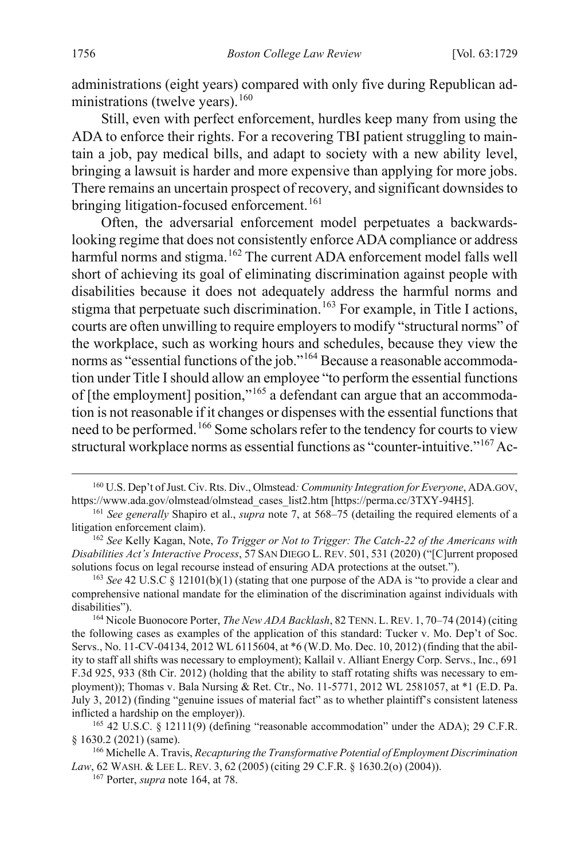administrations (eight years) compared with only five during Republican administrations (twelve years). $160$ 

Still, even with perfect enforcement, hurdles keep many from using the ADA to enforce their rights. For a recovering TBI patient struggling to maintain a job, pay medical bills, and adapt to society with a new ability level, bringing a lawsuit is harder and more expensive than applying for more jobs. There remains an uncertain prospect of recovery, and significant downsides to bringing litigation-focused enforcement.<sup>[161](#page-29-2)</sup>

Often, the adversarial enforcement model perpetuates a backwardslooking regime that does not consistently enforce ADA compliance or address harmful norms and stigma.<sup>[162](#page-29-3)</sup> The current ADA enforcement model falls well short of achieving its goal of eliminating discrimination against people with disabilities because it does not adequately address the harmful norms and stigma that perpetuate such discrimination.<sup>[163](#page-29-4)</sup> For example, in Title I actions, courts are often unwilling to require employers to modify "structural norms" of the workplace, such as working hours and schedules, because they view the norms as "essential functions of the job."[164](#page-29-5) Because a reasonable accommodation under Title I should allow an employee "to perform the essential functions of [the employment] position,"[165](#page-29-6) a defendant can argue that an accommodation is not reasonable if it changes or dispenses with the essential functions that need to be performed.<sup>[166](#page-29-7)</sup> Some scholars refer to the tendency for courts to view structural workplace norms as essential functions as "counter-intuitive."<sup>[167](#page-29-8)</sup> Ac-

<span id="page-29-1"></span><span id="page-29-0"></span> <sup>160</sup> U.S. Dep't of Just. Civ. Rts. Div., Olmstead*: Community Integration for Everyone*, ADA.GOV, https://www.ada.gov/olmstead/olmstead\_cases\_list2.htm [https://perma.cc/3TXY-94H5].

<span id="page-29-2"></span><sup>161</sup> *See generally* Shapiro et al., *supra* note [7,](#page-5-0) at 568–75 (detailing the required elements of a litigation enforcement claim).

<span id="page-29-3"></span><sup>162</sup> *See* Kelly Kagan, Note, *To Trigger or Not to Trigger: The Catch-22 of the Americans with Disabilities Act's Interactive Process*, 57 SAN DIEGO L. REV. 501, 531 (2020) ("[C]urrent proposed solutions focus on legal recourse instead of ensuring ADA protections at the outset.").

<span id="page-29-4"></span><sup>163</sup> *See* 42 U.S.C § 12101(b)(1) (stating that one purpose of the ADA is "to provide a clear and comprehensive national mandate for the elimination of the discrimination against individuals with disabilities").

<span id="page-29-5"></span><sup>164</sup> Nicole Buonocore Porter, *The New ADA Backlash*, 82 TENN. L.REV. 1, 70–74 (2014) (citing the following cases as examples of the application of this standard: Tucker v. Mo. Dep't of Soc. Servs., No. 11-CV-04134, 2012 WL 6115604, at \*6 (W.D. Mo. Dec. 10, 2012) (finding that the ability to staff all shifts was necessary to employment); Kallail v. Alliant Energy Corp. Servs., Inc., 691 F.3d 925, 933 (8th Cir. 2012) (holding that the ability to staff rotating shifts was necessary to employment)); Thomas v. Bala Nursing & Ret. Ctr., No. 11-5771, 2012 WL 2581057, at \*1 (E.D. Pa. July 3, 2012) (finding "genuine issues of material fact" as to whether plaintiff's consistent lateness inflicted a hardship on the employer)).

<span id="page-29-6"></span><sup>&</sup>lt;sup>165</sup> 42 U.S.C. § 12111(9) (defining "reasonable accommodation" under the ADA); 29 C.F.R. § 1630.2 (2021) (same). 166 Michelle A. Travis, *Recapturing the Transformative Potential of Employment Discrimination* 

<span id="page-29-8"></span><span id="page-29-7"></span>*Law*, 62 WASH. & LEE L. REV. 3, 62 (2005) (citing 29 C.F.R. § 1630.2(o) (2004)).

<sup>167</sup> Porter, *supra* not[e 164,](#page-29-0) at 78.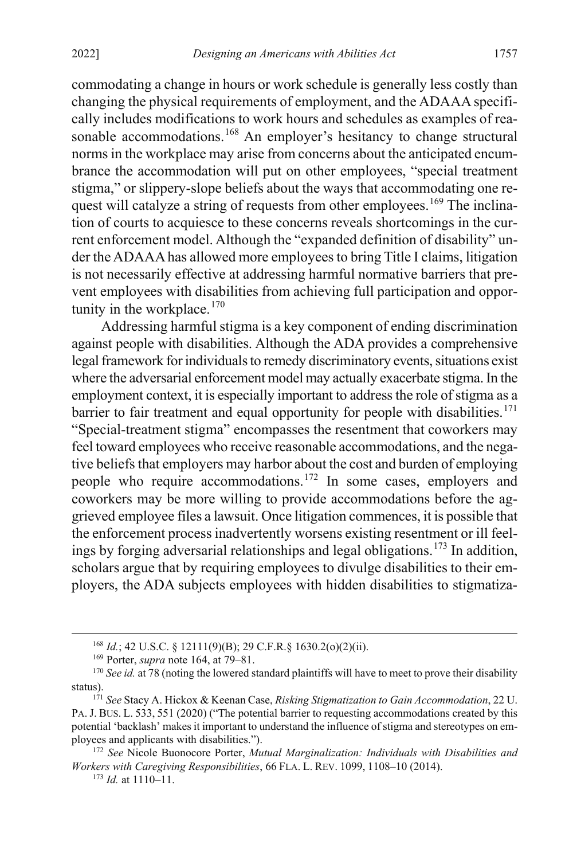commodating a change in hours or work schedule is generally less costly than changing the physical requirements of employment, and the ADAAA specifically includes modifications to work hours and schedules as examples of rea-sonable accommodations.<sup>[168](#page-30-0)</sup> An employer's hesitancy to change structural norms in the workplace may arise from concerns about the anticipated encumbrance the accommodation will put on other employees, "special treatment stigma," or slippery-slope beliefs about the ways that accommodating one re-quest will catalyze a string of requests from other employees.<sup>[169](#page-30-1)</sup> The inclination of courts to acquiesce to these concerns reveals shortcomings in the current enforcement model. Although the "expanded definition of disability" under the ADAAA has allowed more employees to bring Title I claims, litigation is not necessarily effective at addressing harmful normative barriers that prevent employees with disabilities from achieving full participation and opportunity in the workplace. $170$ 

<span id="page-30-6"></span>Addressing harmful stigma is a key component of ending discrimination against people with disabilities. Although the ADA provides a comprehensive legal framework for individuals to remedy discriminatory events, situations exist where the adversarial enforcement model may actually exacerbate stigma. In the employment context, it is especially important to address the role of stigma as a barrier to fair treatment and equal opportunity for people with disabilities.<sup>[171](#page-30-3)</sup> "Special-treatment stigma" encompasses the resentment that coworkers may feel toward employees who receive reasonable accommodations, and the negative beliefs that employers may harbor about the cost and burden of employing people who require accommodations.[172](#page-30-4) In some cases, employers and coworkers may be more willing to provide accommodations before the aggrieved employee files a lawsuit. Once litigation commences, it is possible that the enforcement process inadvertently worsens existing resentment or ill feel-ings by forging adversarial relationships and legal obligations.<sup>[173](#page-30-5)</sup> In addition, scholars argue that by requiring employees to divulge disabilities to their employers, the ADA subjects employees with hidden disabilities to stigmatiza-

 <sup>168</sup> *Id.*; 42 U.S.C. § 12111(9)(B); 29 C.F.R.§ 1630.2(o)(2)(ii).

<sup>169</sup> Porter, *supra* not[e 164,](#page-29-0) at 79–81.

<span id="page-30-2"></span><span id="page-30-1"></span><span id="page-30-0"></span><sup>&</sup>lt;sup>170</sup> *See id.* at 78 (noting the lowered standard plaintiffs will have to meet to prove their disability status).

<span id="page-30-3"></span><sup>171</sup> *See* Stacy A. Hickox & Keenan Case, *Risking Stigmatization to Gain Accommodation*, 22 U. PA.J. BUS. L. 533, 551 (2020) ("The potential barrier to requesting accommodations created by this potential 'backlash' makes it important to understand the influence of stigma and stereotypes on employees and applicants with disabilities.").

<span id="page-30-5"></span><span id="page-30-4"></span><sup>172</sup> *See* Nicole Buonocore Porter, *Mutual Marginalization: Individuals with Disabilities and Workers with Caregiving Responsibilities*, 66 FLA. L. REV. 1099, 1108–10 (2014).

<sup>173</sup> *Id.* at 1110–11.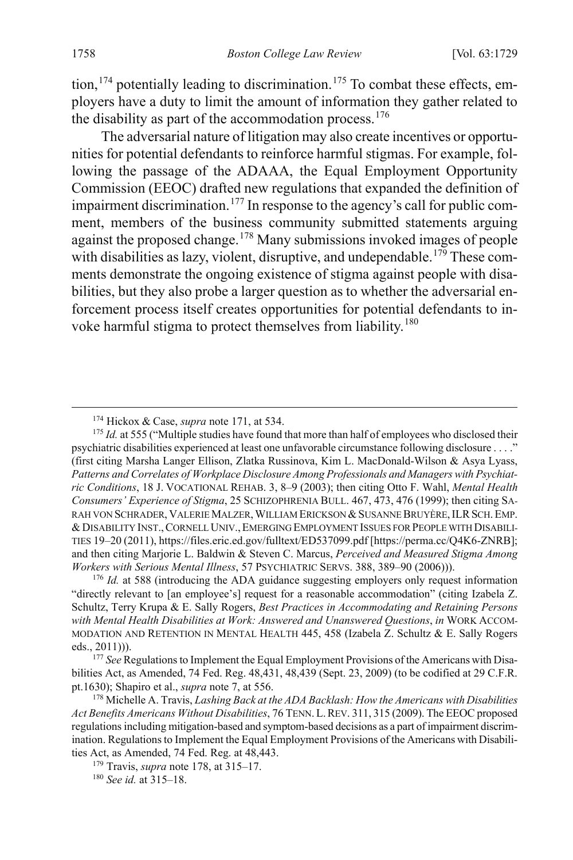tion,  $174$  potentially leading to discrimination.<sup>[175](#page-31-3)</sup> To combat these effects, employers have a duty to limit the amount of information they gather related to the disability as part of the accommodation process. $176$ 

<span id="page-31-1"></span>The adversarial nature of litigation may also create incentives or opportunities for potential defendants to reinforce harmful stigmas. For example, following the passage of the ADAAA, the Equal Employment Opportunity Commission (EEOC) drafted new regulations that expanded the definition of impairment discrimination.<sup>[177](#page-31-5)</sup> In response to the agency's call for public comment, members of the business community submitted statements arguing against the proposed change.<sup>[178](#page-31-6)</sup> Many submissions invoked images of people with disabilities as lazy, violent, disruptive, and undependable.<sup>[179](#page-31-7)</sup> These comments demonstrate the ongoing existence of stigma against people with disabilities, but they also probe a larger question as to whether the adversarial enforcement process itself creates opportunities for potential defendants to in-voke harmful stigma to protect themselves from liability.<sup>[180](#page-31-8)</sup>

<span id="page-31-0"></span> <sup>174</sup> Hickox & Case, *supra* not[e 171,](#page-30-6) at 534.

<span id="page-31-3"></span><span id="page-31-2"></span><sup>&</sup>lt;sup>175</sup> *Id.* at 555 ("Multiple studies have found that more than half of employees who disclosed their psychiatric disabilities experienced at least one unfavorable circumstance following disclosure . . . ." (first citing Marsha Langer Ellison, Zlatka Russinova, Kim L. MacDonald-Wilson & Asya Lyass, *Patterns and Correlates of Workplace Disclosure Among Professionals and Managers with Psychiatric Conditions*, 18 J. VOCATIONAL REHAB. 3, 8–9 (2003); then citing Otto F. Wahl, *Mental Health Consumers' Experience of Stigma*, 25 SCHIZOPHRENIA BULL. 467, 473, 476 (1999); then citing SA-RAH VON SCHRADER, VALERIE MALZER, WILLIAM ERICKSON & SUSANNE BRUYÈRE, ILR SCH. EMP. &DISABILITY INST.,CORNELL UNIV.,EMERGING EMPLOYMENT ISSUES FOR PEOPLE WITH DISABILI-TIES 19–20 (2011), https://files.eric.ed.gov/fulltext/ED537099.pdf [https://perma.cc/Q4K6-ZNRB]; and then citing Marjorie L. Baldwin & Steven C. Marcus, *Perceived and Measured Stigma Among Workers with Serious Mental Illness*, 57 PSYCHIATRIC SERVS. 388, 389–90 (2006))).

<span id="page-31-4"></span><sup>176</sup> *Id.* at 588 (introducing the ADA guidance suggesting employers only request information "directly relevant to [an employee's] request for a reasonable accommodation" (citing Izabela Z. Schultz, Terry Krupa & E. Sally Rogers, *Best Practices in Accommodating and Retaining Persons with Mental Health Disabilities at Work: Answered and Unanswered Questions*, *in* WORK ACCOM-MODATION AND RETENTION IN MENTAL HEALTH 445, 458 (Izabela Z. Schultz & E. Sally Rogers eds., 2011))).

<span id="page-31-5"></span><sup>177</sup> *See* Regulations to Implement the Equal Employment Provisions of the Americans with Disabilities Act, as Amended, 74 Fed. Reg. 48,431, 48,439 (Sept. 23, 2009) (to be codified at 29 C.F.R. pt.1630); Shapiro et al., *supra* not[e 7,](#page-5-0) at 556.<br><sup>178</sup> Michelle A. Travis, *Lashing Back at the ADA Backlash: How the Americans with Disabilities* 

<span id="page-31-6"></span>*Act Benefits Americans Without Disabilities*, 76 TENN. L.REV. 311, 315 (2009). The EEOC proposed regulations including mitigation-based and symptom-based decisions as a part of impairment discrimination. Regulations to Implement the Equal Employment Provisions of the Americans with Disabilities Act, as Amended, 74 [Fed. R](#page-31-1)eg. at 48,443. 179 Travis, *supra* note 178, at 315–17.

<span id="page-31-8"></span><span id="page-31-7"></span>

<sup>180</sup> *See id.* at 315–18.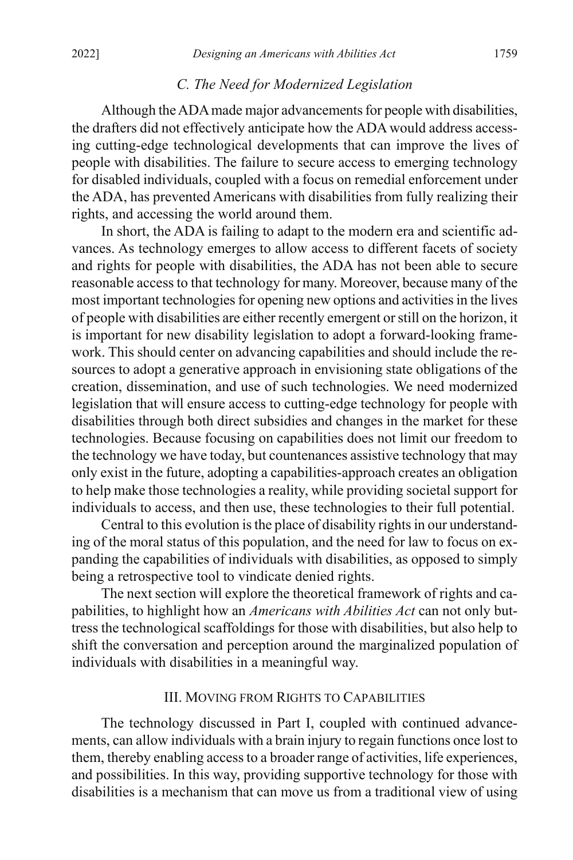#### *C. The Need for Modernized Legislation*

Although the ADAmade major advancements for people with disabilities, the drafters did not effectively anticipate how the ADA would address accessing cutting-edge technological developments that can improve the lives of people with disabilities. The failure to secure access to emerging technology for disabled individuals, coupled with a focus on remedial enforcement under the ADA, has prevented Americans with disabilities from fully realizing their rights, and accessing the world around them.

In short, the ADA is failing to adapt to the modern era and scientific advances. As technology emerges to allow access to different facets of society and rights for people with disabilities, the ADA has not been able to secure reasonable access to that technology for many. Moreover, because many of the most important technologies for opening new options and activities in the lives of people with disabilities are either recently emergent or still on the horizon, it is important for new disability legislation to adopt a forward-looking framework. This should center on advancing capabilities and should include the resources to adopt a generative approach in envisioning state obligations of the creation, dissemination, and use of such technologies. We need modernized legislation that will ensure access to cutting-edge technology for people with disabilities through both direct subsidies and changes in the market for these technologies. Because focusing on capabilities does not limit our freedom to the technology we have today, but countenances assistive technology that may only exist in the future, adopting a capabilities-approach creates an obligation to help make those technologies a reality, while providing societal support for individuals to access, and then use, these technologies to their full potential.

Central to this evolution is the place of disability rights in our understanding of the moral status of this population, and the need for law to focus on expanding the capabilities of individuals with disabilities, as opposed to simply being a retrospective tool to vindicate denied rights.

The next section will explore the theoretical framework of rights and capabilities, to highlight how an *Americans with Abilities Act* can not only buttress the technological scaffoldings for those with disabilities, but also help to shift the conversation and perception around the marginalized population of individuals with disabilities in a meaningful way.

# III. MOVING FROM RIGHTS TO CAPABILITIES

The technology discussed in Part I, coupled with continued advancements, can allow individuals with a brain injury to regain functions once lost to them, thereby enabling access to a broader range of activities, life experiences, and possibilities. In this way, providing supportive technology for those with disabilities is a mechanism that can move us from a traditional view of using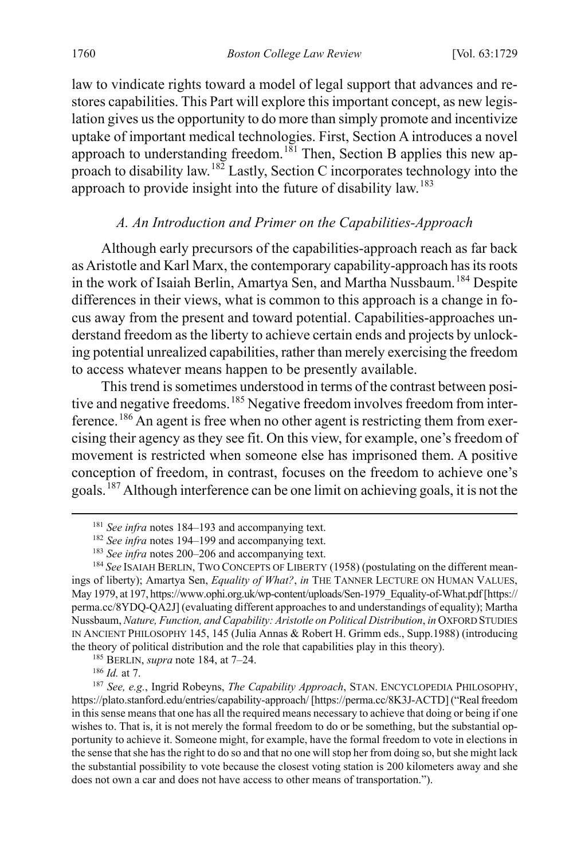law to vindicate rights toward a model of legal support that advances and restores capabilities. This Part will explore this important concept, as new legislation gives us the opportunity to do more than simply promote and incentivize uptake of important medical technologies. First, Section A introduces a novel approach to understanding freedom.<sup>[181](#page-33-2)</sup> Then, Section B applies this new ap-proach to disability law.<sup>[182](#page-33-3)</sup> Lastly, Section C incorporates technology into the approach to provide insight into the future of disability law.[183](#page-33-4)

# <span id="page-33-1"></span><span id="page-33-0"></span>*A. An Introduction and Primer on the Capabilities-Approach*

Although early precursors of the capabilities-approach reach as far back as Aristotle and Karl Marx, the contemporary capability-approach has its roots in the work of Isaiah Berlin, Amartya Sen, and Martha Nussbaum. [184](#page-33-5) Despite differences in their views, what is common to this approach is a change in focus away from the present and toward potential. Capabilities-approaches understand freedom as the liberty to achieve certain ends and projects by unlocking potential unrealized capabilities, rather than merely exercising the freedom to access whatever means happen to be presently available.

This trend is sometimes understood in terms of the contrast between posi-tive and negative freedoms.<sup>[185](#page-33-6)</sup> Negative freedom involves freedom from interference.[186](#page-33-7) An agent is free when no other agent is restricting them from exercising their agency as they see fit. On this view, for example, one's freedom of movement is restricted when someone else has imprisoned them. A positive conception of freedom, in contrast, focuses on the freedom to achieve one's goals.[187](#page-33-8) Although interference can be one limit on achieving goals, it is not the

<sup>&</sup>lt;sup>181</sup> See infra notes [184–](#page-33-1)[193](#page-36-0) and accompanying text.

<sup>&</sup>lt;sup>182</sup> See infra notes [194–](#page-36-1)[199](#page-38-0) and accompanying text.

<sup>183</sup> *See infra* notes [200–](#page-39-0)[206](#page-40-0) and accompanying text.

<span id="page-33-5"></span><span id="page-33-4"></span><span id="page-33-3"></span><span id="page-33-2"></span><sup>&</sup>lt;sup>184</sup> See ISAIAH BERLIN, TWO CONCEPTS OF LIBERTY (1958) (postulating on the different meanings of liberty); Amartya Sen, *Equality of What?*, *in* THE TANNER LECTURE ON HUMAN VALUES, May 1979, at 197, https://www.ophi.org.uk/wp-content/uploads/Sen-1979\_Equality-of-What.pdf [https:// perma.cc/8YDQ-QA2J] (evaluating different approaches to and understandings of equality); Martha Nussbaum, *Nature, Function, and Capability: Aristotle on Political Distribution*, *in* OXFORD STUDIES IN ANCIENT PHILOSOPHY 145, 145 (Julia Annas & Robert H. Grimm eds., Supp.1988) (introducing the theory of political distribution and the role that capabilities play in this theory).

<sup>185</sup> BERLIN, *supra* note [184,](#page-33-1) at 7–24.

<sup>186</sup> *Id.* at 7.

<span id="page-33-8"></span><span id="page-33-7"></span><span id="page-33-6"></span><sup>187</sup> *See, e.g.*, Ingrid Robeyns, *The Capability Approach*, STAN. ENCYCLOPEDIA PHILOSOPHY, https://plato.stanford.edu/entries/capability-approach/ [https://perma.cc/8K3J-ACTD] ("Real freedom in this sense means that one has all the required means necessary to achieve that doing or being if one wishes to. That is, it is not merely the formal freedom to do or be something, but the substantial opportunity to achieve it. Someone might, for example, have the formal freedom to vote in elections in the sense that she has the right to do so and that no one will stop her from doing so, but she might lack the substantial possibility to vote because the closest voting station is 200 kilometers away and she does not own a car and does not have access to other means of transportation.").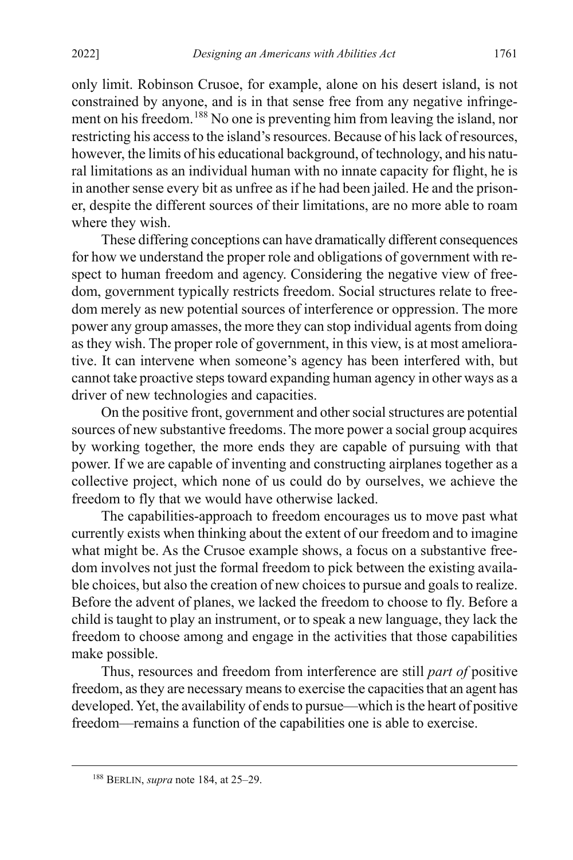only limit. Robinson Crusoe, for example, alone on his desert island, is not constrained by anyone, and is in that sense free from any negative infringe-ment on his freedom.<sup>[188](#page-34-0)</sup> No one is preventing him from leaving the island, nor restricting his access to the island's resources. Because of his lack of resources, however, the limits of his educational background, of technology, and his natural limitations as an individual human with no innate capacity for flight, he is in another sense every bit as unfree as if he had been jailed. He and the prisoner, despite the different sources of their limitations, are no more able to roam where they wish.

These differing conceptions can have dramatically different consequences for how we understand the proper role and obligations of government with respect to human freedom and agency. Considering the negative view of freedom, government typically restricts freedom. Social structures relate to freedom merely as new potential sources of interference or oppression. The more power any group amasses, the more they can stop individual agents from doing as they wish. The proper role of government, in this view, is at most ameliorative. It can intervene when someone's agency has been interfered with, but cannot take proactive steps toward expanding human agency in other ways as a driver of new technologies and capacities.

On the positive front, government and other social structures are potential sources of new substantive freedoms. The more power a social group acquires by working together, the more ends they are capable of pursuing with that power. If we are capable of inventing and constructing airplanes together as a collective project, which none of us could do by ourselves, we achieve the freedom to fly that we would have otherwise lacked.

The capabilities-approach to freedom encourages us to move past what currently exists when thinking about the extent of our freedom and to imagine what might be. As the Crusoe example shows, a focus on a substantive freedom involves not just the formal freedom to pick between the existing available choices, but also the creation of new choices to pursue and goals to realize. Before the advent of planes, we lacked the freedom to choose to fly. Before a child is taught to play an instrument, or to speak a new language, they lack the freedom to choose among and engage in the activities that those capabilities make possible.

Thus, resources and freedom from interference are still *part of* positive freedom, as they are necessary means to exercise the capacities that an agent has developed.Yet, the availability of ends to pursue—which is the heart of positive freedom—remains a function of the capabilities one is able to exercise.

<span id="page-34-0"></span> <sup>188</sup> BERLIN, *supra* note [184,](#page-33-1) at 25–29.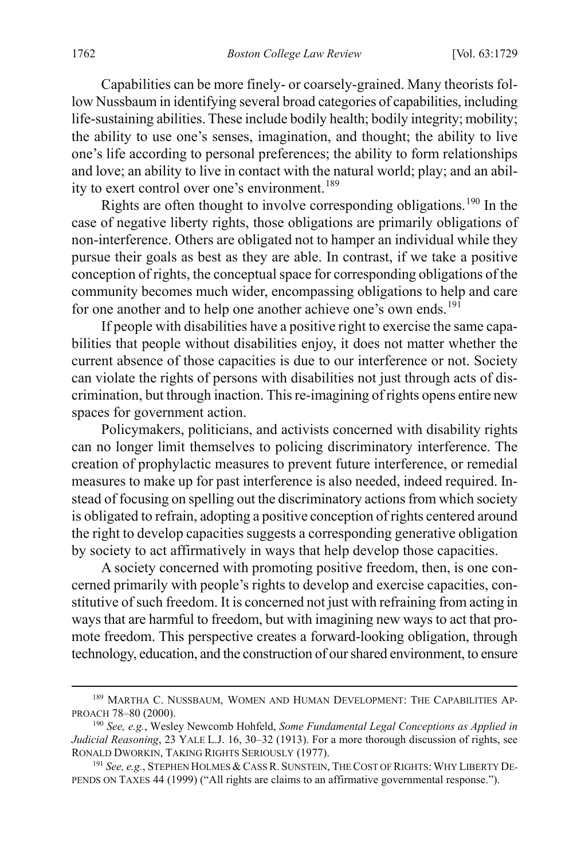Capabilities can be more finely- or coarsely-grained. Many theorists follow Nussbaum in identifying several broad categories of capabilities, including life-sustaining abilities. These include bodily health; bodily integrity; mobility; the ability to use one's senses, imagination, and thought; the ability to live one's life according to personal preferences; the ability to form relationships and love; an ability to live in contact with the natural world; play; and an abil-ity to exert control over one's environment.<sup>[189](#page-35-0)</sup>

Rights are often thought to involve corresponding obligations.<sup>[190](#page-35-1)</sup> In the case of negative liberty rights, those obligations are primarily obligations of non-interference. Others are obligated not to hamper an individual while they pursue their goals as best as they are able. In contrast, if we take a positive conception of rights, the conceptual space for corresponding obligations of the community becomes much wider, encompassing obligations to help and care for one another and to help one another achieve one's own ends.<sup>[191](#page-35-2)</sup>

If people with disabilities have a positive right to exercise the same capabilities that people without disabilities enjoy, it does not matter whether the current absence of those capacities is due to our interference or not. Society can violate the rights of persons with disabilities not just through acts of discrimination, but through inaction. This re-imagining of rights opens entire new spaces for government action.

Policymakers, politicians, and activists concerned with disability rights can no longer limit themselves to policing discriminatory interference. The creation of prophylactic measures to prevent future interference, or remedial measures to make up for past interference is also needed, indeed required. Instead of focusing on spelling out the discriminatory actions from which society is obligated to refrain, adopting a positive conception of rights centered around the right to develop capacities suggests a corresponding generative obligation by society to act affirmatively in ways that help develop those capacities.

A society concerned with promoting positive freedom, then, is one concerned primarily with people's rights to develop and exercise capacities, constitutive of such freedom. It is concerned not just with refraining from acting in ways that are harmful to freedom, but with imagining new ways to act that promote freedom. This perspective creates a forward-looking obligation, through technology, education, and the construction of our shared environment, to ensure

<span id="page-35-0"></span> <sup>189</sup> MARTHA C. NUSSBAUM, WOMEN AND HUMAN DEVELOPMENT: THE CAPABILITIES AP-PROACH 78–80 (2000).

<span id="page-35-1"></span><sup>190</sup> *See, e.g.*, Wesley Newcomb Hohfeld, *Some Fundamental Legal Conceptions as Applied in Judicial Reasoning*, 23 YALE L.J. 16, 30–32 (1913). For a more thorough discussion of rights, see RONALD DWORKIN, TAKING RIGHTS SERIOUSLY (1977).

<span id="page-35-2"></span><sup>&</sup>lt;sup>191</sup> See, e.g., STEPHEN HOLMES & CASS R. SUNSTEIN, THE COST OF RIGHTS: WHY LIBERTY DE-PENDS ON TAXES 44 (1999) ("All rights are claims to an affirmative governmental response.").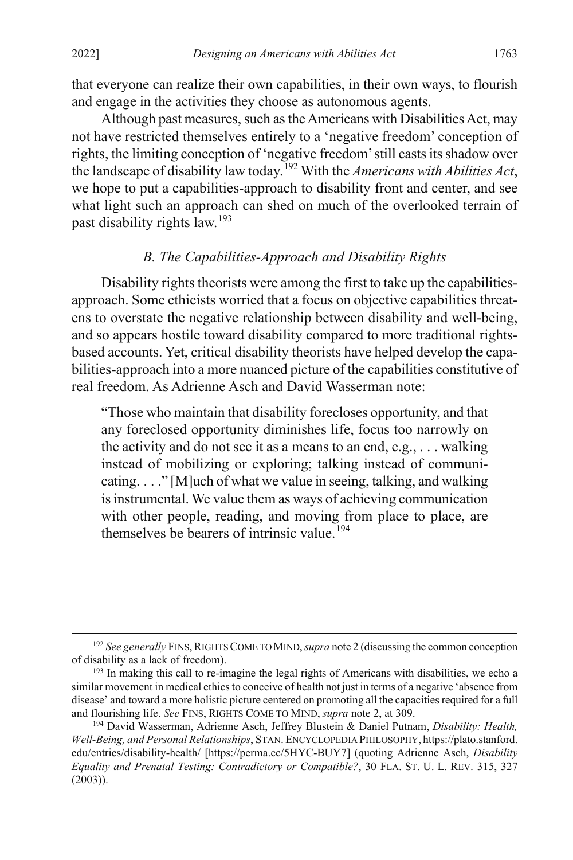that everyone can realize their own capabilities, in their own ways, to flourish and engage in the activities they choose as autonomous agents.

Although past measures, such as the Americans with Disabilities Act, may not have restricted themselves entirely to a 'negative freedom' conception of rights, the limiting conception of 'negative freedom' still casts its shadow over the landscape of disability law today.[192](#page-36-2) With the *Americans with Abilities Act*, we hope to put a capabilities-approach to disability front and center, and see what light such an approach can shed on much of the overlooked terrain of past disability rights law.[193](#page-36-3)

# <span id="page-36-0"></span>*B. The Capabilities-Approach and Disability Rights*

Disability rights theorists were among the first to take up the capabilitiesapproach. Some ethicists worried that a focus on objective capabilities threatens to overstate the negative relationship between disability and well-being, and so appears hostile toward disability compared to more traditional rightsbased accounts. Yet, critical disability theorists have helped develop the capabilities-approach into a more nuanced picture of the capabilities constitutive of real freedom. As Adrienne Asch and David Wasserman note:

<span id="page-36-1"></span>"Those who maintain that disability forecloses opportunity, and that any foreclosed opportunity diminishes life, focus too narrowly on the activity and do not see it as a means to an end, e.g., . . . walking instead of mobilizing or exploring; talking instead of communicating. . . ." [M]uch of what we value in seeing, talking, and walking is instrumental. We value them as ways of achieving communication with other people, reading, and moving from place to place, are themselves be bearers of intrinsic value.<sup>[194](#page-36-4)</sup>

<span id="page-36-2"></span><sup>&</sup>lt;sup>192</sup> See generally FINS, RIGHTS COME TO MIND, *supra* not[e 2](#page-4-0) (discussing the common conception of disability as a lack of freedom).

<span id="page-36-3"></span><sup>&</sup>lt;sup>193</sup> In making this call to re-imagine the legal rights of Americans with disabilities, we echo a similar movement in medical ethics to conceive of health not just in terms of a negative 'absence from disease' and toward a more holistic picture centered on promoting all the capacities required for a full and flourishing life. *See* FINS, RIGHTS COME TO MIND, *supra* not[e 2,](#page-4-0) at 309.

<span id="page-36-4"></span><sup>194</sup> David Wasserman, Adrienne Asch, Jeffrey Blustein & Daniel Putnam, *Disability: Health, Well-Being, and Personal Relationships*, STAN. ENCYCLOPEDIA PHILOSOPHY, https://plato.stanford. edu/entries/disability-health/ [https://perma.cc/5HYC-BUY7] (quoting Adrienne Asch, *Disability Equality and Prenatal Testing: Contradictory or Compatible?*, 30 FLA. ST. U. L. REV. 315, 327 (2003)).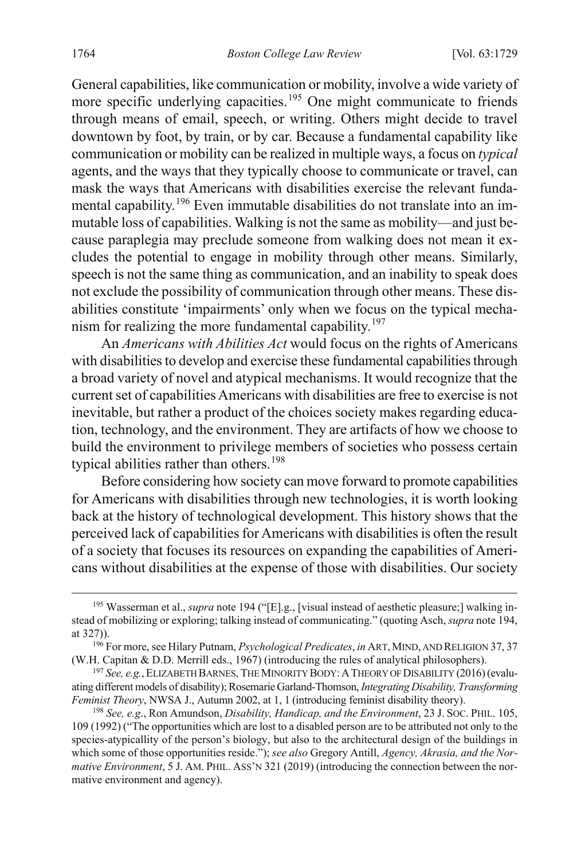General capabilities, like communication or mobility, involve a wide variety of more specific underlying capacities.<sup>[195](#page-37-0)</sup> One might communicate to friends through means of email, speech, or writing. Others might decide to travel downtown by foot, by train, or by car. Because a fundamental capability like communication or mobility can be realized in multiple ways, a focus on *typical*  agents, and the ways that they typically choose to communicate or travel, can mask the ways that Americans with disabilities exercise the relevant fundamental capability.[196](#page-37-1) Even immutable disabilities do not translate into an immutable loss of capabilities. Walking is not the same as mobility—and just because paraplegia may preclude someone from walking does not mean it excludes the potential to engage in mobility through other means. Similarly, speech is not the same thing as communication, and an inability to speak does not exclude the possibility of communication through other means. These disabilities constitute 'impairments' only when we focus on the typical mecha-nism for realizing the more fundamental capability.<sup>[197](#page-37-2)</sup>

An *Americans with Abilities Act* would focus on the rights of Americans with disabilities to develop and exercise these fundamental capabilities through a broad variety of novel and atypical mechanisms. It would recognize that the current set of capabilities Americans with disabilities are free to exercise is not inevitable, but rather a product of the choices society makes regarding education, technology, and the environment. They are artifacts of how we choose to build the environment to privilege members of societies who possess certain typical abilities rather than others.<sup>[198](#page-37-3)</sup>

Before considering how society can move forward to promote capabilities for Americans with disabilities through new technologies, it is worth looking back at the history of technological development. This history shows that the perceived lack of capabilities for Americans with disabilities is often the result of a society that focuses its resources on expanding the capabilities of Americans without disabilities at the expense of those with disabilities. Our society

<span id="page-37-0"></span><sup>&</sup>lt;sup>195</sup> Wasserman et al., *supra* not[e 194](#page-36-1) ("[E].g., [visual instead of aesthetic pleasure;] walking instead of mobilizing or exploring; talking instead of communicating." (quoting Asch, *supra* not[e 194,](#page-36-1) at 327)).

<span id="page-37-1"></span><sup>196</sup> For more, see Hilary Putnam, *Psychological Predicates*, *in* ART,MIND, AND RELIGION 37, 37 (W.H. Capitan & D.D. Merrill eds., 1967) (introducing the rules of analytical philosophers).

<span id="page-37-2"></span><sup>197</sup> *See, e.g.*, ELIZABETH BARNES, THE MINORITY BODY:ATHEORY OF DISABILITY (2016) (evaluating different models of disability); Rosemarie Garland-Thomson, *Integrating Disability, Transforming Feminist Theory*, NWSA J., Autumn 2002, at 1, 1 (introducing feminist disability theory).

<span id="page-37-3"></span><sup>198</sup> *See, e.g*., Ron Amundson, *Disability, Handicap, and the Environment*, 23 J. SOC. PHIL. 105, 109 (1992) ("The opportunities which are lost to a disabled person are to be attributed not only to the species-atypicallity of the person's biology, but also to the architectural design of the buildings in which some of those opportunities reside."); *see also* Gregory Antill, *Agency, Akrasia, and the Normative Environment*, 5 J. AM. PHIL. ASS'N 321 (2019) (introducing the connection between the normative environment and agency).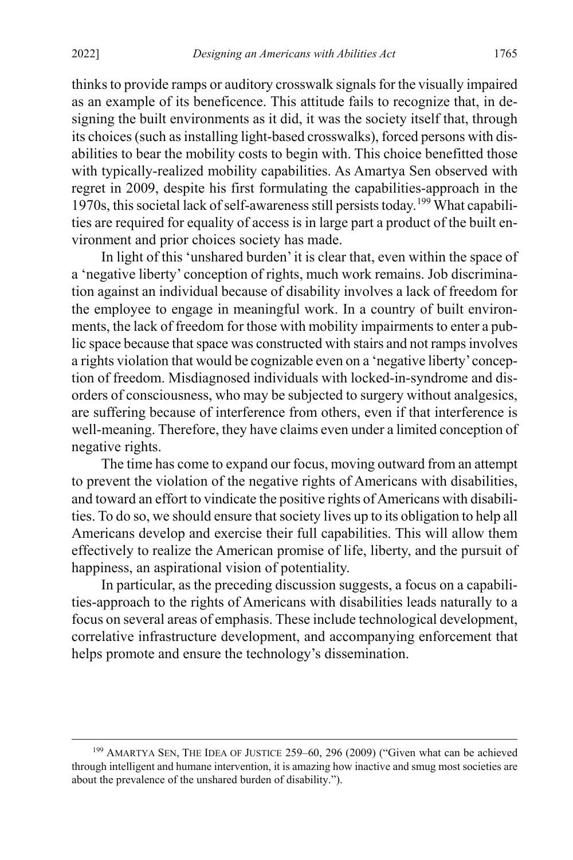thinks to provide ramps or auditory crosswalk signals for the visually impaired as an example of its beneficence. This attitude fails to recognize that, in designing the built environments as it did, it was the society itself that, through its choices (such as installing light-based crosswalks), forced persons with disabilities to bear the mobility costs to begin with. This choice benefitted those with typically-realized mobility capabilities. As Amartya Sen observed with regret in 2009, despite his first formulating the capabilities-approach in the 1970s, this societal lack of self-awareness still persists today. [199](#page-38-1) What capabilities are required for equality of access is in large part a product of the built environment and prior choices society has made.

<span id="page-38-0"></span>In light of this 'unshared burden' it is clear that, even within the space of a 'negative liberty' conception of rights, much work remains. Job discrimination against an individual because of disability involves a lack of freedom for the employee to engage in meaningful work. In a country of built environments, the lack of freedom for those with mobility impairments to enter a public space because that space was constructed with stairs and not ramps involves a rights violation that would be cognizable even on a 'negative liberty' conception of freedom. Misdiagnosed individuals with locked-in-syndrome and disorders of consciousness, who may be subjected to surgery without analgesics, are suffering because of interference from others, even if that interference is well-meaning. Therefore, they have claims even under a limited conception of negative rights.

The time has come to expand our focus, moving outward from an attempt to prevent the violation of the negative rights of Americans with disabilities, and toward an effort to vindicate the positive rights of Americans with disabilities. To do so, we should ensure that society lives up to its obligation to help all Americans develop and exercise their full capabilities. This will allow them effectively to realize the American promise of life, liberty, and the pursuit of happiness, an aspirational vision of potentiality.

In particular, as the preceding discussion suggests, a focus on a capabilities-approach to the rights of Americans with disabilities leads naturally to a focus on several areas of emphasis. These include technological development, correlative infrastructure development, and accompanying enforcement that helps promote and ensure the technology's dissemination.

<span id="page-38-1"></span> <sup>199</sup> AMARTYA SEN, THE IDEA OF JUSTICE 259–60, 296 (2009) ("Given what can be achieved through intelligent and humane intervention, it is amazing how inactive and smug most societies are about the prevalence of the unshared burden of disability.").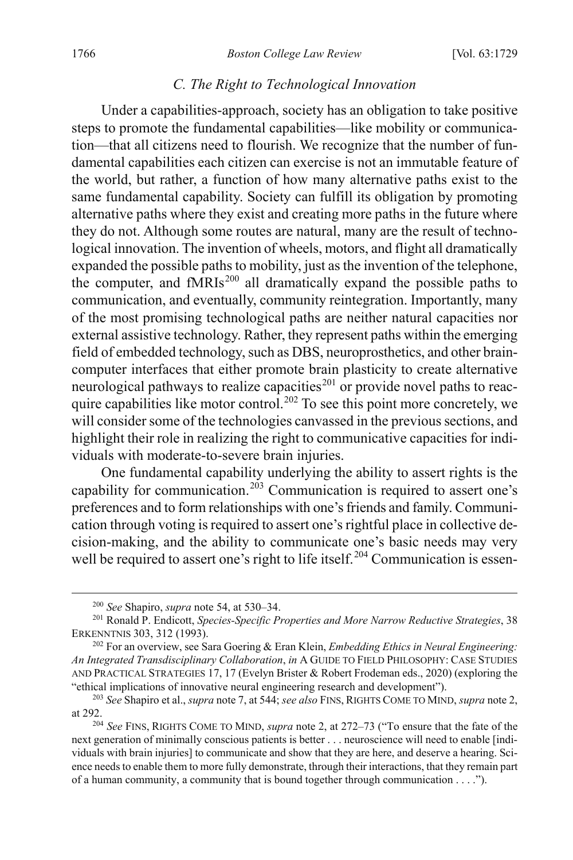#### <span id="page-39-0"></span>*C. The Right to Technological Innovation*

Under a capabilities-approach, society has an obligation to take positive steps to promote the fundamental capabilities—like mobility or communication—that all citizens need to flourish. We recognize that the number of fundamental capabilities each citizen can exercise is not an immutable feature of the world, but rather, a function of how many alternative paths exist to the same fundamental capability. Society can fulfill its obligation by promoting alternative paths where they exist and creating more paths in the future where they do not. Although some routes are natural, many are the result of technological innovation. The invention of wheels, motors, and flight all dramatically expanded the possible paths to mobility, just as the invention of the telephone, the computer, and  $fMRIs^{200}$  $fMRIs^{200}$  $fMRIs^{200}$  all dramatically expand the possible paths to communication, and eventually, community reintegration. Importantly, many of the most promising technological paths are neither natural capacities nor external assistive technology. Rather, they represent paths within the emerging field of embedded technology, such as DBS, neuroprosthetics, and other braincomputer interfaces that either promote brain plasticity to create alternative neurological pathways to realize capacities<sup>[201](#page-39-2)</sup> or provide novel paths to reac-quire capabilities like motor control.<sup>[202](#page-39-3)</sup> To see this point more concretely, we will consider some of the technologies canvassed in the previous sections, and highlight their role in realizing the right to communicative capacities for individuals with moderate-to-severe brain injuries.

One fundamental capability underlying the ability to assert rights is the capability for communication.<sup>[203](#page-39-4)</sup> Communication is required to assert one's preferences and to form relationships with one's friends and family. Communication through voting is required to assert one's rightful place in collective decision-making, and the ability to communicate one's basic needs may very well be required to assert one's right to life itself.<sup>[204](#page-39-5)</sup> Communication is essen-

 <sup>200</sup> *See* Shapiro, *supra* not[e 54,](#page-13-7) at 530–34.

<span id="page-39-2"></span><span id="page-39-1"></span><sup>201</sup> Ronald P. Endicott, *Species-Specific Properties and More Narrow Reductive Strategies*, 38 ERKENNTNIS 303, 312 (1993).

<span id="page-39-3"></span><sup>202</sup> For an overview, see Sara Goering & Eran Klein, *Embedding Ethics in Neural Engineering: An Integrated Transdisciplinary Collaboration*, *in* A GUIDE TO FIELD PHILOSOPHY: CASE STUDIES AND PRACTICAL STRATEGIES 17, 17 (Evelyn Brister & Robert Frodeman eds., 2020) (exploring the "ethical implications of innovative neural engineering research and development").

<span id="page-39-4"></span><sup>203</sup> *See* Shapiro et al., *supra* not[e 7,](#page-5-0) at 544; *see also* FINS, RIGHTS COME TO MIND, *supra* not[e 2,](#page-4-0) at 292.

<span id="page-39-5"></span><sup>204</sup> *See* FINS, RIGHTS COME TO MIND, *supra* note [2,](#page-4-0) at 272–73 ("To ensure that the fate of the next generation of minimally conscious patients is better . . . neuroscience will need to enable [individuals with brain injuries] to communicate and show that they are here, and deserve a hearing. Science needs to enable them to more fully demonstrate, through their interactions, that they remain part of a human community, a community that is bound together through communication . . . .").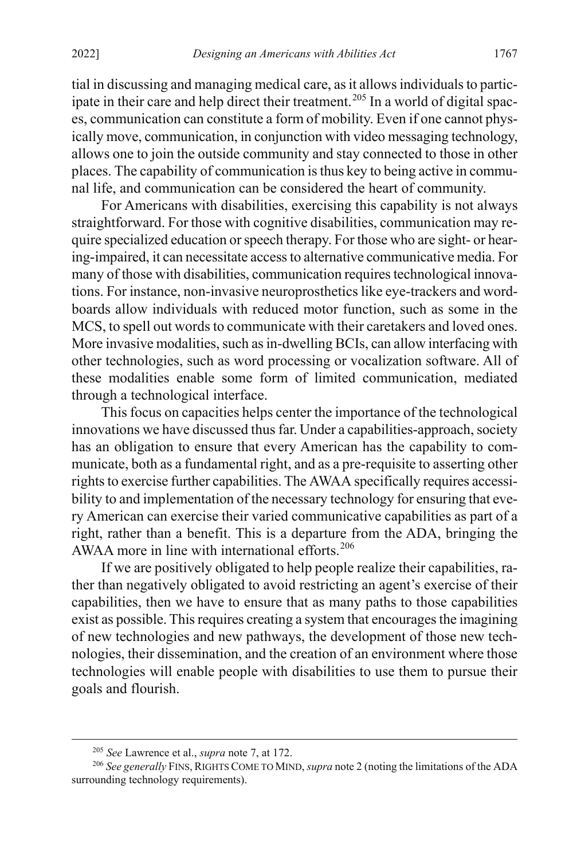tial in discussing and managing medical care, as it allows individuals to partic-ipate in their care and help direct their treatment.<sup>[205](#page-40-1)</sup> In a world of digital spaces, communication can constitute a form of mobility. Even if one cannot physically move, communication, in conjunction with video messaging technology, allows one to join the outside community and stay connected to those in other places. The capability of communication is thus key to being active in communal life, and communication can be considered the heart of community.

For Americans with disabilities, exercising this capability is not always straightforward. For those with cognitive disabilities, communication may require specialized education or speech therapy. For those who are sight- or hearing-impaired, it can necessitate access to alternative communicative media. For many of those with disabilities, communication requires technological innovations. For instance, non-invasive neuroprosthetics like eye-trackers and wordboards allow individuals with reduced motor function, such as some in the MCS, to spell out words to communicate with their caretakers and loved ones. More invasive modalities, such as in-dwelling BCIs, can allow interfacing with other technologies, such as word processing or vocalization software. All of these modalities enable some form of limited communication, mediated through a technological interface.

This focus on capacities helps center the importance of the technological innovations we have discussed thus far. Under a capabilities-approach, society has an obligation to ensure that every American has the capability to communicate, both as a fundamental right, and as a pre-requisite to asserting other rights to exercise further capabilities. The AWAA specifically requires accessibility to and implementation of the necessary technology for ensuring that every American can exercise their varied communicative capabilities as part of a right, rather than a benefit. This is a departure from the ADA, bringing the AWAA more in line with international efforts.<sup>[206](#page-40-2)</sup>

<span id="page-40-0"></span>If we are positively obligated to help people realize their capabilities, rather than negatively obligated to avoid restricting an agent's exercise of their capabilities, then we have to ensure that as many paths to those capabilities exist as possible. This requires creating a system that encourages the imagining of new technologies and new pathways, the development of those new technologies, their dissemination, and the creation of an environment where those technologies will enable people with disabilities to use them to pursue their goals and flourish.

 <sup>205</sup> *See* Lawrence et al., *supra* note [7,](#page-5-0) at 172.

<span id="page-40-2"></span><span id="page-40-1"></span><sup>&</sup>lt;sup>206</sup> See generally FINS, RIGHTS COME TO MIND, *supra* not[e 2](#page-4-0) (noting the limitations of the ADA surrounding technology requirements).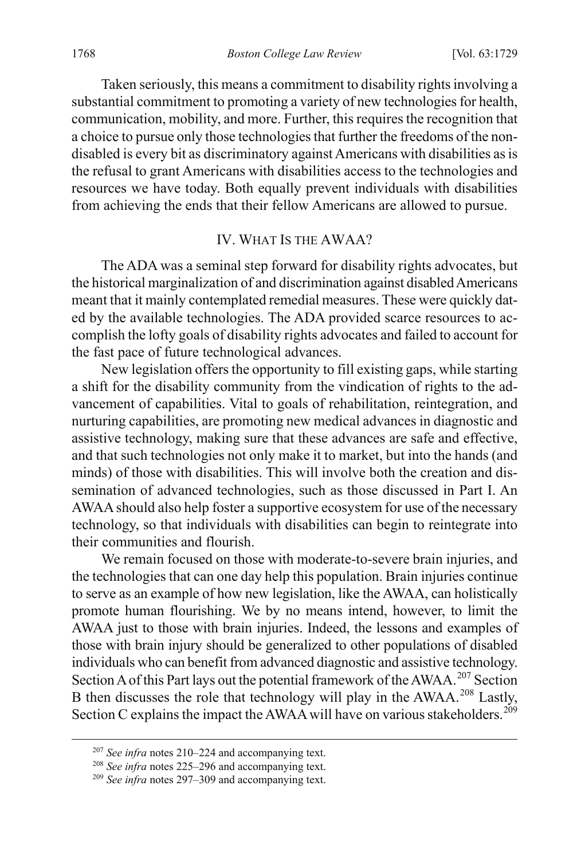Taken seriously, this means a commitment to disability rights involving a substantial commitment to promoting a variety of new technologies for health, communication, mobility, and more. Further, this requires the recognition that a choice to pursue only those technologies that further the freedoms of the nondisabled is every bit as discriminatory against Americans with disabilities as is the refusal to grant Americans with disabilities access to the technologies and resources we have today. Both equally prevent individuals with disabilities from achieving the ends that their fellow Americans are allowed to pursue.

#### IV. WHAT IS THE AWAA?

The ADA was a seminal step forward for disability rights advocates, but the historical marginalization of and discrimination against disabled Americans meant that it mainly contemplated remedial measures. These were quickly dated by the available technologies. The ADA provided scarce resources to accomplish the lofty goals of disability rights advocates and failed to account for the fast pace of future technological advances.

New legislation offers the opportunity to fill existing gaps, while starting a shift for the disability community from the vindication of rights to the advancement of capabilities. Vital to goals of rehabilitation, reintegration, and nurturing capabilities, are promoting new medical advances in diagnostic and assistive technology, making sure that these advances are safe and effective, and that such technologies not only make it to market, but into the hands (and minds) of those with disabilities. This will involve both the creation and dissemination of advanced technologies, such as those discussed in Part I. An AWAA should also help foster a supportive ecosystem for use of the necessary technology, so that individuals with disabilities can begin to reintegrate into their communities and flourish.

We remain focused on those with moderate-to-severe brain injuries, and the technologies that can one day help this population. Brain injuries continue to serve as an example of how new legislation, like the AWAA, can holistically promote human flourishing. We by no means intend, however, to limit the AWAA just to those with brain injuries. Indeed, the lessons and examples of those with brain injury should be generalized to other populations of disabled individuals who can benefit from advanced diagnostic and assistive technology. Section A of this Part lays out the potential framework of the AWAA.<sup>[207](#page-41-1)</sup> Section B then discusses the role that technology will play in the AWAA.<sup>[208](#page-41-2)</sup> Lastly, Section C explains the impact the AWAA will have on various stakeholders.<sup>[209](#page-41-3)</sup>

<span id="page-41-1"></span><span id="page-41-0"></span> <sup>207</sup> *See infra* notes [210–](#page-42-0)[224](#page-44-0) and accompanying text.

<sup>208</sup> *See infra* notes [225–](#page-45-0)[296](#page-60-0) and accompanying text.

<span id="page-41-3"></span><span id="page-41-2"></span><sup>209</sup> *See infra* notes [297–](#page-60-1)[309](#page-63-0) and accompanying text.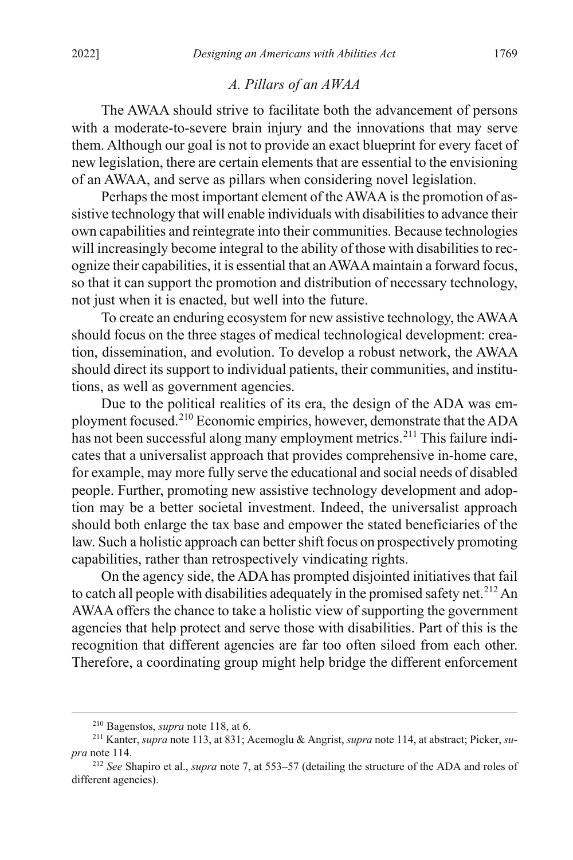# *A. Pillars of an AWAA*

The AWAA should strive to facilitate both the advancement of persons with a moderate-to-severe brain injury and the innovations that may serve them. Although our goal is not to provide an exact blueprint for every facet of new legislation, there are certain elements that are essential to the envisioning of an AWAA, and serve as pillars when considering novel legislation.

Perhaps the most important element of the AWAA is the promotion of assistive technology that will enable individuals with disabilities to advance their own capabilities and reintegrate into their communities. Because technologies will increasingly become integral to the ability of those with disabilities to recognize their capabilities, it is essential that an AWAA maintain a forward focus, so that it can support the promotion and distribution of necessary technology, not just when it is enacted, but well into the future.

To create an enduring ecosystem for new assistive technology, the AWAA should focus on the three stages of medical technological development: creation, dissemination, and evolution. To develop a robust network, the AWAA should direct its support to individual patients, their communities, and institutions, as well as government agencies.

<span id="page-42-0"></span>Due to the political realities of its era, the design of the ADA was employment focused.[210](#page-42-1) Economic empirics, however, demonstrate that the ADA has not been successful along many employment metrics.<sup>[211](#page-42-2)</sup> This failure indicates that a universalist approach that provides comprehensive in-home care, for example, may more fully serve the educational and social needs of disabled people. Further, promoting new assistive technology development and adoption may be a better societal investment. Indeed, the universalist approach should both enlarge the tax base and empower the stated beneficiaries of the law. Such a holistic approach can better shift focus on prospectively promoting capabilities, rather than retrospectively vindicating rights.

On the agency side, the ADA has prompted disjointed initiatives that fail to catch all people with disabilities adequately in the promised safety net.<sup>[212](#page-42-3)</sup> An AWAA offers the chance to take a holistic view of supporting the government agencies that help protect and serve those with disabilities. Part of this is the recognition that different agencies are far too often siloed from each other. Therefore, a coordinating group might help bridge the different enforcement

 <sup>210</sup> Bagenstos, *supra* not[e 118,](#page-23-10) at 6.

<span id="page-42-2"></span><span id="page-42-1"></span><sup>211</sup> Kanter, *supra* not[e 113,](#page-22-8) at 831; Acemoglu & Angrist, *supra* not[e 114,](#page-22-7) at abstract; Picker, *supra* not[e 114.](#page-22-7)

<span id="page-42-3"></span><sup>212</sup> *See* Shapiro et al., *supra* note [7,](#page-5-0) at 553–57 (detailing the structure of the ADA and roles of different agencies).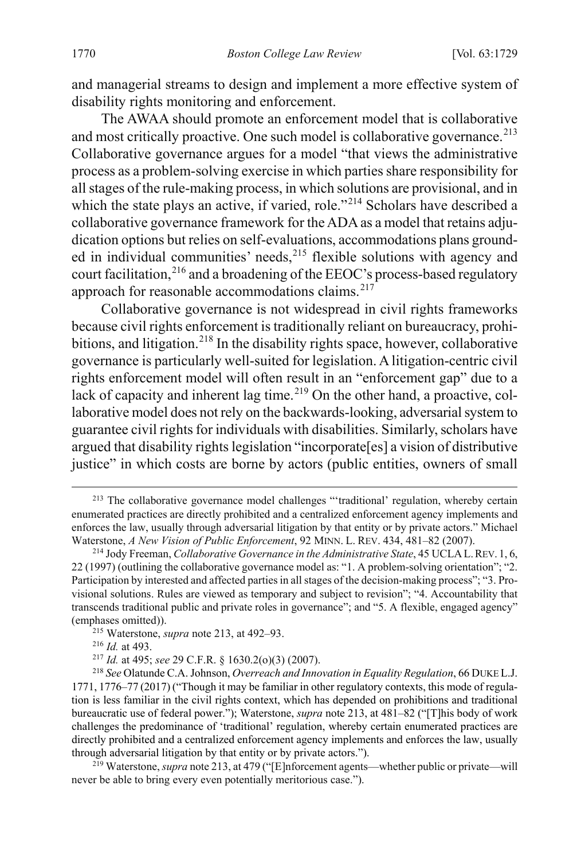and managerial streams to design and implement a more effective system of disability rights monitoring and enforcement.

<span id="page-43-0"></span>The AWAA should promote an enforcement model that is collaborative and most critically proactive. One such model is collaborative governance.<sup>[213](#page-43-1)</sup> Collaborative governance argues for a model "that views the administrative process as a problem-solving exercise in which parties share responsibility for all stages of the rule-making process, in which solutions are provisional, and in which the state plays an active, if varied, role."<sup>[214](#page-43-2)</sup> Scholars have described a collaborative governance framework for the ADA as a model that retains adjudication options but relies on self-evaluations, accommodations plans grounded in individual communities' needs,  $215$  flexible solutions with agency and court facilitation,<sup>[216](#page-43-4)</sup> and a broadening of the EEOC's process-based regulatory approach for reasonable accommodations claims. $217$ 

Collaborative governance is not widespread in civil rights frameworks because civil rights enforcement is traditionally reliant on bureaucracy, prohibitions, and litigation.<sup>218</sup> In the disability rights space, however, collaborative governance is particularly well-suited for legislation. A litigation-centric civil rights enforcement model will often result in an "enforcement gap" due to a lack of capacity and inherent lag time.<sup>[219](#page-43-7)</sup> On the other hand, a proactive, collaborative model does not rely on the backwards-looking, adversarial system to guarantee civil rights for individuals with disabilities. Similarly, scholars have argued that disability rights legislation "incorporate[es] a vision of distributive justice" in which costs are borne by actors (public entities, owners of small

<span id="page-43-1"></span><sup>&</sup>lt;sup>213</sup> The collaborative governance model challenges "'traditional' regulation, whereby certain enumerated practices are directly prohibited and a centralized enforcement agency implements and enforces the law, usually through adversarial litigation by that entity or by private actors." Michael Waterstone, *A New Vision of Public Enforcement*, 92 MINN. L. REV. 434, 481–82 (2007).

<span id="page-43-2"></span><sup>214</sup> Jody Freeman, *Collaborative Governance in the Administrative State*, 45 UCLAL.REV. 1, 6, 22 (1997) (outlining the collaborative governance model as: "1. A problem-solving orientation"; "2. Participation by interested and affected parties in all stages of the decision-making process"; "3. Provisional solutions. Rules are viewed as temporary and subject to revision"; "4. Accountability that transcends traditional public and private roles in governance"; and "5. A flexible, engaged agency" (emphases omitted)).

<sup>&</sup>lt;sup>215</sup> Waterstone, *supra* not[e 213,](#page-43-0) at 492–93.<br><sup>216</sup> *Id.* at 493.<br><sup>217</sup> *Id.* at 495; *see* 29 C.F.R. § 1630.2(o)(3) (2007).

<span id="page-43-6"></span><span id="page-43-5"></span><span id="page-43-4"></span><span id="page-43-3"></span><sup>&</sup>lt;sup>218</sup> See Olatunde C.A. Johnson, *Overreach and Innovation in Equality Regulation*, 66 DUKE L.J. 1771, 1776–77 (2017) ("Though it may be familiar in other regulatory contexts, this mode of regulation is less familiar in the civil rights context, which has depended on prohibitions and traditional bureaucratic use of federal power."); Waterstone, *supra* not[e 213,](#page-43-0) at 481–82 ("[T]his body of work challenges the predominance of 'traditional' regulation, whereby certain enumerated practices are directly prohibited and a centralized enforcement agency implements and enforces the law, usually through adversarial litigation by that entity or by private actors.").

<span id="page-43-7"></span><sup>&</sup>lt;sup>219</sup> Waterstone, *supra* note 213, at 479 ("[E]nforcement agents—whether public or private—will never be able to bring every even potentially meritorious case.").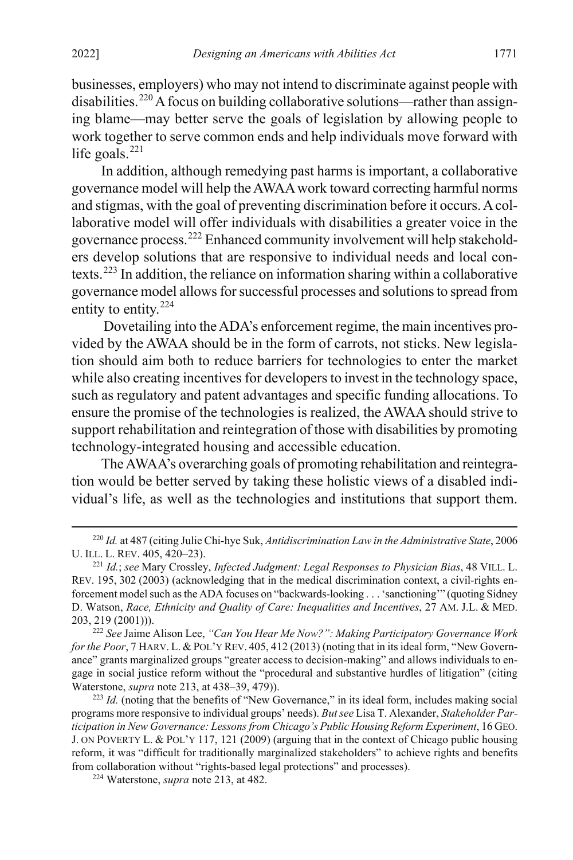businesses, employers) who may not intend to discriminate against people with disabilities.<sup>[220](#page-44-1)</sup> A focus on building collaborative solutions—rather than assigning blame—may better serve the goals of legislation by allowing people to work together to serve common ends and help individuals move forward with life goals. $^{221}$  $^{221}$  $^{221}$ 

In addition, although remedying past harms is important, a collaborative governance model will help the AWAA work toward correcting harmful norms and stigmas, with the goal of preventing discrimination before it occurs. A collaborative model will offer individuals with disabilities a greater voice in the governance process.[222](#page-44-3) Enhanced community involvement will help stakeholders develop solutions that are responsive to individual needs and local contexts.[223](#page-44-4) In addition, the reliance on information sharing within a collaborative governance model allows for successful processes and solutions to spread from entity to entity.<sup>[224](#page-44-5)</sup>

<span id="page-44-0"></span>Dovetailing into the ADA's enforcement regime, the main incentives provided by the AWAA should be in the form of carrots, not sticks. New legislation should aim both to reduce barriers for technologies to enter the market while also creating incentives for developers to invest in the technology space, such as regulatory and patent advantages and specific funding allocations. To ensure the promise of the technologies is realized, the AWAA should strive to support rehabilitation and reintegration of those with disabilities by promoting technology-integrated housing and accessible education.

The AWAA's overarching goals of promoting rehabilitation and reintegration would be better served by taking these holistic views of a disabled individual's life, as well as the technologies and institutions that support them.

<span id="page-44-1"></span> <sup>220</sup> *Id.* at <sup>487</sup> (citing Julie Chi-hye Suk, *Antidiscrimination Law in the Administrative State*, <sup>2006</sup> U. ILL. L. REV. 405, 420–23).

<span id="page-44-2"></span><sup>221</sup> *Id.*; *see* Mary Crossley, *Infected Judgment: Legal Responses to Physician Bias*, 48 VILL. L. REV. 195, 302 (2003) (acknowledging that in the medical discrimination context, a civil-rights enforcement model such as the ADA focuses on "backwards-looking . . . 'sanctioning'" (quoting Sidney D. Watson, *Race, Ethnicity and Quality of Care: Inequalities and Incentives*, 27 AM. J.L. & MED. 203, 219 (2001))).

<span id="page-44-3"></span><sup>222</sup> *See* Jaime Alison Lee, *"Can You Hear Me Now?": Making Participatory Governance Work for the Poor*, 7 HARV. L. & POL'Y REV. 405, 412 (2013) (noting that in its ideal form, "New Governance" grants marginalized groups "greater access to decision-making" and allows individuals to engage in social justice reform without the "procedural and substantive hurdles of litigation" (citing Waterstone, *supra* not[e 213,](#page-43-0) at 438–39, 479)).

<span id="page-44-4"></span><sup>&</sup>lt;sup>223</sup> *Id.* (noting that the benefits of "New Governance," in its ideal form, includes making social programs more responsive to individual groups' needs). *But see* Lisa T. Alexander, *Stakeholder Participation in New Governance: Lessons from Chicago's Public Housing Reform Experiment*, 16 GEO. J. ON POVERTY L. & POL'Y 117, 121 (2009) (arguing that in the context of Chicago public housing reform, it was "difficult for traditionally marginalized stakeholders" to achieve rights and benefits from collaboration without "rights-based legal protections" and processes).

<span id="page-44-5"></span><sup>224</sup> Waterstone, *supra* not[e 213,](#page-43-0) at 482.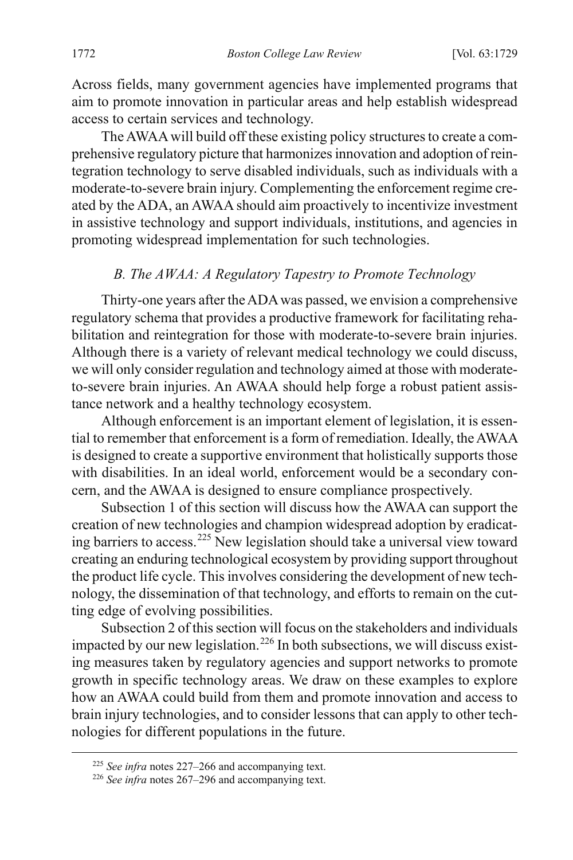Across fields, many government agencies have implemented programs that aim to promote innovation in particular areas and help establish widespread access to certain services and technology.

The AWAA will build off these existing policy structures to create a comprehensive regulatory picture that harmonizes innovation and adoption of reintegration technology to serve disabled individuals, such as individuals with a moderate-to-severe brain injury. Complementing the enforcement regime created by the ADA, an AWAA should aim proactively to incentivize investment in assistive technology and support individuals, institutions, and agencies in promoting widespread implementation for such technologies.

# *B. The AWAA: A Regulatory Tapestry to Promote Technology*

Thirty-one years after the ADA was passed, we envision a comprehensive regulatory schema that provides a productive framework for facilitating rehabilitation and reintegration for those with moderate-to-severe brain injuries. Although there is a variety of relevant medical technology we could discuss, we will only consider regulation and technology aimed at those with moderateto-severe brain injuries. An AWAA should help forge a robust patient assistance network and a healthy technology ecosystem.

Although enforcement is an important element of legislation, it is essential to remember that enforcement is a form of remediation. Ideally, the AWAA is designed to create a supportive environment that holistically supports those with disabilities. In an ideal world, enforcement would be a secondary concern, and the AWAA is designed to ensure compliance prospectively.

<span id="page-45-0"></span>Subsection 1 of this section will discuss how the AWAA can support the creation of new technologies and champion widespread adoption by eradicating barriers to access.[225](#page-45-1) New legislation should take a universal view toward creating an enduring technological ecosystem by providing support throughout the product life cycle. This involves considering the development of new technology, the dissemination of that technology, and efforts to remain on the cutting edge of evolving possibilities.

Subsection 2 of this section will focus on the stakeholders and individuals impacted by our new legislation.<sup>[226](#page-45-2)</sup> In both subsections, we will discuss existing measures taken by regulatory agencies and support networks to promote growth in specific technology areas. We draw on these examples to explore how an AWAA could build from them and promote innovation and access to brain injury technologies, and to consider lessons that can apply to other technologies for different populations in the future.

<span id="page-45-1"></span> <sup>225</sup> *See infra* notes [227–](#page-46-0)[266](#page-54-0) and accompanying text.

<span id="page-45-2"></span><sup>226</sup> *See infra* notes [267–](#page-54-1)[296](#page-60-0) and accompanying text.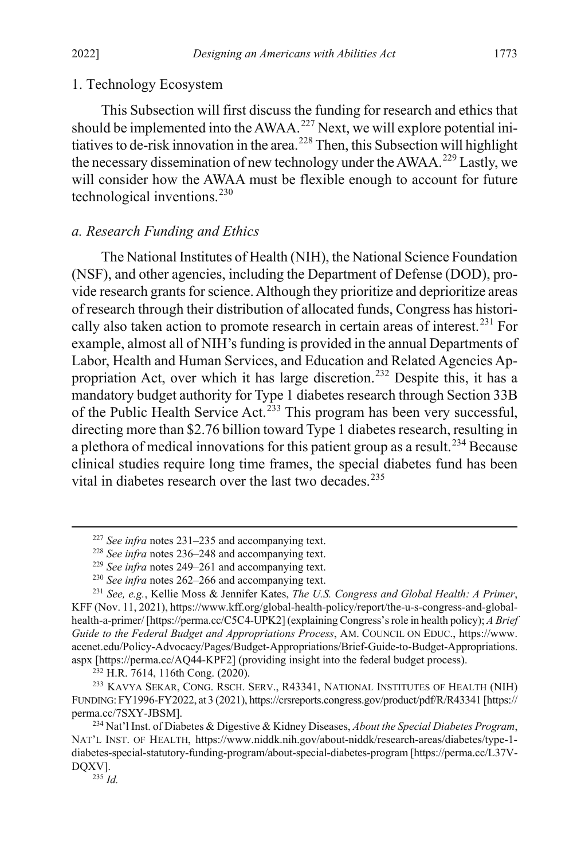#### 1. Technology Ecosystem

<span id="page-46-0"></span>This Subsection will first discuss the funding for research and ethics that should be implemented into the AWAA.<sup>[227](#page-46-3)</sup> Next, we will explore potential initiatives to de-risk innovation in the area. [228](#page-46-4) Then, this Subsection will highlight the necessary dissemination of new technology under the AWAA.<sup>[229](#page-46-5)</sup> Lastly, we will consider how the AWAA must be flexible enough to account for future technological inventions. [230](#page-46-6)

# *a. Research Funding and Ethics*

<span id="page-46-1"></span>The National Institutes of Health (NIH), the National Science Foundation (NSF), and other agencies, including the Department of Defense (DOD), provide research grants for science. Although they prioritize and deprioritize areas of research through their distribution of allocated funds, Congress has histori-cally also taken action to promote research in certain areas of interest.<sup>[231](#page-46-7)</sup> For example, almost all of NIH's funding is provided in the annual Departments of Labor, Health and Human Services, and Education and Related Agencies Appropriation Act, over which it has large discretion.[232](#page-46-8) Despite this, it has a mandatory budget authority for Type 1 diabetes research through Section 33B of the Public Health Service Act.<sup>[233](#page-46-9)</sup> This program has been very successful, directing more than \$2.76 billion toward Type 1 diabetes research, resulting in a plethora of medical innovations for this patient group as a result.<sup>[234](#page-46-10)</sup> Because clinical studies require long time frames, the special diabetes fund has been vital in diabetes research over the last two decades.<sup>[235](#page-46-11)</sup>

<sup>232</sup> H.R. 7614, 116th Cong. (2020).

<span id="page-46-9"></span><span id="page-46-8"></span><sup>233</sup> KAVYA SEKAR, CONG. RSCH. SERV., R43341, NATIONAL INSTITUTES OF HEALTH (NIH) FUNDING:FY1996-FY2022, at 3 (2021), https://crsreports.congress.gov/product/pdf/R/R43341 [https:// perma.cc/7SXY-JBSM].

<sup>235</sup> *Id.*

<span id="page-46-2"></span> <sup>227</sup> *See infra* notes [231–](#page-46-1)[235](#page-46-2) and accompanying text.

<sup>228</sup> *See infra* notes [236–](#page-47-0)[248](#page-50-0) and accompanying text.

<sup>229</sup> *See infra* notes [249–](#page-50-1)[261](#page-53-0) and accompanying text.

<sup>230</sup> *See infra* notes [262–](#page-53-1)[266](#page-54-0) and accompanying text.

<span id="page-46-7"></span><span id="page-46-6"></span><span id="page-46-5"></span><span id="page-46-4"></span><span id="page-46-3"></span><sup>231</sup> *See, e.g.*, Kellie Moss & Jennifer Kates, *The U.S. Congress and Global Health: A Primer*, KFF (Nov. 11, 2021), https://www.kff.org/global-health-policy/report/the-u-s-congress-and-globalhealth-a-primer/ [https://perma.cc/C5C4-UPK2] (explaining Congress's role in health policy); *A Brief Guide to the Federal Budget and Appropriations Process*, AM. COUNCIL ON EDUC., https://www. acenet.edu/Policy-Advocacy/Pages/Budget-Appropriations/Brief-Guide-to-Budget-Appropriations. aspx [https://perma.cc/AQ44-KPF2] (providing insight into the federal budget process).

<span id="page-46-11"></span><span id="page-46-10"></span><sup>234</sup> Nat'l Inst. of Diabetes & Digestive & Kidney Diseases, *About the Special Diabetes Program*, NAT'L INST. OF HEALTH, https://www.niddk.nih.gov/about-niddk/research-areas/diabetes/type-1 diabetes-special-statutory-funding-program/about-special-diabetes-program [https://perma.cc/L37V-DQXV].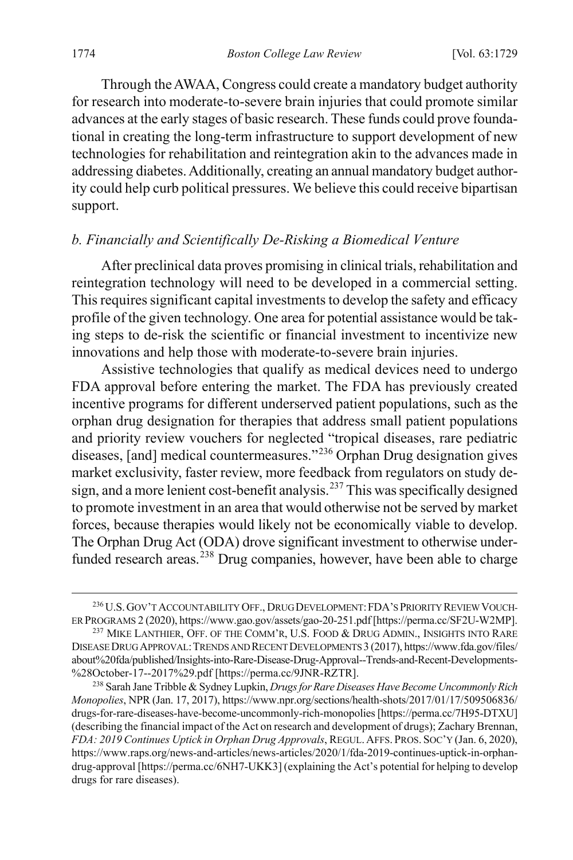Through the AWAA, Congress could create a mandatory budget authority for research into moderate-to-severe brain injuries that could promote similar advances at the early stages of basic research. These funds could prove foundational in creating the long-term infrastructure to support development of new technologies for rehabilitation and reintegration akin to the advances made in addressing diabetes. Additionally, creating an annual mandatory budget authority could help curb political pressures. We believe this could receive bipartisan support.

# *b. Financially and Scientifically De-Risking a Biomedical Venture*

After preclinical data proves promising in clinical trials, rehabilitation and reintegration technology will need to be developed in a commercial setting. This requires significant capital investments to develop the safety and efficacy profile of the given technology. One area for potential assistance would be taking steps to de-risk the scientific or financial investment to incentivize new innovations and help those with moderate-to-severe brain injuries.

<span id="page-47-0"></span>Assistive technologies that qualify as medical devices need to undergo FDA approval before entering the market. The FDA has previously created incentive programs for different underserved patient populations, such as the orphan drug designation for therapies that address small patient populations and priority review vouchers for neglected "tropical diseases, rare pediatric diseases, [and] medical countermeasures."[236](#page-47-1) Orphan Drug designation gives market exclusivity, faster review, more feedback from regulators on study de-sign, and a more lenient cost-benefit analysis.<sup>[237](#page-47-2)</sup> This was specifically designed to promote investment in an area that would otherwise not be served by market forces, because therapies would likely not be economically viable to develop. The Orphan Drug Act (ODA) drove significant investment to otherwise under-funded research areas.<sup>[238](#page-47-3)</sup> Drug companies, however, have been able to charge

<span id="page-47-4"></span><span id="page-47-1"></span> <sup>236</sup>U.S.GOV'T ACCOUNTABILITY OFF., DRUG DEVELOPMENT:FDA'S PRIORITY REVIEW VOUCH-ER PROGRAMS 2 (2020), https://www.gao.gov/assets/gao-20-251.pdf [https://perma.cc/SF2U-W2MP].

<span id="page-47-2"></span><sup>&</sup>lt;sup>237</sup> MIKE LANTHIER, OFF. OF THE COMM'R, U.S. FOOD & DRUG ADMIN., INSIGHTS INTO RARE DISEASE DRUG APPROVAL:TRENDS AND RECENT DEVELOPMENTS 3 (2017), https://www.fda.gov/files/ about%20fda/published/Insights-into-Rare-Disease-Drug-Approval--Trends-and-Recent-Developments- %28October-17--2017%29.pdf [https://perma.cc/9JNR-RZTR].

<span id="page-47-3"></span><sup>238</sup> Sarah Jane Tribble & Sydney Lupkin, *Drugs for Rare Diseases Have Become Uncommonly Rich Monopolies*, NPR (Jan. 17, 2017), https://www.npr.org/sections/health-shots/2017/01/17/509506836/ drugs-for-rare-diseases-have-become-uncommonly-rich-monopolies [https://perma.cc/7H95-DTXU] (describing the financial impact of the Act on research and development of drugs); Zachary Brennan, *FDA: 2019 Continues Uptick in Orphan Drug Approvals*, REGUL. AFFS. PROS. SOC'Y (Jan. 6, 2020), https://www.raps.org/news-and-articles/news-articles/2020/1/fda-2019-continues-uptick-in-orphandrug-approval [https://perma.cc/6NH7-UKK3] (explaining the Act's potential for helping to develop drugs for rare diseases).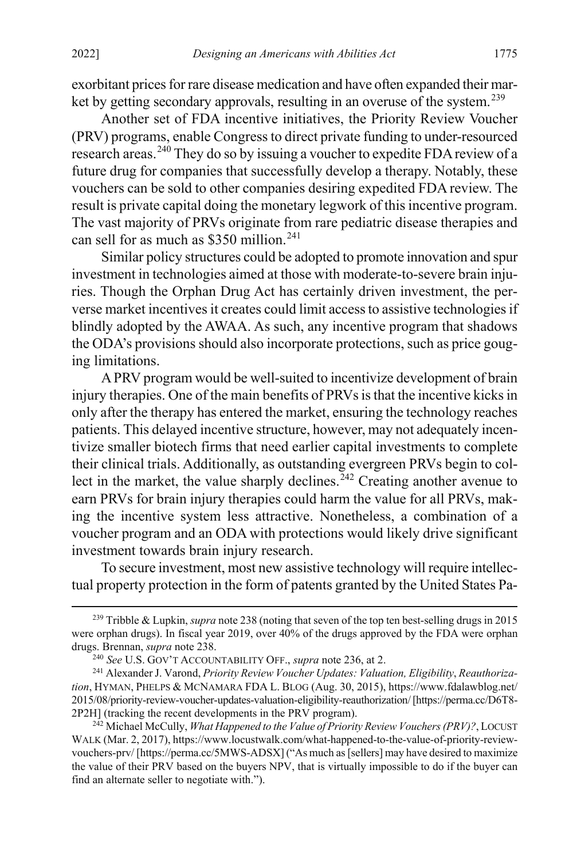exorbitant prices for rare disease medication and have often expanded their mar-ket by getting secondary approvals, resulting in an overuse of the system.<sup>[239](#page-48-0)</sup>

Another set of FDA incentive initiatives, the Priority Review Voucher (PRV) programs, enable Congress to direct private funding to under-resourced research areas.<sup>[240](#page-48-1)</sup> They do so by issuing a voucher to expedite FDA review of a future drug for companies that successfully develop a therapy. Notably, these vouchers can be sold to other companies desiring expedited FDA review. The result is private capital doing the monetary legwork of this incentive program. The vast majority of PRVs originate from rare pediatric disease therapies and can sell for as much as  $$350$  million.<sup>[241](#page-48-2)</sup>

Similar policy structures could be adopted to promote innovation and spur investment in technologies aimed at those with moderate-to-severe brain injuries. Though the Orphan Drug Act has certainly driven investment, the perverse market incentives it creates could limit access to assistive technologies if blindly adopted by the AWAA. As such, any incentive program that shadows the ODA's provisions should also incorporate protections, such as price gouging limitations.

A PRV program would be well-suited to incentivize development of brain injury therapies. One of the main benefits of PRVs is that the incentive kicks in only after the therapy has entered the market, ensuring the technology reaches patients. This delayed incentive structure, however, may not adequately incentivize smaller biotech firms that need earlier capital investments to complete their clinical trials. Additionally, as outstanding evergreen PRVs begin to collect in the market, the value sharply declines.<sup> $242$ </sup> Creating another avenue to earn PRVs for brain injury therapies could harm the value for all PRVs, making the incentive system less attractive. Nonetheless, a combination of a voucher program and an ODA with protections would likely drive significant investment towards brain injury research.

To secure investment, most new assistive technology will require intellectual property protection in the form of patents granted by the United States Pa-

<span id="page-48-0"></span> <sup>239</sup> Tribble & Lupkin, *supra* not[e 238](#page-47-4) (noting that seven of the top ten best-selling drugs in 2015 were orphan drugs). In fiscal year 2019, over 40% of the drugs approved by the FDA were orphan drugs. Brennan, *supra* not[e 238.](#page-47-4)

<sup>240</sup> *See* U.S. GOV'T ACCOUNTABILITY OFF., *supra* not[e 236,](#page-47-0) at 2.

<span id="page-48-2"></span><span id="page-48-1"></span><sup>241</sup> Alexander J. Varond, *Priority Review Voucher Updates: Valuation, Eligibility*, *Reauthorization*, HYMAN, PHELPS & MCNAMARA FDA L. BLOG (Aug. 30, 2015), https://www.fdalawblog.net/ 2015/08/priority-review-voucher-updates-valuation-eligibility-reauthorization/ [https://perma.cc/D6T8- 2P2H] (tracking the recent developments in the PRV program).

<span id="page-48-3"></span><sup>242</sup> Michael McCully, *What Happened to the Value of Priority Review Vouchers (PRV)?*, LOCUST WALK (Mar. 2, 2017), https://www.locustwalk.com/what-happened-to-the-value-of-priority-reviewvouchers-prv/ [https://perma.cc/5MWS-ADSX] ("As much as [sellers] may have desired to maximize the value of their PRV based on the buyers NPV, that is virtually impossible to do if the buyer can find an alternate seller to negotiate with.").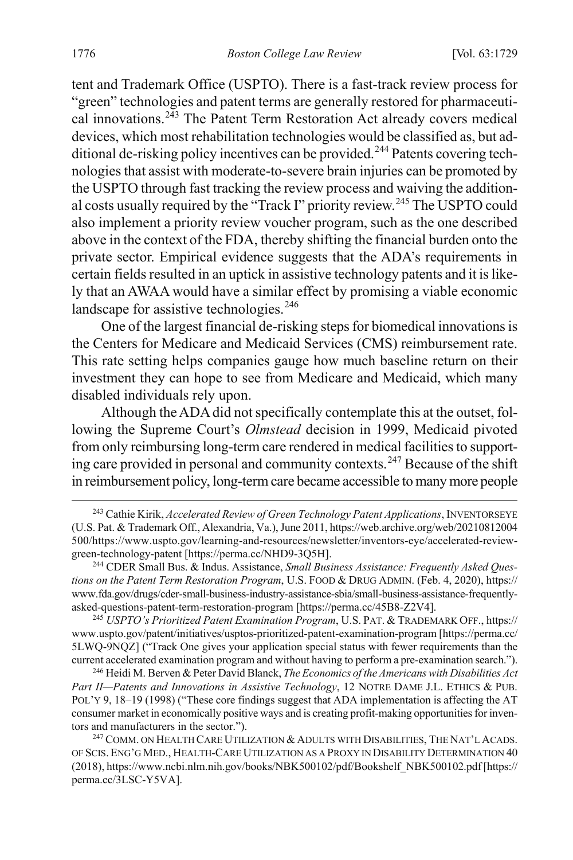tent and Trademark Office (USPTO). There is a fast-track review process for "green" technologies and patent terms are generally restored for pharmaceutical innovations.[243](#page-49-0) The Patent Term Restoration Act already covers medical devices, which most rehabilitation technologies would be classified as, but ad-ditional de-risking policy incentives can be provided.<sup>[244](#page-49-1)</sup> Patents covering technologiesthat assist with moderate-to-severe brain injuries can be promoted by the USPTO through fast tracking the review process and waiving the addition-al costs usually required by the "Track I" priority review.<sup>[245](#page-49-2)</sup> The USPTO could also implement a priority review voucher program, such as the one described above in the context of the FDA, thereby shifting the financial burden onto the private sector. Empirical evidence suggests that the ADA's requirements in certain fields resulted in an uptick in assistive technology patents and it is likely that an AWAA would have a similar effect by promising a viable economic landscape for assistive technologies.<sup>[246](#page-49-3)</sup>

One of the largest financial de-risking steps for biomedical innovations is the Centers for Medicare and Medicaid Services (CMS) reimbursement rate. This rate setting helps companies gauge how much baseline return on their investment they can hope to see from Medicare and Medicaid, which many disabled individuals rely upon.

Although the ADA did not specifically contemplate this at the outset, following the Supreme Court's *Olmstead* decision in 1999, Medicaid pivoted from only reimbursing long-term care rendered in medical facilities to support-ing care provided in personal and community contexts.<sup>[247](#page-49-4)</sup> Because of the shift in reimbursement policy, long-term care became accessible to many more people

<span id="page-49-5"></span><span id="page-49-0"></span> <sup>243</sup> Cathie Kirik, *Accelerated Review of Green Technology Patent Applications*, INVENTORSEYE (U.S. Pat. & Trademark Off., Alexandria, Va.),June 2011, https://web.archive.org/web/20210812004 500/https://www.uspto.gov/learning-and-resources/newsletter/inventors-eye/accelerated-reviewgreen-technology-patent [https://perma.cc/NHD9-3Q5H].

<span id="page-49-1"></span><sup>244</sup> CDER Small Bus. & Indus. Assistance, *Small Business Assistance: Frequently Asked Questions on the Patent Term Restoration Program*, U.S. FOOD & DRUG ADMIN. (Feb. 4, 2020), https:// www.fda.gov/drugs/cder-small-business-industry-assistance-sbia/small-business-assistance-frequentlyasked-questions-patent-term-restoration-program [https://perma.cc/45B8-Z2V4].

<span id="page-49-2"></span><sup>245</sup> *USPTO's Prioritized Patent Examination Program*, U.S. PAT. & TRADEMARK OFF., https:// www.uspto.gov/patent/initiatives/usptos-prioritized-patent-examination-program [https://perma.cc/ 5LWQ-9NQZ] ("Track One gives your application special status with fewer requirements than the current accelerated examination program and without having to perform a pre-examination search.").

<span id="page-49-3"></span><sup>246</sup> Heidi M. Berven & Peter David Blanck, *The Economics of the Americans with Disabilities Act Part II—Patents and Innovations in Assistive Technology*, 12 NOTRE DAME J.L. ETHICS & PUB. POL'Y 9, 18–19 (1998) ("These core findings suggest that ADA implementation is affecting the AT consumer market in economically positive ways and is creating profit-making opportunities for inventors and manufacturers in the sector.").

<span id="page-49-4"></span><sup>&</sup>lt;sup>247</sup> COMM. ON HEALTH CARE UTILIZATION & ADULTS WITH DISABILITIES, THE NAT'L ACADS. OF SCIS.ENG'G MED., HEALTH-CARE UTILIZATION AS A PROXY IN DISABILITY DETERMINATION 40 (2018), https://www.ncbi.nlm.nih.gov/books/NBK500102/pdf/Bookshelf\_NBK500102.pdf [https:// perma.cc/3LSC-Y5VA].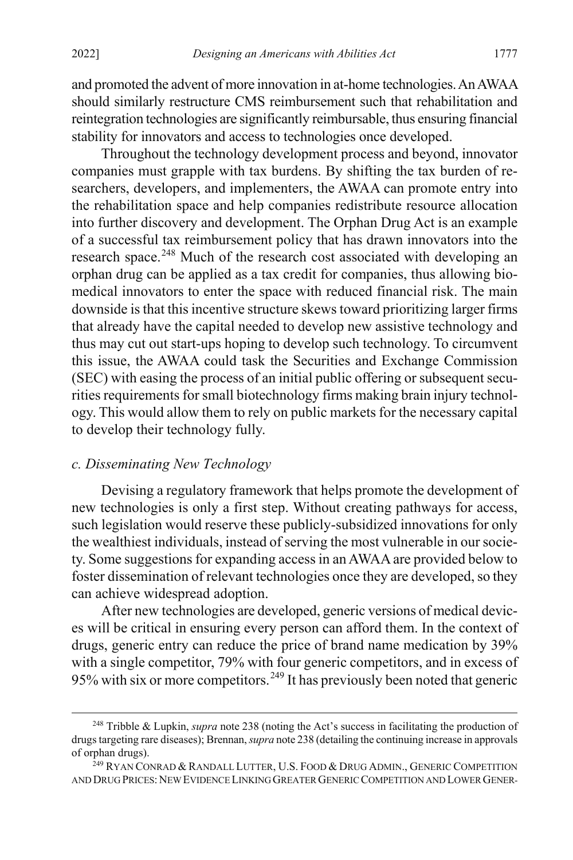and promoted the advent of more innovation in at-home technologies. An AWAA should similarly restructure CMS reimbursement such that rehabilitation and reintegration technologies are significantly reimbursable, thus ensuring financial stability for innovators and access to technologies once developed.

<span id="page-50-0"></span>Throughout the technology development process and beyond, innovator companies must grapple with tax burdens. By shifting the tax burden of researchers, developers, and implementers, the AWAA can promote entry into the rehabilitation space and help companies redistribute resource allocation into further discovery and development. The Orphan Drug Act is an example of a successful tax reimbursement policy that has drawn innovators into the research space.<sup>[248](#page-50-2)</sup> Much of the research cost associated with developing an orphan drug can be applied as a tax credit for companies, thus allowing biomedical innovators to enter the space with reduced financial risk. The main downside is that this incentive structure skews toward prioritizing larger firms that already have the capital needed to develop new assistive technology and thus may cut out start-ups hoping to develop such technology. To circumvent this issue, the AWAA could task the Securities and Exchange Commission (SEC) with easing the process of an initial public offering or subsequent securities requirements for small biotechnology firms making brain injury technology. This would allow them to rely on public markets for the necessary capital to develop their technology fully.

# *c. Disseminating New Technology*

Devising a regulatory framework that helps promote the development of new technologies is only a first step. Without creating pathways for access, such legislation would reserve these publicly-subsidized innovations for only the wealthiest individuals, instead of serving the most vulnerable in our society. Some suggestions for expanding access in an AWAA are provided below to foster dissemination of relevant technologies once they are developed, so they can achieve widespread adoption.

After new technologies are developed, generic versions of medical devices will be critical in ensuring every person can afford them. In the context of drugs, generic entry can reduce the price of brand name medication by 39% with a single competitor, 79% with four generic competitors, and in excess of 95% with six or more competitors.<sup>[249](#page-50-3)</sup> It has previously been noted that generic

<span id="page-50-2"></span><span id="page-50-1"></span> <sup>248</sup> Tribble & Lupkin, *supra* not[e 238](#page-47-4) (noting the Act's success in facilitating the production of drugs targeting rare diseases); Brennan, *supra* not[e 238](#page-47-4) (detailing the continuing increase in approvals of orphan drugs).

<span id="page-50-3"></span><sup>&</sup>lt;sup>249</sup> RYAN CONRAD & RANDALL LUTTER, U.S. FOOD & DRUG ADMIN., GENERIC COMPETITION AND DRUG PRICES: NEW EVIDENCE LINKING GREATER GENERIC COMPETITION AND LOWER GENER-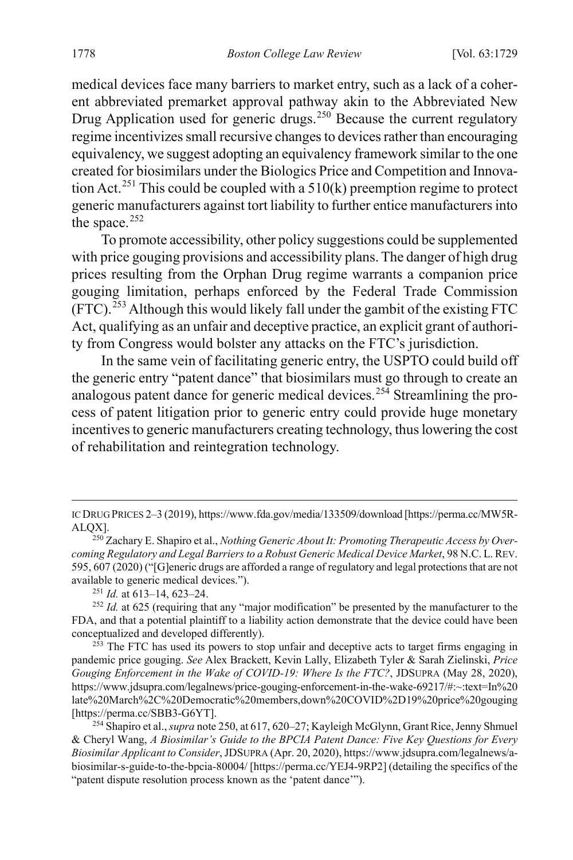<span id="page-51-0"></span>medical devices face many barriers to market entry, such as a lack of a coherent abbreviated premarket approval pathway akin to the Abbreviated New Drug Application used for generic drugs.<sup>[250](#page-51-1)</sup> Because the current regulatory regime incentivizes small recursive changes to devices rather than encouraging equivalency, we suggest adopting an equivalency framework similar to the one created for biosimilars under the Biologics Price and Competition and Innova-tion Act.<sup>[251](#page-51-2)</sup> This could be coupled with a  $510(k)$  preemption regime to protect generic manufacturers against tort liability to further entice manufacturers into the space. $252$ 

To promote accessibility, other policy suggestions could be supplemented with price gouging provisions and accessibility plans. The danger of high drug prices resulting from the Orphan Drug regime warrants a companion price gouging limitation, perhaps enforced by the Federal Trade Commission  $(FTC)$ <sup>[253](#page-51-4)</sup> Although this would likely fall under the gambit of the existing FTC Act, qualifying as an unfair and deceptive practice, an explicit grant of authority from Congress would bolster any attacks on the FTC's jurisdiction.

In the same vein of facilitating generic entry, the USPTO could build off the generic entry "patent dance" that biosimilars must go through to create an analogous patent dance for generic medical devices.<sup>[254](#page-51-5)</sup> Streamlining the process of patent litigation prior to generic entry could provide huge monetary incentives to generic manufacturers creating technology, thus lowering the cost of rehabilitation and reintegration technology.

IC DRUG PRICES 2–3 (2019), https://www.fda.gov/media/133509/download [https://perma.cc/MW5R-ALQX].

<span id="page-51-1"></span><sup>250</sup> Zachary E. Shapiro et al., *Nothing Generic About It: Promoting Therapeutic Access by Overcoming Regulatory and Legal Barriers to a Robust Generic Medical Device Market*, 98 N.C. L.REV. 595, 607 (2020) ("[G]eneric drugs are afforded a range of regulatory and legal protections that are not available to generic medical devices.").

<sup>251</sup> *Id.* at 613–14, 623–24.

<span id="page-51-3"></span><span id="page-51-2"></span><sup>&</sup>lt;sup>252</sup> *Id.* at 625 (requiring that any "major modification" be presented by the manufacturer to the FDA, and that a potential plaintiff to a liability action demonstrate that the device could have been conceptualized and developed differently).

<span id="page-51-4"></span><sup>&</sup>lt;sup>253</sup> The FTC has used its powers to stop unfair and deceptive acts to target firms engaging in pandemic price gouging. *See* Alex Brackett, Kevin Lally, Elizabeth Tyler & Sarah Zielinski, *Price Gouging Enforcement in the Wake of COVID-19: Where Is the FTC?*, JDSUPRA (May 28, 2020), https://www.jdsupra.com/legalnews/price-gouging-enforcement-in-the-wake-69217/#:~:text=In%20 late%20March%2C%20Democratic%20members,down%20COVID%2D19%20price%20gouging [https://perma.cc/SBB3-G6YT].

<span id="page-51-5"></span><sup>254</sup> Shapiro et al.,*supra* not[e 250,](#page-51-0) at 617, 620–27; Kayleigh McGlynn, Grant Rice, Jenny Shmuel & Cheryl Wang, *A Biosimilar's Guide to the BPCIA Patent Dance: Five Key Questions for Every Biosimilar Applicant to Consider*, JDSUPRA (Apr. 20, 2020), https://www.jdsupra.com/legalnews/abiosimilar-s-guide-to-the-bpcia-80004/ [https://perma.cc/YEJ4-9RP2] (detailing the specifics of the "patent dispute resolution process known as the 'patent dance'").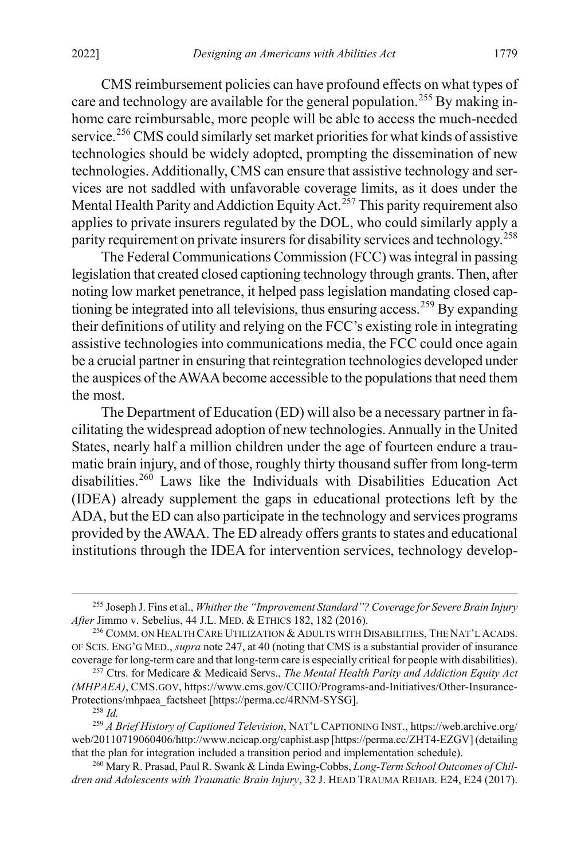CMS reimbursement policies can have profound effects on what types of care and technology are available for the general population.<sup>[255](#page-52-0)</sup> By making inhome care reimbursable, more people will be able to access the much-needed service.<sup>[256](#page-52-1)</sup> CMS could similarly set market priorities for what kinds of assistive technologies should be widely adopted, prompting the dissemination of new technologies. Additionally, CMS can ensure that assistive technology and services are not saddled with unfavorable coverage limits, as it does under the Mental Health Parity and Addiction Equity Act.<sup>[257](#page-52-2)</sup> This parity requirement also applies to private insurers regulated by the DOL, who could similarly apply a parity requirement on private insurers for disability services and technology.<sup>[258](#page-52-3)</sup>

<span id="page-52-7"></span>The Federal Communications Commission (FCC) was integral in passing legislation that created closed captioning technology through grants. Then, after noting low market penetrance, it helped pass legislation mandating closed cap-tioning be integrated into all televisions, thus ensuring access.<sup>[259](#page-52-4)</sup> By expanding their definitions of utility and relying on the FCC's existing role in integrating assistive technologies into communications media, the FCC could once again be a crucial partner in ensuring that reintegration technologies developed under the auspices of the AWAA become accessible to the populations that need them the most.

<span id="page-52-6"></span>The Department of Education (ED) will also be a necessary partner in facilitating the widespread adoption of new technologies. Annually in the United States, nearly half a million children under the age of fourteen endure a traumatic brain injury, and of those, roughly thirty thousand suffer from long-term disabilities.<sup>[260](#page-52-5)</sup> Laws like the Individuals with Disabilities Education Act (IDEA) already supplement the gaps in educational protections left by the ADA, but the ED can also participate in the technology and services programs provided by the AWAA. The ED already offers grants to states and educational institutions through the IDEA for intervention services, technology develop-

<span id="page-52-0"></span> <sup>255</sup> Joseph J. Fins et al., *Whither the "Improvement Standard"? Coverage for Severe Brain Injury After* Jimmo v. Sebelius, 44 J.L. MED. & ETHICS 182, 182 (2016).

<span id="page-52-1"></span><sup>256</sup> COMM. ON HEALTH CARE UTILIZATION & ADULTS WITH DISABILITIES, THE NAT'L ACADS. OF SCIS. ENG'G MED., *supra* not[e 247,](#page-49-5) at 40 (noting that CMS is a substantial provider of insurance coverage for long-term care and that long-term care is especially critical for people with disabilities).

<span id="page-52-2"></span><sup>257</sup> Ctrs. for Medicare & Medicaid Servs., *The Mental Health Parity and Addiction Equity Act (MHPAEA)*, CMS.GOV, https://www.cms.gov/CCIIO/Programs-and-Initiatives/Other-Insurance-Protections/mhpaea\_factsheet [https://perma.cc/4RNM-SYSG].

<sup>258</sup> *Id.*

<span id="page-52-4"></span><span id="page-52-3"></span><sup>259</sup> *A Brief History of Captioned Television*, NAT'L CAPTIONING INST., https://web.archive.org/ web/20110719060406/http://www.ncicap.org/caphist.asp [https://perma.cc/ZHT4-EZGV] (detailing that the plan for integration included a transition period and implementation schedule).

<span id="page-52-5"></span><sup>260</sup> Mary R. Prasad, Paul R. Swank & Linda Ewing-Cobbs, *Long-Term School Outcomes of Children and Adolescents with Traumatic Brain Injury*, 32 J. HEAD TRAUMA REHAB. E24, E24 (2017).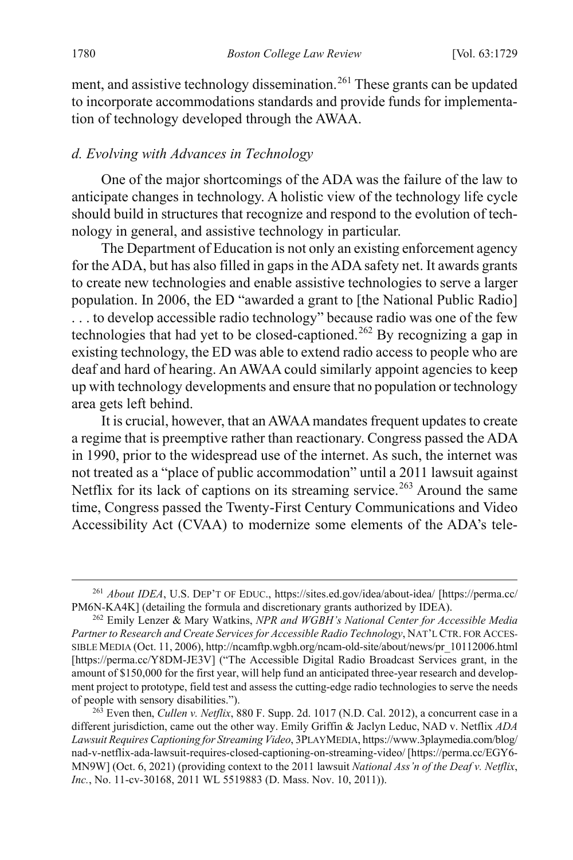<span id="page-53-0"></span>ment, and assistive technology dissemination.<sup>[261](#page-53-2)</sup> These grants can be updated to incorporate accommodations standards and provide funds for implementation of technology developed through the AWAA.

#### *d. Evolving with Advances in Technology*

One of the major shortcomings of the ADA was the failure of the law to anticipate changes in technology. A holistic view of the technology life cycle should build in structures that recognize and respond to the evolution of technology in general, and assistive technology in particular.

<span id="page-53-1"></span>The Department of Education is not only an existing enforcement agency for the ADA, but has also filled in gaps in the ADA safety net. It awards grants to create new technologies and enable assistive technologies to serve a larger population. In 2006, the ED "awarded a grant to [the National Public Radio] . . . to develop accessible radio technology" because radio was one of the few technologies that had yet to be closed-captioned.[262](#page-53-3) By recognizing a gap in existing technology, the ED was able to extend radio access to people who are deaf and hard of hearing. An AWAA could similarly appoint agencies to keep up with technology developments and ensure that no population or technology area gets left behind.

It is crucial, however, that an AWAA mandates frequent updates to create a regime that is preemptive rather than reactionary. Congress passed the ADA in 1990, prior to the widespread use of the internet. As such, the internet was not treated as a "place of public accommodation" until a 2011 lawsuit against Netflix for its lack of captions on its streaming service.<sup>[263](#page-53-4)</sup> Around the same time, Congress passed the Twenty-First Century Communications and Video Accessibility Act (CVAA) to modernize some elements of the ADA's tele-

<span id="page-53-2"></span> <sup>261</sup> *About IDEA*, U.S. DEP'T OF EDUC., https://sites.ed.gov/idea/about-idea/ [https://perma.cc/ PM6N-KA4K] (detailing the formula and discretionary grants authorized by IDEA).

<span id="page-53-3"></span><sup>262</sup> Emily Lenzer & Mary Watkins, *NPR and WGBH's National Center for Accessible Media Partner to Research and Create Services for Accessible Radio Technology*, NAT'L CTR. FOR ACCES-SIBLE MEDIA (Oct. 11, 2006), http://ncamftp.wgbh.org/ncam-old-site/about/news/pr\_10112006.html [https://perma.cc/Y8DM-JE3V] ("The Accessible Digital Radio Broadcast Services grant, in the amount of \$150,000 for the first year, will help fund an anticipated three-year research and development project to prototype, field test and assess the cutting-edge radio technologies to serve the needs of people with sensory disabilities.").

<span id="page-53-4"></span><sup>263</sup> Even then, *Cullen v. Netflix*, 880 F. Supp. 2d. 1017 (N.D. Cal. 2012), a concurrent case in a different jurisdiction, came out the other way. Emily Griffin & Jaclyn Leduc, NAD v. Netflix *ADA Lawsuit Requires Captioning for Streaming Video*, 3PLAYMEDIA, https://www.3playmedia.com/blog/ nad-v-netflix-ada-lawsuit-requires-closed-captioning-on-streaming-video/ [https://perma.cc/EGY6- MN9W] (Oct. 6, 2021) (providing context to the 2011 lawsuit *National Ass'n of the Deaf v. Netflix*, *Inc.*, No. 11-cv-30168, 2011 WL 5519883 (D. Mass. Nov. 10, 2011)).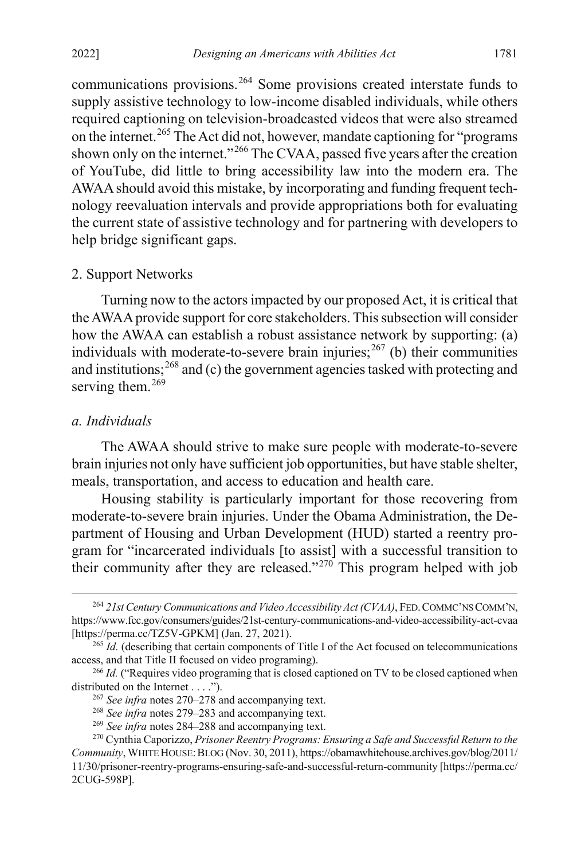<span id="page-54-0"></span>communications provisions.[264](#page-54-3) Some provisions created interstate funds to supply assistive technology to low-income disabled individuals, while others required captioning on television-broadcasted videos that were also streamed on the internet.<sup>[265](#page-54-4)</sup> The Act did not, however, mandate captioning for "programs shown only on the internet."[266](#page-54-5) The CVAA, passed five years after the creation of YouTube, did little to bring accessibility law into the modern era. The AWAA should avoid this mistake, by incorporating and funding frequent technology reevaluation intervals and provide appropriations both for evaluating the current state of assistive technology and for partnering with developers to help bridge significant gaps.

#### 2. Support Networks

<span id="page-54-1"></span>Turning now to the actors impacted by our proposed Act, it is critical that the AWAAprovide support for core stakeholders. This subsection will consider how the AWAA can establish a robust assistance network by supporting: (a) individuals with moderate-to-severe brain injuries; $^{267}$  $^{267}$  $^{267}$  (b) their communities and institutions;<sup>[268](#page-54-7)</sup> and (c) the government agencies tasked with protecting and serving them.<sup>[269](#page-54-8)</sup>

## *a. Individuals*

The AWAA should strive to make sure people with moderate-to-severe brain injuries not only have sufficient job opportunities, but have stable shelter, meals, transportation, and access to education and health care.

Housing stability is particularly important for those recovering from moderate-to-severe brain injuries. Under the Obama Administration, the Department of Housing and Urban Development (HUD) started a reentry program for "incarcerated individuals [to assist] with a successful transition to their community after they are released."[270](#page-54-9) This program helped with job

<span id="page-54-3"></span><span id="page-54-2"></span><sup>&</sup>lt;sup>264</sup> 21st Century Communications and Video Accessibility Act (CVAA), FED. COMMC'NS COMM'N, https://www.fcc.gov/consumers/guides/21st-century-communications-and-video-accessibility-act-cvaa [https://perma.cc/TZ5V-GPKM] (Jan. 27, 2021).

<span id="page-54-4"></span><sup>&</sup>lt;sup>265</sup> *Id.* (describing that certain components of Title I of the Act focused on telecommunications access, and that Title II focused on video programing).

<span id="page-54-6"></span><span id="page-54-5"></span><sup>&</sup>lt;sup>266</sup> *Id.* ("Requires video programing that is closed captioned on TV to be closed captioned when distributed on the Internet . . . .").

<sup>267</sup> *See infra* notes [270–](#page-54-2)[278](#page-56-0) and accompanying text.

<sup>268</sup> *See infra* notes [279–](#page-56-1)[283](#page-57-0) and accompanying text.

<sup>269</sup> *See infra* notes [284–](#page-57-1)[288](#page-58-0) and accompanying text.

<span id="page-54-9"></span><span id="page-54-8"></span><span id="page-54-7"></span><sup>270</sup> Cynthia Caporizzo, *Prisoner Reentry Programs: Ensuring a Safe and Successful Return to the Community*, WHITE HOUSE:BLOG (Nov. 30, 2011), https://obamawhitehouse.archives.gov/blog/2011/ 11/30/prisoner-reentry-programs-ensuring-safe-and-successful-return-community [https://perma.cc/ 2CUG-598P].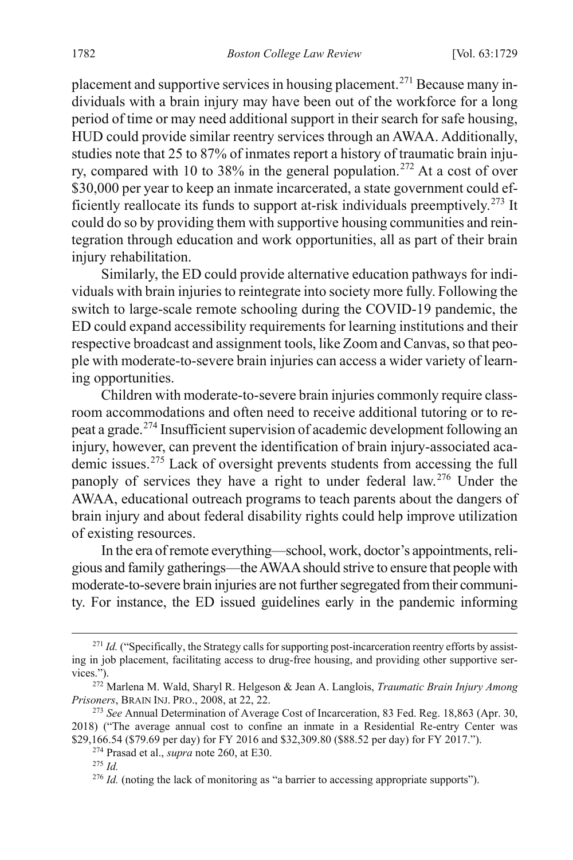placement and supportive services in housing placement.<sup>[271](#page-55-0)</sup> Because many individuals with a brain injury may have been out of the workforce for a long period of time or may need additional support in their search for safe housing, HUD could provide similar reentry services through an AWAA. Additionally, studies note that 25 to 87% of inmates report a history of traumatic brain inju-ry, compared with 10 to 38% in the general population.<sup>[272](#page-55-1)</sup> At a cost of over \$30,000 per year to keep an inmate incarcerated, a state government could ef-ficiently reallocate its funds to support at-risk individuals preemptively.<sup>[273](#page-55-2)</sup> It could do so by providing them with supportive housing communities and reintegration through education and work opportunities, all as part of their brain injury rehabilitation.

Similarly, the ED could provide alternative education pathways for individuals with brain injuries to reintegrate into society more fully. Following the switch to large-scale remote schooling during the COVID-19 pandemic, the ED could expand accessibility requirements for learning institutions and their respective broadcast and assignment tools, like Zoom and Canvas, so that people with moderate-to-severe brain injuries can access a wider variety of learning opportunities.

Children with moderate-to-severe brain injuries commonly require classroom accommodations and often need to receive additional tutoring or to re-peat a grade.<sup>[274](#page-55-3)</sup> Insufficient supervision of academic development following an injury, however, can prevent the identification of brain injury-associated academic issues.[275](#page-55-4) Lack of oversight prevents students from accessing the full panoply of services they have a right to under federal law.[276](#page-55-5) Under the AWAA, educational outreach programs to teach parents about the dangers of brain injury and about federal disability rights could help improve utilization of existing resources.

In the era of remote everything—school, work, doctor's appointments, religious and family gatherings—the AWAA should strive to ensure that people with moderate-to-severe brain injuries are not further segregated from their community. For instance, the ED issued guidelines early in the pandemic informing

<span id="page-55-0"></span><sup>&</sup>lt;sup>271</sup> *Id.* ("Specifically, the Strategy calls for supporting post-incarceration reentry efforts by assisting in job placement, facilitating access to drug-free housing, and providing other supportive services.").

<span id="page-55-1"></span><sup>272</sup> Marlena M. Wald, Sharyl R. Helgeson & Jean A. Langlois, *Traumatic Brain Injury Among Prisoners*, BRAIN INJ. PRO., 2008, at 22, 22.

<span id="page-55-4"></span><span id="page-55-3"></span><span id="page-55-2"></span><sup>273</sup> *See* Annual Determination of Average Cost of Incarceration, 83 Fed. Reg. 18,863 (Apr. 30, 2018) ("The average annual cost to confine an inmate in a Residential Re-entry Center was \$29,166.54 (\$79.69 per day) for FY 2016 and \$32,309.80 (\$88.52 per day) for FY 2017.").

<sup>274</sup> Prasad et al., *supra* note [260,](#page-52-6) at E30.

<sup>275</sup> *Id.*

<span id="page-55-5"></span><sup>&</sup>lt;sup>276</sup> *Id.* (noting the lack of monitoring as "a barrier to accessing appropriate supports").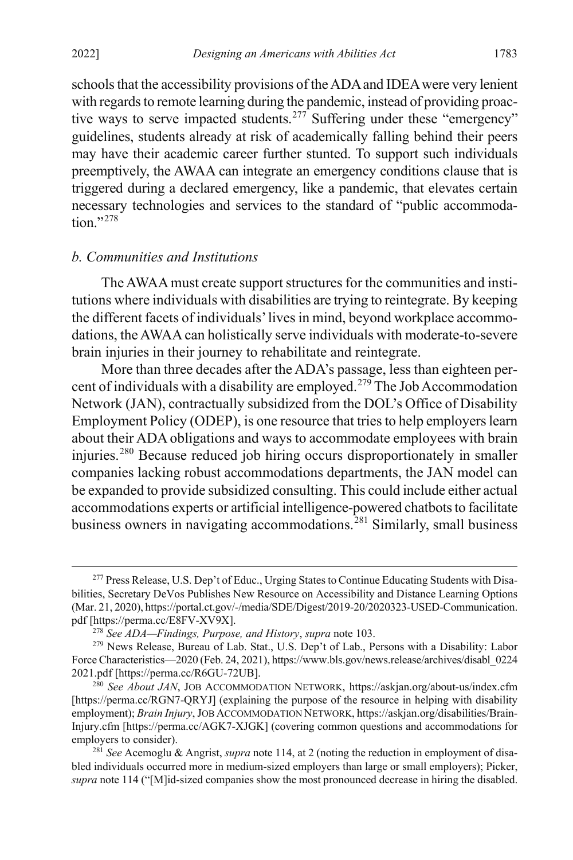schools that the accessibility provisions of the ADA and IDEA were very lenient with regards to remote learning during the pandemic, instead of providing proac-tive ways to serve impacted students.<sup>[277](#page-56-2)</sup> Suffering under these "emergency" guidelines, students already at risk of academically falling behind their peers may have their academic career further stunted. To support such individuals preemptively, the AWAA can integrate an emergency conditions clause that is triggered during a declared emergency, like a pandemic, that elevates certain necessary technologies and services to the standard of "public accommoda $tion$ <sup>"[278](#page-56-3)</sup>

# <span id="page-56-0"></span>*b. Communities and Institutions*

The AWAAmust create support structures for the communities and institutions where individuals with disabilities are trying to reintegrate. By keeping the different facets of individuals' lives in mind, beyond workplace accommodations, the AWAA can holistically serve individuals with moderate-to-severe brain injuries in their journey to rehabilitate and reintegrate.

<span id="page-56-1"></span>More than three decades after the ADA's passage, less than eighteen per-cent of individuals with a disability are employed.<sup>[279](#page-56-4)</sup> The Job Accommodation Network (JAN), contractually subsidized from the DOL's Office of Disability Employment Policy (ODEP), is one resource that tries to help employers learn about their ADA obligations and ways to accommodate employees with brain injuries. [280](#page-56-5) Because reduced job hiring occurs disproportionately in smaller companies lacking robust accommodations departments, the JAN model can be expanded to provide subsidized consulting. This could include either actual accommodations experts or artificial intelligence-powered chatbots to facilitate business owners in navigating accommodations.<sup>[281](#page-56-6)</sup> Similarly, small business

<span id="page-56-2"></span> <sup>277</sup> Press Release, U.S. Dep't of Educ., Urging States to Continue Educating Students with Disabilities, Secretary DeVos Publishes New Resource on Accessibility and Distance Learning Options (Mar. 21, 2020), https://portal.ct.gov/-/media/SDE/Digest/2019-20/2020323-USED-Communication. pdf [https://perma.cc/E8FV-XV9X].

<sup>278</sup> *See ADA—Findings, Purpose, and History*, *supra* not[e 103.](#page-21-9)

<span id="page-56-4"></span><span id="page-56-3"></span><sup>&</sup>lt;sup>279</sup> News Release, Bureau of Lab. Stat., U.S. Dep't of Lab., Persons with a Disability: Labor Force Characteristics—2020 (Feb. 24, 2021), https://www.bls.gov/news.release/archives/disabl\_0224 2021.pdf [https://perma.cc/R6GU-72UB].

<span id="page-56-5"></span><sup>280</sup> *See About JAN*, JOB ACCOMMODATION NETWORK, https://askjan.org/about-us/index.cfm [https://perma.cc/RGN7-QRYJ] (explaining the purpose of the resource in helping with disability employment); *Brain Injury*, JOB ACCOMMODATION NETWORK, https://askjan.org/disabilities/Brain-Injury.cfm [https://perma.cc/AGK7-XJGK] (covering common questions and accommodations for employers to consider).

<span id="page-56-6"></span><sup>281</sup> *See* Acemoglu & Angrist, *supra* not[e 114,](#page-22-7) at 2 (noting the reduction in employment of disabled individuals occurred more in medium-sized employers than large or small employers); Picker, *supra* note [114](#page-22-7) ("[M]id-sized companies show the most pronounced decrease in hiring the disabled.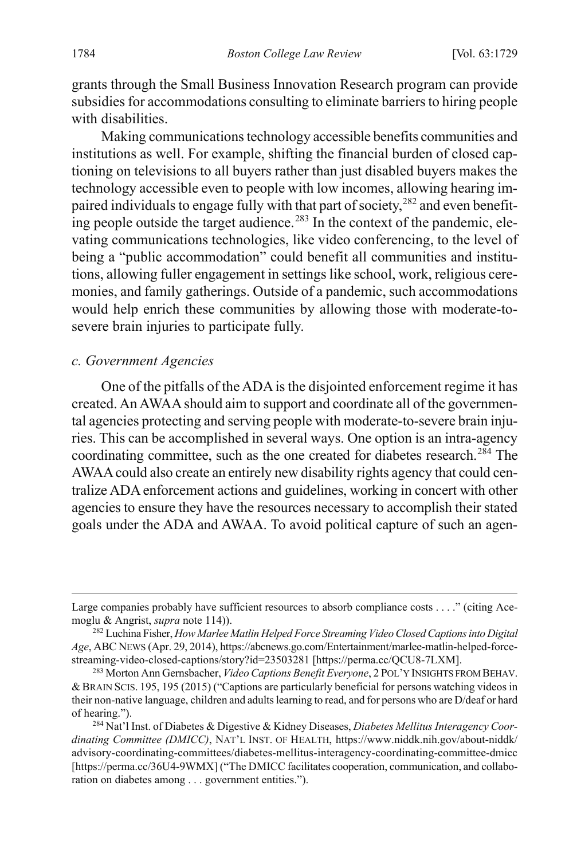grants through the Small Business Innovation Research program can provide subsidies for accommodations consulting to eliminate barriers to hiring people with disabilities.

<span id="page-57-0"></span>Making communications technology accessible benefits communities and institutions as well. For example, shifting the financial burden of closed captioning on televisions to all buyers rather than just disabled buyers makes the technology accessible even to people with low incomes, allowing hearing im-paired individuals to engage fully with that part of society,<sup>[282](#page-57-2)</sup> and even benefit-ing people outside the target audience.<sup>[283](#page-57-3)</sup> In the context of the pandemic, elevating communications technologies, like video conferencing, to the level of being a "public accommodation" could benefit all communities and institutions, allowing fuller engagement in settings like school, work, religious ceremonies, and family gatherings. Outside of a pandemic, such accommodations would help enrich these communities by allowing those with moderate-tosevere brain injuries to participate fully.

#### *c. Government Agencies*

<span id="page-57-1"></span>One of the pitfalls of the ADA is the disjointed enforcement regime it has created. An AWAA should aim to support and coordinate all of the governmental agencies protecting and serving people with moderate-to-severe brain injuries. This can be accomplished in several ways. One option is an intra-agency coordinating committee, such as the one created for diabetes research.<sup>[284](#page-57-4)</sup> The AWAA could also create an entirely new disability rights agency that could centralize ADA enforcement actions and guidelines, working in concert with other agencies to ensure they have the resources necessary to accomplish their stated goals under the ADA and AWAA. To avoid political capture of such an agen-

Large companies probably have sufficient resources to absorb compliance costs . . . ." (citing Acemoglu & Angrist, *supra* not[e 114\)](#page-22-7)).

<span id="page-57-2"></span><sup>282</sup> Luchina Fisher, *How Marlee Matlin Helped Force Streaming Video Closed Captions into Digital Age*, ABC NEWS (Apr. 29, 2014), https://abcnews.go.com/Entertainment/marlee-matlin-helped-forcestreaming-video-closed-captions/story?id=23503281 [https://perma.cc/QCU8-7LXM].

<span id="page-57-3"></span><sup>283</sup> Morton Ann Gernsbacher, *Video Captions Benefit Everyone*, 2 POL'Y INSIGHTS FROM BEHAV. & BRAIN SCIS. 195, 195 (2015) ("Captions are particularly beneficial for persons watching videos in their non-native language, children and adults learning to read, and for persons who are D/deaf or hard of hearing.").

<span id="page-57-4"></span><sup>284</sup> Nat'l Inst. of Diabetes & Digestive & Kidney Diseases, *Diabetes Mellitus Interagency Coordinating Committee (DMICC)*, NAT'L INST. OF HEALTH, https://www.niddk.nih.gov/about-niddk/ advisory-coordinating-committees/diabetes-mellitus-interagency-coordinating-committee-dmicc [https://perma.cc/36U4-9WMX] ("The DMICC facilitates cooperation, communication, and collaboration on diabetes among . . . government entities.").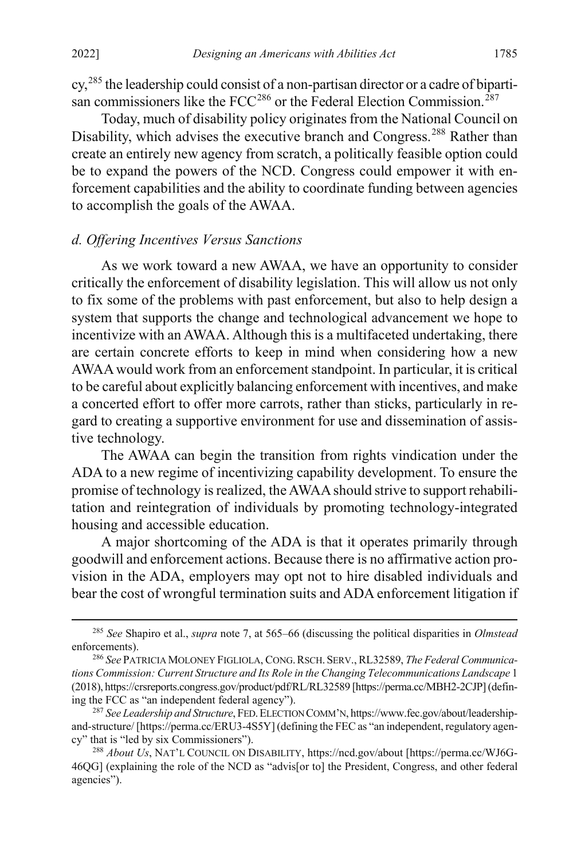cy,[285](#page-58-1) the leadership could consist of a non-partisan director or a cadre of bipartisan commissioners like the  $FCC^{286}$  $FCC^{286}$  $FCC^{286}$  or the Federal Election Commission.<sup>[287](#page-58-3)</sup>

<span id="page-58-0"></span>Today, much of disability policy originates from the National Council on Disability, which advises the executive branch and Congress.<sup>[288](#page-58-4)</sup> Rather than create an entirely new agency from scratch, a politically feasible option could be to expand the powers of the NCD. Congress could empower it with enforcement capabilities and the ability to coordinate funding between agencies to accomplish the goals of the AWAA.

#### *d. Offering Incentives Versus Sanctions*

As we work toward a new AWAA, we have an opportunity to consider critically the enforcement of disability legislation. This will allow us not only to fix some of the problems with past enforcement, but also to help design a system that supports the change and technological advancement we hope to incentivize with an AWAA. Although this is a multifaceted undertaking, there are certain concrete efforts to keep in mind when considering how a new AWAA would work from an enforcement standpoint. In particular, it is critical to be careful about explicitly balancing enforcement with incentives, and make a concerted effort to offer more carrots, rather than sticks, particularly in regard to creating a supportive environment for use and dissemination of assistive technology.

The AWAA can begin the transition from rights vindication under the ADA to a new regime of incentivizing capability development. To ensure the promise of technology is realized, the AWAA should strive to support rehabilitation and reintegration of individuals by promoting technology-integrated housing and accessible education.

A major shortcoming of the ADA is that it operates primarily through goodwill and enforcement actions. Because there is no affirmative action provision in the ADA, employers may opt not to hire disabled individuals and bear the cost of wrongful termination suits and ADA enforcement litigation if

<span id="page-58-1"></span> <sup>285</sup> *See* Shapiro et al., *supra* note [7,](#page-5-0) at 565–66 (discussing the political disparities in *Olmstead*  enforcements).

<span id="page-58-2"></span><sup>286</sup> *See* PATRICIA MOLONEY FIGLIOLA, CONG.RSCH.SERV., RL32589, *The Federal Communications Commission: Current Structure and Its Role in the Changing Telecommunications Landscape* 1 (2018), https://crsreports.congress.gov/product/pdf/RL/RL32589 [https://perma.cc/MBH2-2CJP](defining the FCC as "an independent federal agency").

<span id="page-58-3"></span><sup>&</sup>lt;sup>287</sup> See Leadership and Structure, FED. ELECTION COMM'N, https://www.fec.gov/about/leadershipand-structure/ [https://perma.cc/ERU3-4S5Y] (defining the FEC as "an independent, regulatory agency" that is "led by six Commissioners").

<span id="page-58-4"></span><sup>288</sup> *About Us*, NAT'L COUNCIL ON DISABILITY, https://ncd.gov/about [https://perma.cc/WJ6G-46QG] (explaining the role of the NCD as "advis[or to] the President, Congress, and other federal agencies").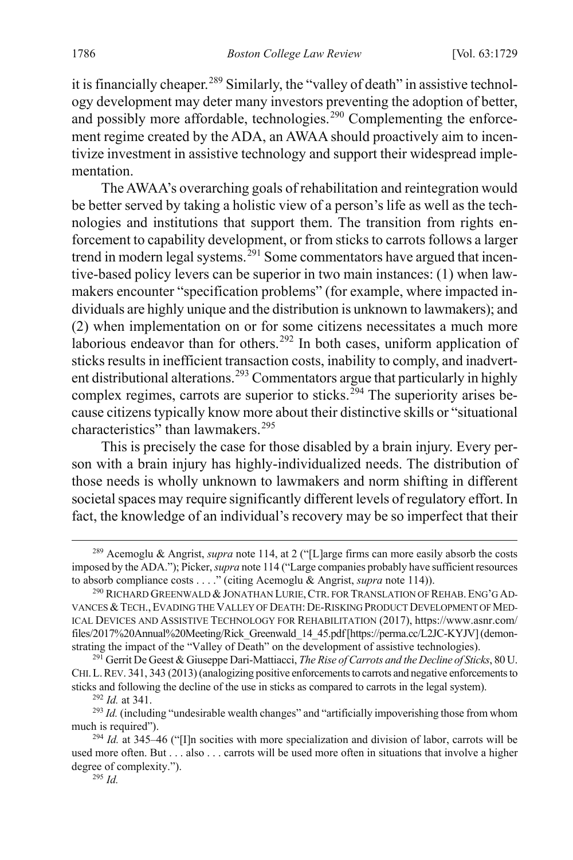it is financially cheaper.<sup>[289](#page-59-0)</sup> Similarly, the "valley of death" in assistive technology development may deter many investors preventing the adoption of better, and possibly more affordable, technologies.<sup>[290](#page-59-1)</sup> Complementing the enforcement regime created by the ADA, an AWAA should proactively aim to incentivize investment in assistive technology and support their widespread implementation.

The AWAA's overarching goals of rehabilitation and reintegration would be better served by taking a holistic view of a person's life as well as the technologies and institutions that support them. The transition from rights enforcement to capability development, or from sticks to carrots follows a larger trend in modern legal systems.<sup>[291](#page-59-2)</sup> Some commentators have argued that incentive-based policy levers can be superior in two main instances: (1) when lawmakers encounter "specification problems" (for example, where impacted individuals are highly unique and the distribution is unknown to lawmakers); and (2) when implementation on or for some citizens necessitates a much more laborious endeavor than for others.<sup>[292](#page-59-3)</sup> In both cases, uniform application of sticks results in inefficient transaction costs, inability to comply, and inadvert-ent distributional alterations.<sup>[293](#page-59-4)</sup> Commentators argue that particularly in highly complex regimes, carrots are superior to sticks.<sup>[294](#page-59-5)</sup> The superiority arises because citizens typically know more about their distinctive skills or "situational characteristics" than lawmakers.<sup>[295](#page-59-6)</sup>

This is precisely the case for those disabled by a brain injury. Every person with a brain injury has highly-individualized needs. The distribution of those needs is wholly unknown to lawmakers and norm shifting in different societal spaces may require significantly different levels of regulatory effort. In fact, the knowledge of an individual's recovery may be so imperfect that their

<span id="page-59-0"></span> <sup>289</sup> Acemoglu & Angrist, *supra* not[e 114,](#page-22-7) at 2 ("[L]arge firms can more easily absorb the costs imposed by the ADA."); Picker, *supra* not[e 114](#page-22-7) ("Large companies probably have sufficient resources to absorb compliance costs . . . ." (citing Acemoglu & Angrist, *supra* not[e 114\)](#page-22-7)).

<span id="page-59-1"></span><sup>&</sup>lt;sup>290</sup> RICHARD GREENWALD & JONATHAN LURIE, CTR. FOR TRANSLATION OF REHAB. ENG'G AD-VANCES &TECH.,EVADING THE VALLEY OF DEATH:DE-RISKING PRODUCT DEVELOPMENT OF MED-ICAL DEVICES AND ASSISTIVE TECHNOLOGY FOR REHABILITATION (2017), https://www.asnr.com/ files/2017%20Annual%20Meeting/Rick\_Greenwald\_14\_45.pdf [https://perma.cc/L2JC-KYJV](demonstrating the impact of the "Valley of Death" on the development of assistive technologies).

<span id="page-59-2"></span><sup>291</sup> Gerrit De Geest & Giuseppe Dari-Mattiacci, *The Rise of Carrots and the Decline of Sticks*, 80 U. CHI.L.REV. 341, 343 (2013) (analogizing positive enforcements to carrots and negative enforcements to sticks and following the decline of the use in sticks as compared to carrots in the legal system).

<sup>292</sup> *Id.* at 341.

<span id="page-59-4"></span><span id="page-59-3"></span><sup>&</sup>lt;sup>293</sup> *Id.* (including "undesirable wealth changes" and "artificially impoverishing those from whom much is required").

<span id="page-59-6"></span><span id="page-59-5"></span><sup>&</sup>lt;sup>294</sup> *Id.* at 345–46 ("[I]n socities with more specialization and division of labor, carrots will be used more often. But . . . also . . . carrots will be used more often in situations that involve a higher degree of complexity.").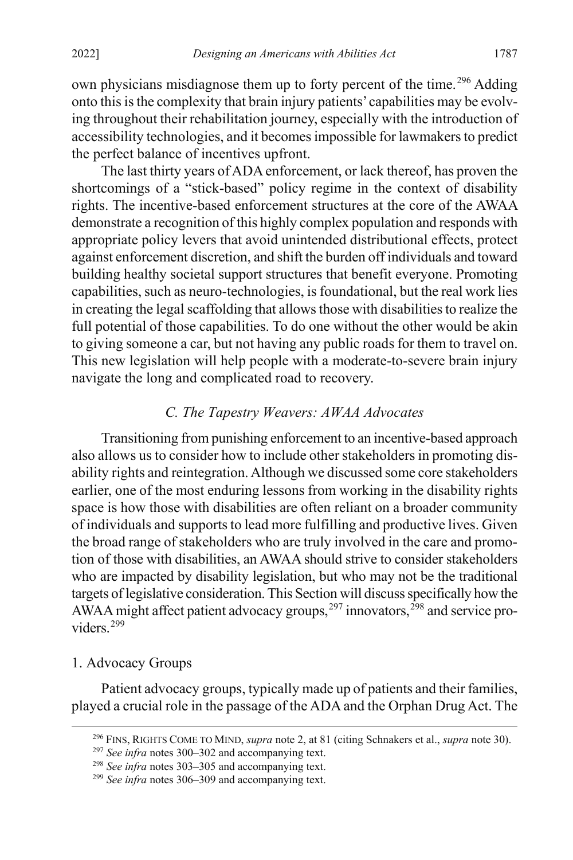<span id="page-60-0"></span>own physicians misdiagnose them up to forty percent of the time.<sup>[296](#page-60-2)</sup> Adding onto this isthe complexity that brain injury patients'capabilities may be evolving throughout their rehabilitation journey, especially with the introduction of accessibility technologies, and it becomes impossible for lawmakers to predict the perfect balance of incentives upfront.

The last thirty years of ADA enforcement, or lack thereof, has proven the shortcomings of a "stick-based" policy regime in the context of disability rights. The incentive-based enforcement structures at the core of the AWAA demonstrate a recognition of this highly complex population and responds with appropriate policy levers that avoid unintended distributional effects, protect against enforcement discretion, and shift the burden off individuals and toward building healthy societal support structures that benefit everyone. Promoting capabilities, such as neuro-technologies, is foundational, but the real work lies in creating the legal scaffolding that allows those with disabilities to realize the full potential of those capabilities. To do one without the other would be akin to giving someone a car, but not having any public roads for them to travel on. This new legislation will help people with a moderate-to-severe brain injury navigate the long and complicated road to recovery.

# <span id="page-60-1"></span>*C. The Tapestry Weavers: AWAA Advocates*

Transitioning from punishing enforcement to an incentive-based approach also allows us to consider how to include other stakeholders in promoting disability rights and reintegration. Although we discussed some core stakeholders earlier, one of the most enduring lessons from working in the disability rights space is how those with disabilities are often reliant on a broader community of individuals and supports to lead more fulfilling and productive lives. Given the broad range of stakeholders who are truly involved in the care and promotion of those with disabilities, an AWAA should strive to consider stakeholders who are impacted by disability legislation, but who may not be the traditional targets of legislative consideration.This Section will discuss specifically how the AWAA might affect patient advocacy groups, <sup>[297](#page-60-3)</sup> innovators, <sup>[298](#page-60-4)</sup> and service pro-viders.<sup>[299](#page-60-5)</sup>

# 1. Advocacy Groups

<span id="page-60-2"></span>Patient advocacy groups, typically made up of patients and their families, played a crucial role in the passage of the ADA and the Orphan Drug Act. The

 <sup>296</sup> FINS, RIGHTS COME TO MIND, *supra* not[e 2,](#page-4-0) at 81 (citing Schnakers et al., *supra* not[e 30\)](#page-11-0).

<span id="page-60-3"></span><sup>297</sup> *See infra* notes [300–](#page-61-0)[302](#page-61-1) and accompanying text.

<span id="page-60-4"></span><sup>298</sup> *See infra* notes [303–](#page-61-2)[305](#page-62-0) and accompanying text.

<span id="page-60-5"></span><sup>299</sup> *See infra* notes [306–](#page-62-1)[309](#page-63-0) and accompanying text.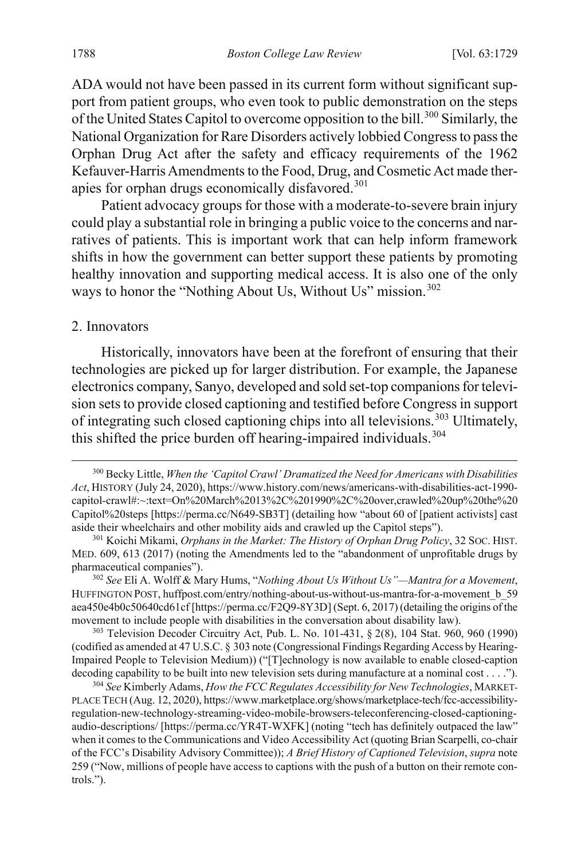<span id="page-61-0"></span>ADA would not have been passed in its current form without significant support from patient groups, who even took to public demonstration on the steps of the United States Capitol to overcome opposition to the bill.<sup>[300](#page-61-3)</sup> Similarly, the National Organization for Rare Disorders actively lobbied Congress to pass the Orphan Drug Act after the safety and efficacy requirements of the 1962 Kefauver-Harris Amendments to the Food, Drug, and Cosmetic Act made ther-apies for orphan drugs economically disfavored.<sup>[301](#page-61-4)</sup>

Patient advocacy groups for those with a moderate-to-severe brain injury could play a substantial role in bringing a public voice to the concerns and narratives of patients. This is important work that can help inform framework shifts in how the government can better support these patients by promoting healthy innovation and supporting medical access. It is also one of the only ways to honor the "Nothing About Us, Without Us" mission.<sup>[302](#page-61-5)</sup>

#### <span id="page-61-1"></span>2. Innovators

Historically, innovators have been at the forefront of ensuring that their technologies are picked up for larger distribution. For example, the Japanese electronics company, Sanyo, developed and sold set-top companions for television sets to provide closed captioning and testified before Congress in support of integrating such closed captioning chips into all televisions.<sup>[303](#page-61-6)</sup> Ultimately, this shifted the price burden off hearing-impaired individuals.<sup>[304](#page-61-7)</sup>

<span id="page-61-6"></span><sup>303</sup> Television Decoder Circuitry Act, Pub. L. No. 101-431, § 2(8), 104 Stat. 960, 960 (1990) (codified as amended at 47 U.S.C. § 303 note (Congressional Findings Regarding Access by Hearing-Impaired People to Television Medium)) ("[T]echnology is now available to enable closed-caption decoding capability to be built into new television sets during manufacture at a nominal cost . . . .").

<span id="page-61-3"></span><span id="page-61-2"></span> <sup>300</sup> Becky Little, *When the 'Capitol Crawl' Dramatized the Need for Americans with Disabilities Act*, HISTORY (July 24, 2020), https://www.history.com/news/americans-with-disabilities-act-1990 capitol-crawl#:~:text=On%20March%2013%2C%201990%2C%20over,crawled%20up%20the%20 Capitol%20steps [https://perma.cc/N649-SB3T] (detailing how "about 60 of [patient activists] cast aside their wheelchairs and other mobility aids and crawled up the Capitol steps").

<span id="page-61-4"></span><sup>301</sup> Koichi Mikami, *Orphans in the Market: The History of Orphan Drug Policy*, 32 SOC. HIST. MED. 609, 613 (2017) (noting the Amendments led to the "abandonment of unprofitable drugs by pharmaceutical companies").

<span id="page-61-5"></span><sup>302</sup> *See* Eli A. Wolff & Mary Hums, "*Nothing About Us Without Us"—Mantra for a Movement*, HUFFINGTON POST, huffpost.com/entry/nothing-about-us-without-us-mantra-for-a-movement\_b\_59 aea450e4b0c50640cd61cf [https://perma.cc/F2Q9-8Y3D] (Sept. 6, 2017) (detailing the origins of the movement to include people with disabilities in the conversation about disability law).

<span id="page-61-7"></span><sup>304</sup> *See* Kimberly Adams, *How the FCC Regulates Accessibility for New Technologies*, MARKET-PLACE TECH (Aug. 12, 2020), https://www.marketplace.org/shows/marketplace-tech/fcc-accessibilityregulation-new-technology-streaming-video-mobile-browsers-teleconferencing-closed-captioningaudio-descriptions/ [https://perma.cc/YR4T-WXFK] (noting "tech has definitely outpaced the law" when it comes to the Communications and Video Accessibility Act (quoting Brian Scarpelli, co-chair of the FCC's Disability Advisory Committee)); *A Brief History of Captioned Television*, *supra* note [259](#page-52-7) ("Now, millions of people have access to captions with the push of a button on their remote controls.").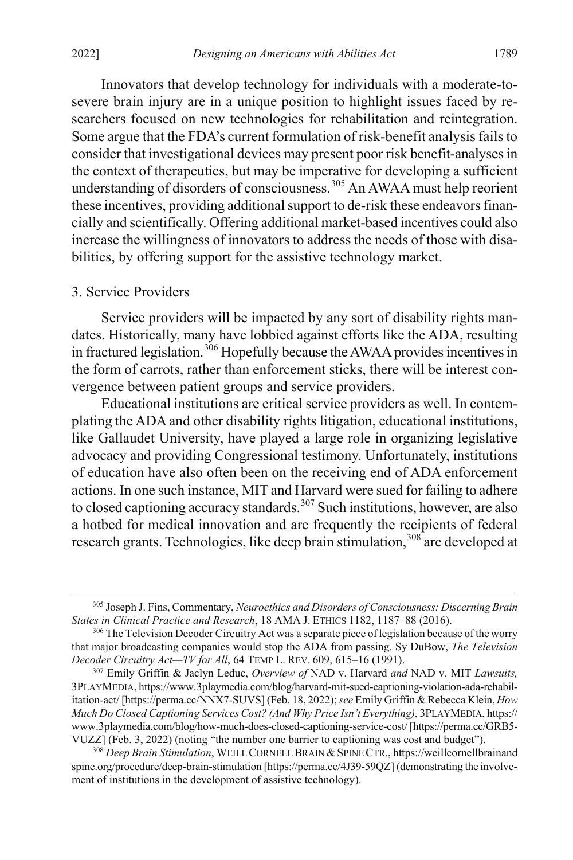<span id="page-62-0"></span>Innovators that develop technology for individuals with a moderate-tosevere brain injury are in a unique position to highlight issues faced by researchers focused on new technologies for rehabilitation and reintegration. Some argue that the FDA's current formulation of risk-benefit analysis fails to consider that investigational devices may present poor risk benefit-analyses in the context of therapeutics, but may be imperative for developing a sufficient understanding of disorders of consciousness.<sup>[305](#page-62-2)</sup> An AWAA must help reorient these incentives, providing additional support to de-risk these endeavors financially and scientifically. Offering additional market-based incentives could also increase the willingness of innovators to address the needs of those with disabilities, by offering support for the assistive technology market.

#### 3. Service Providers

<span id="page-62-1"></span>Service providers will be impacted by any sort of disability rights mandates. Historically, many have lobbied against efforts like the ADA, resulting in fractured legislation.[306](#page-62-3) Hopefully because the AWAA provides incentives in the form of carrots, rather than enforcement sticks, there will be interest convergence between patient groups and service providers.

Educational institutions are critical service providers as well. In contemplating the ADA and other disability rights litigation, educational institutions, like Gallaudet University, have played a large role in organizing legislative advocacy and providing Congressional testimony. Unfortunately, institutions of education have also often been on the receiving end of ADA enforcement actions. In one such instance, MIT and Harvard were sued for failing to adhere to closed captioning accuracy standards. $307$  Such institutions, however, are also a hotbed for medical innovation and are frequently the recipients of federal research grants. Technologies, like deep brain stimulation,<sup>[308](#page-62-5)</sup> are developed at

<span id="page-62-2"></span> <sup>305</sup> Joseph J. Fins, Commentary, *Neuroethics and Disorders of Consciousness: Discerning Brain States in Clinical Practice and Research*, 18 AMA J. ETHICS 1182, 1187–88 (2016).

<span id="page-62-3"></span><sup>&</sup>lt;sup>306</sup> The Television Decoder Circuitry Act was a separate piece of legislation because of the worry that major broadcasting companies would stop the ADA from passing. Sy DuBow, *The Television Decoder Circuitry Act—TV for All*, 64 TEMP L. REV. 609, 615–16 (1991).

<span id="page-62-4"></span><sup>307</sup> Emily Griffin & Jaclyn Leduc, *Overview of* NAD v. Harvard *and* NAD v. MIT *Lawsuits,*  3PLAYMEDIA, https://www.3playmedia.com/blog/harvard-mit-sued-captioning-violation-ada-rehabilitation-act/ [https://perma.cc/NNX7-SUVS] (Feb. 18, 2022); *see* Emily Griffin & Rebecca Klein, *How Much Do Closed Captioning Services Cost? (And Why Price Isn't Everything)*, 3PLAYMEDIA, https:// www.3playmedia.com/blog/how-much-does-closed-captioning-service-cost/[https://perma.cc/GRB5- VUZZ] (Feb. 3, 2022) (noting "the number one barrier to captioning was cost and budget").

<span id="page-62-5"></span><sup>308</sup> *Deep Brain Stimulation*, WEILL CORNELL BRAIN & SPINE CTR., https://weillcornellbrainand spine.org/procedure/deep-brain-stimulation [https://perma.cc/4J39-59QZ] (demonstrating the involvement of institutions in the development of assistive technology).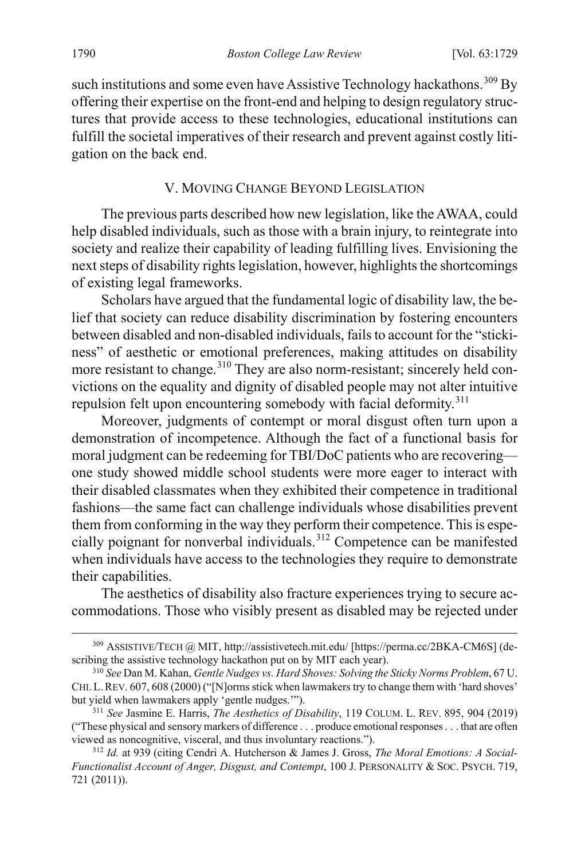such institutions and some even have Assistive Technology hackathons.<sup>[309](#page-63-2)</sup> By offering their expertise on the front-end and helping to design regulatory structures that provide access to these technologies, educational institutions can fulfill the societal imperatives of their research and prevent against costly litigation on the back end.

#### <span id="page-63-0"></span>V. MOVING CHANGE BEYOND LEGISLATION

The previous parts described how new legislation, like the AWAA, could help disabled individuals, such as those with a brain injury, to reintegrate into society and realize their capability of leading fulfilling lives. Envisioning the next steps of disability rights legislation, however, highlights the shortcomings of existing legal frameworks.

Scholars have argued that the fundamental logic of disability law, the belief that society can reduce disability discrimination by fostering encounters between disabled and non-disabled individuals, fails to account for the "stickiness" of aesthetic or emotional preferences, making attitudes on disability more resistant to change.<sup>[310](#page-63-3)</sup> They are also norm-resistant; sincerely held convictions on the equality and dignity of disabled people may not alter intuitive repulsion felt upon encountering somebody with facial deformity.<sup>[311](#page-63-4)</sup>

<span id="page-63-1"></span>Moreover, judgments of contempt or moral disgust often turn upon a demonstration of incompetence. Although the fact of a functional basis for moral judgment can be redeeming for TBI/DoC patients who are recovering one study showed middle school students were more eager to interact with their disabled classmates when they exhibited their competence in traditional fashions—the same fact can challenge individuals whose disabilities prevent them from conforming in the way they perform their competence. This is espe-cially poignant for nonverbal individuals.<sup>[312](#page-63-5)</sup> Competence can be manifested when individuals have access to the technologies they require to demonstrate their capabilities.

The aesthetics of disability also fracture experiences trying to secure accommodations. Those who visibly present as disabled may be rejected under

<span id="page-63-2"></span> <sup>309</sup> ASSISTIVE/TECH @ MIT, http://assistivetech.mit.edu/ [https://perma.cc/2BKA-CM6S] (describing the assistive technology hackathon put on by MIT each year).

<span id="page-63-3"></span><sup>310</sup> *See* Dan M. Kahan, *Gentle Nudges vs. Hard Shoves: Solving the Sticky Norms Problem*, 67 U. CHI.L.REV. 607, 608 (2000) ("[N]orms stick when lawmakers try to change them with 'hard shoves' but yield when lawmakers apply 'gentle nudges.'").

<span id="page-63-4"></span><sup>311</sup> *See* Jasmine E. Harris, *The Aesthetics of Disability*, 119 COLUM. L. REV. 895, 904 (2019) ("These physical and sensory markers of difference . . . produce emotional responses . . . that are often viewed as noncognitive, visceral, and thus involuntary reactions.").

<span id="page-63-5"></span><sup>312</sup> *Id.* at 939 (citing Cendri A. Hutcherson & James J. Gross, *The Moral Emotions: A Social-Functionalist Account of Anger, Disgust, and Contempt*, 100 J. PERSONALITY & SOC. PSYCH. 719, 721 (2011)).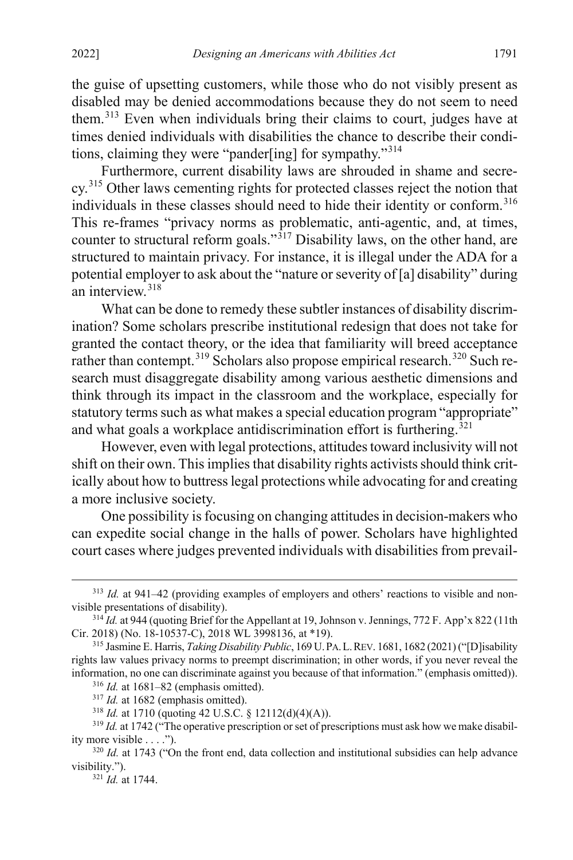the guise of upsetting customers, while those who do not visibly present as disabled may be denied accommodations because they do not seem to need them.<sup>[313](#page-64-0)</sup> Even when individuals bring their claims to court, judges have at times denied individuals with disabilities the chance to describe their conditions, claiming they were "pander[ing] for sympathy."[314](#page-64-1)

<span id="page-64-9"></span>Furthermore, current disability laws are shrouded in shame and secre-cy.<sup>[315](#page-64-2)</sup> Other laws cementing rights for protected classes reject the notion that individuals in these classes should need to hide their identity or conform. [316](#page-64-3) This re-frames "privacy norms as problematic, anti-agentic, and, at times, counter to structural reform goals."<sup>[317](#page-64-4)</sup> Disability laws, on the other hand, are structured to maintain privacy. For instance, it is illegal under the ADA for a potential employer to ask about the "nature or severity of [a] disability" during an interview.[318](#page-64-5)

What can be done to remedy these subtler instances of disability discrimination? Some scholars prescribe institutional redesign that does not take for granted the contact theory, or the idea that familiarity will breed acceptance rather than contempt.<sup>[319](#page-64-6)</sup> Scholars also propose empirical research.<sup>[320](#page-64-7)</sup> Such research must disaggregate disability among various aesthetic dimensions and think through its impact in the classroom and the workplace, especially for statutory terms such as what makes a special education program "appropriate" and what goals a workplace antidiscrimination effort is furthering.<sup>[321](#page-64-8)</sup>

However, even with legal protections, attitudes toward inclusivity will not shift on their own. This implies that disability rights activists should think critically about how to buttress legal protections while advocating for and creating a more inclusive society.

One possibility is focusing on changing attitudes in decision-makers who can expedite social change in the halls of power. Scholars have highlighted court cases where judges prevented individuals with disabilities from prevail-

<span id="page-64-0"></span> <sup>313</sup> *Id.* at 941–42 (providing examples of employers and others' reactions to visible and nonvisible presentations of disability).

<span id="page-64-1"></span><sup>&</sup>lt;sup>314</sup> *Id.* at 944 (quoting Brief for the Appellant at 19, Johnson v. Jennings, 772 F. App'x 822 (11th Cir. 2018) (No. 18-10537-C), 2018 WL 3998136, at \*19).

<span id="page-64-3"></span><span id="page-64-2"></span><sup>315</sup> Jasmine E. Harris, *Taking Disability Public*, 169 U.PA.L.REV. 1681, 1682 (2021)("[D]isability rights law values privacy norms to preempt discrimination; in other words, if you never reveal the information, no one can discriminate against you because of that information." (emphasis omitted)).

<sup>316</sup> *Id.* at 1681–82 (emphasis omitted).

<sup>&</sup>lt;sup>317</sup> *Id.* at 1682 (emphasis omitted).

<sup>318</sup> *Id.* at 1710 (quoting 42 U.S.C. § 12112(d)(4)(A)).

<span id="page-64-6"></span><span id="page-64-5"></span><span id="page-64-4"></span><sup>&</sup>lt;sup>319</sup> *Id.* at 1742 ("The operative prescription or set of prescriptions must ask how we make disability more visible . . . .").

<span id="page-64-8"></span><span id="page-64-7"></span><sup>&</sup>lt;sup>320</sup> *Id.* at 1743 ("On the front end, data collection and institutional subsidies can help advance visibility.").

<sup>321</sup> *Id.* at 1744.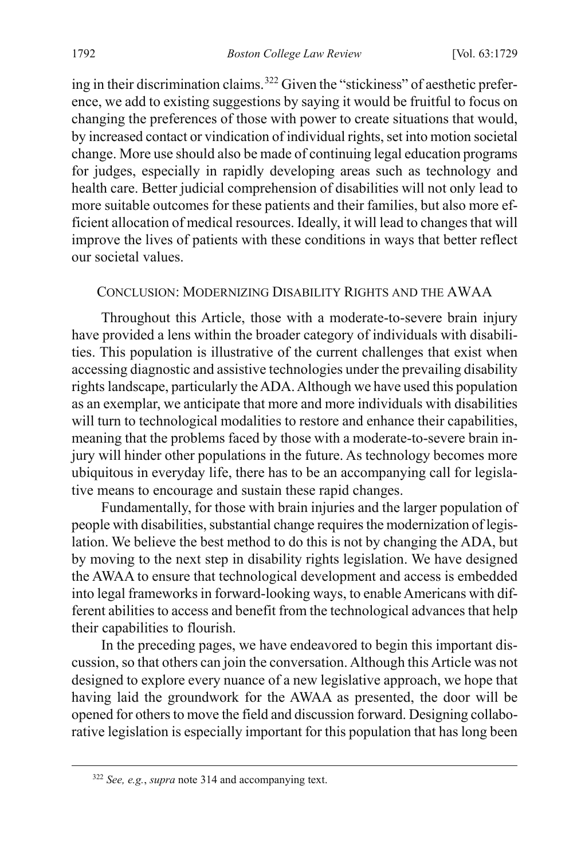<span id="page-65-0"></span>ing in their discrimination claims.<sup>[322](#page-65-1)</sup> Given the "stickiness" of aesthetic preference, we add to existing suggestions by saying it would be fruitful to focus on changing the preferences of those with power to create situations that would, by increased contact or vindication of individual rights, set into motion societal change. More use should also be made of continuing legal education programs for judges, especially in rapidly developing areas such as technology and health care. Better judicial comprehension of disabilities will not only lead to more suitable outcomes for these patients and their families, but also more efficient allocation of medical resources. Ideally, it will lead to changes that will improve the lives of patients with these conditions in ways that better reflect our societal values.

#### CONCLUSION: MODERNIZING DISABILITY RIGHTS AND THE AWAA

Throughout this Article, those with a moderate-to-severe brain injury have provided a lens within the broader category of individuals with disabilities. This population is illustrative of the current challenges that exist when accessing diagnostic and assistive technologies under the prevailing disability rights landscape, particularly the ADA. Although we have used this population as an exemplar, we anticipate that more and more individuals with disabilities will turn to technological modalities to restore and enhance their capabilities, meaning that the problems faced by those with a moderate-to-severe brain injury will hinder other populations in the future. As technology becomes more ubiquitous in everyday life, there has to be an accompanying call for legislative means to encourage and sustain these rapid changes.

Fundamentally, for those with brain injuries and the larger population of people with disabilities, substantial change requires the modernization of legislation. We believe the best method to do this is not by changing the ADA, but by moving to the next step in disability rights legislation. We have designed the AWAA to ensure that technological development and access is embedded into legal frameworks in forward-looking ways, to enable Americans with different abilities to access and benefit from the technological advances that help their capabilities to flourish.

In the preceding pages, we have endeavored to begin this important discussion, so that others can join the conversation. Although this Article was not designed to explore every nuance of a new legislative approach, we hope that having laid the groundwork for the AWAA as presented, the door will be opened for others to move the field and discussion forward. Designing collaborative legislation is especially important for this population that has long been

<span id="page-65-1"></span> <sup>322</sup> *See, e.g.*, *supra* note [314](#page-64-9) and accompanying text.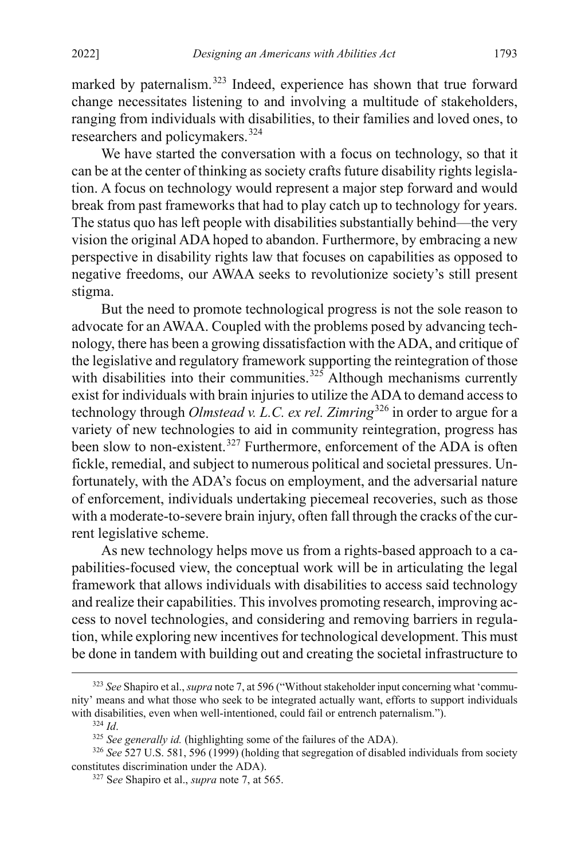marked by paternalism.<sup>[323](#page-66-0)</sup> Indeed, experience has shown that true forward change necessitates listening to and involving a multitude of stakeholders, ranging from individuals with disabilities, to their families and loved ones, to researchers and policymakers.[324](#page-66-1)

We have started the conversation with a focus on technology, so that it can be at the center of thinking as society crafts future disability rights legislation. A focus on technology would represent a major step forward and would break from past frameworks that had to play catch up to technology for years. The status quo has left people with disabilities substantially behind—the very vision the original ADA hoped to abandon. Furthermore, by embracing a new perspective in disability rights law that focuses on capabilities as opposed to negative freedoms, our AWAA seeks to revolutionize society's still present stigma.

But the need to promote technological progress is not the sole reason to advocate for an AWAA. Coupled with the problems posed by advancing technology, there has been a growing dissatisfaction with the ADA, and critique of the legislative and regulatory framework supporting the reintegration of those with disabilities into their communities.<sup>[325](#page-66-2)</sup> Although mechanisms currently exist for individuals with brain injuries to utilize the ADA to demand access to technology through *Olmstead v. L.C. ex rel. Zimring*[326](#page-66-3) in order to argue for a variety of new technologies to aid in community reintegration, progress has been slow to non-existent.<sup>[327](#page-66-4)</sup> Furthermore, enforcement of the ADA is often fickle, remedial, and subject to numerous political and societal pressures. Unfortunately, with the ADA's focus on employment, and the adversarial nature of enforcement, individuals undertaking piecemeal recoveries, such as those with a moderate-to-severe brain injury, often fall through the cracks of the current legislative scheme.

As new technology helps move us from a rights-based approach to a capabilities-focused view, the conceptual work will be in articulating the legal framework that allows individuals with disabilities to access said technology and realize their capabilities. This involves promoting research, improving access to novel technologies, and considering and removing barriers in regulation, while exploring new incentives for technological development. This must be done in tandem with building out and creating the societal infrastructure to

<span id="page-66-0"></span> <sup>323</sup> *See* Shapiro et al.,*supra* not[e 7,](#page-5-0) at 596 ("Without stakeholder input concerning what 'community' means and what those who seek to be integrated actually want, efforts to support individuals with disabilities, even when well-intentioned, could fail or entrench paternalism.").

<sup>324</sup> *Id*.

<sup>325</sup> *See generally id.* (highlighting some of the failures of the ADA).

<span id="page-66-4"></span><span id="page-66-3"></span><span id="page-66-2"></span><span id="page-66-1"></span><sup>326</sup> *See* 527 U.S. 581, 596 (1999) (holding that segregation of disabled individuals from society constitutes discrimination under the ADA).

<sup>327</sup> S*ee* Shapiro et al., *supra* not[e 7,](#page-5-0) at 565.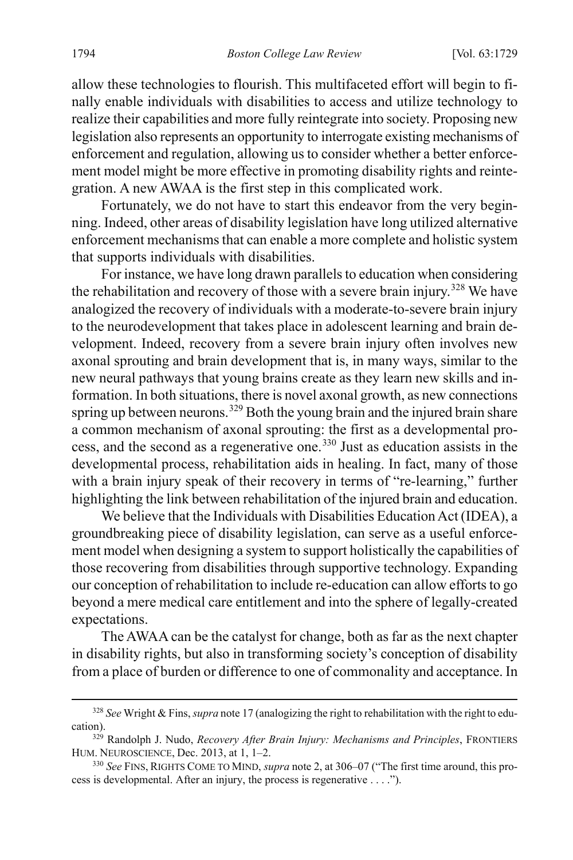allow these technologies to flourish. This multifaceted effort will begin to finally enable individuals with disabilities to access and utilize technology to realize their capabilities and more fully reintegrate into society. Proposing new legislation also represents an opportunity to interrogate existing mechanisms of enforcement and regulation, allowing us to consider whether a better enforcement model might be more effective in promoting disability rights and reintegration. A new AWAA is the first step in this complicated work.

Fortunately, we do not have to start this endeavor from the very beginning. Indeed, other areas of disability legislation have long utilized alternative enforcement mechanisms that can enable a more complete and holistic system that supports individuals with disabilities.

For instance, we have long drawn parallels to education when considering the rehabilitation and recovery of those with a severe brain injury.<sup>[328](#page-67-0)</sup> We have analogized the recovery of individuals with a moderate-to-severe brain injury to the neurodevelopment that takes place in adolescent learning and brain development. Indeed, recovery from a severe brain injury often involves new axonal sprouting and brain development that is, in many ways, similar to the new neural pathways that young brains create as they learn new skills and information. In both situations, there is novel axonal growth, as new connections spring up between neurons.<sup>[329](#page-67-1)</sup> Both the young brain and the injured brain share a common mechanism of axonal sprouting: the first as a developmental process, and the second as a regenerative one.[330](#page-67-2) Just as education assists in the developmental process, rehabilitation aids in healing. In fact, many of those with a brain injury speak of their recovery in terms of "re-learning," further highlighting the link between rehabilitation of the injured brain and education.

We believe that the Individuals with Disabilities Education Act (IDEA), a groundbreaking piece of disability legislation, can serve as a useful enforcement model when designing a system to support holistically the capabilities of those recovering from disabilities through supportive technology. Expanding our conception of rehabilitation to include re-education can allow efforts to go beyond a mere medical care entitlement and into the sphere of legally-created expectations.

The AWAA can be the catalyst for change, both as far as the next chapter in disability rights, but also in transforming society's conception of disability from a place of burden or difference to one of commonality and acceptance. In

<span id="page-67-0"></span> <sup>328</sup> *See* Wright & Fins, *supra* not[e 17](#page-7-3) (analogizing the right to rehabilitation with the right to education).

<span id="page-67-1"></span><sup>329</sup> Randolph J. Nudo, *Recovery After Brain Injury: Mechanisms and Principles*, FRONTIERS HUM. NEUROSCIENCE, Dec. 2013, at 1, 1–2.

<span id="page-67-2"></span><sup>330</sup> *See* FINS, RIGHTS COME TO MIND, *supra* not[e 2,](#page-4-0) at 306–07 ("The first time around, this process is developmental. After an injury, the process is regenerative . . . .").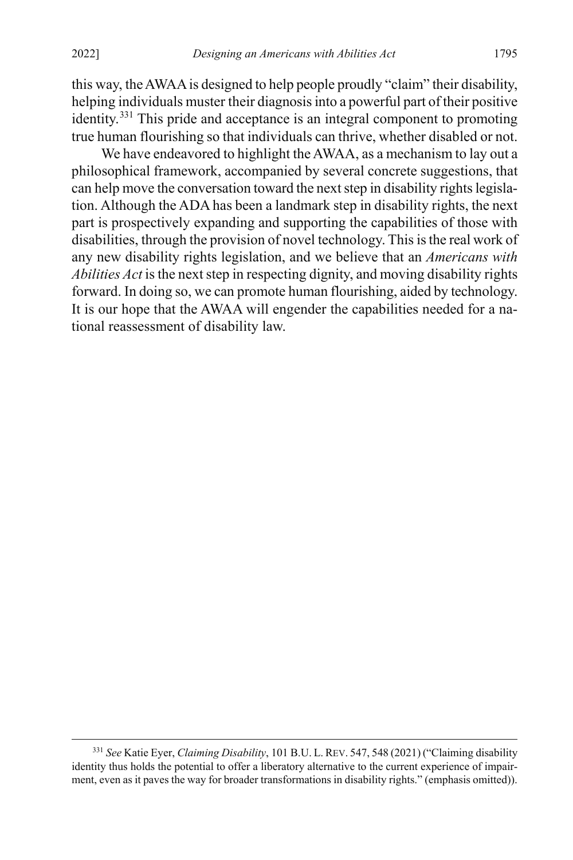this way, the AWAA is designed to help people proudly "claim" their disability, helping individuals muster their diagnosis into a powerful part of their positive identity.[331](#page-68-0) This pride and acceptance is an integral component to promoting true human flourishing so that individuals can thrive, whether disabled or not.

We have endeavored to highlight the AWAA, as a mechanism to lay out a philosophical framework, accompanied by several concrete suggestions, that can help move the conversation toward the next step in disability rights legislation. Although the ADA has been a landmark step in disability rights, the next part is prospectively expanding and supporting the capabilities of those with disabilities, through the provision of novel technology. This is the real work of any new disability rights legislation, and we believe that an *Americans with Abilities Act* is the next step in respecting dignity, and moving disability rights forward. In doing so, we can promote human flourishing, aided by technology. It is our hope that the AWAA will engender the capabilities needed for a national reassessment of disability law.

<span id="page-68-0"></span> <sup>331</sup> *See* Katie Eyer, *Claiming Disability*, 101 B.U. L. REV. 547, <sup>548</sup> (2021) ("Claiming disability identity thus holds the potential to offer a liberatory alternative to the current experience of impairment, even as it paves the way for broader transformations in disability rights." (emphasis omitted)).